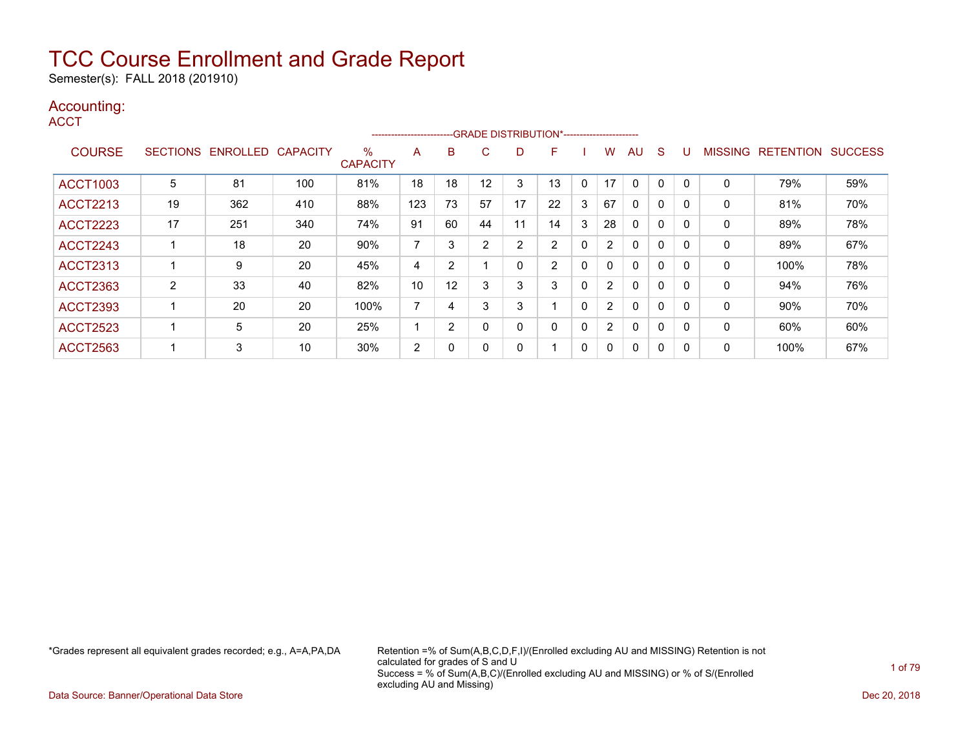Semester(s): FALL 2018 (201910)

### Accounting:

**ACCT** 

|                 |                 |                 |                 |                         | ------------------------ |    |    |    | --- GRADE DISTRIBUTION*----------------------- |              |                |              |             |          |                |                  |                |
|-----------------|-----------------|-----------------|-----------------|-------------------------|--------------------------|----|----|----|------------------------------------------------|--------------|----------------|--------------|-------------|----------|----------------|------------------|----------------|
| <b>COURSE</b>   | <b>SECTIONS</b> | <b>ENROLLED</b> | <b>CAPACITY</b> | $\%$<br><b>CAPACITY</b> | A                        | B  | C  | D  | F                                              |              | W              | AU           | S           |          | <b>MISSING</b> | <b>RETENTION</b> | <b>SUCCESS</b> |
| <b>ACCT1003</b> | 5               | 81              | 100             | 81%                     | 18                       | 18 | 12 | 3  | 13                                             | $\Omega$     | 17             | 0            | 0           |          | 0              | 79%              | 59%            |
| <b>ACCT2213</b> | 19              | 362             | 410             | 88%                     | 123                      | 73 | 57 | 17 | 22                                             | 3            | 67             | 0            | 0           |          | 0              | 81%              | 70%            |
| <b>ACCT2223</b> | 17              | 251             | 340             | 74%                     | 91                       | 60 | 44 | 11 | 14                                             | 3            | 28             | 0            | 0           |          | 0              | 89%              | 78%            |
| <b>ACCT2243</b> |                 | 18              | 20              | 90%                     | 7                        | 3  | 2  | 2  | 2                                              | 0            | $\overline{2}$ | 0            | $\mathbf 0$ |          | 0              | 89%              | 67%            |
| <b>ACCT2313</b> |                 | 9               | 20              | 45%                     | 4                        | 2  |    | 0  | $\overline{2}$                                 | 0            | 0              | $\mathbf{0}$ | 0           |          | 0              | 100%             | 78%            |
| <b>ACCT2363</b> | 2               | 33              | 40              | 82%                     | 10                       | 12 |    | 3  | 3                                              | 0            | $\overline{2}$ | $\mathbf{0}$ | 0           |          | 0              | 94%              | 76%            |
| <b>ACCT2393</b> |                 | 20              | 20              | 100%                    | $\overline{ }$           | 4  | 3  | 3  |                                                | $\Omega$     | $\overline{2}$ | $\mathbf{0}$ | 0           |          | 0              | $90\%$           | 70%            |
| <b>ACCT2523</b> |                 | 5               | 20              | 25%                     |                          | 2  | 0  | 0  | 0                                              | $\mathbf{0}$ | $\overline{2}$ | $\mathbf{0}$ | 0           | $\Omega$ | 0              | 60%              | 60%            |
| <b>ACCT2563</b> |                 | 3               | 10              | 30%                     | 2                        | 0  |    | 0  |                                                | 0            | 0              | $\mathbf{0}$ | 0           |          | 0              | 100%             | 67%            |

\*Grades represent all equivalent grades recorded; e.g., A=A,PA,DA Retention =% of Sum(A,B,C,D,F,I)/(Enrolled excluding AU and MISSING) Retention is not calculated for grades of S and U Success = % of Sum(A,B,C)/(Enrolled excluding AU and MISSING) or % of S/(Enrolled excluding AU and Missing)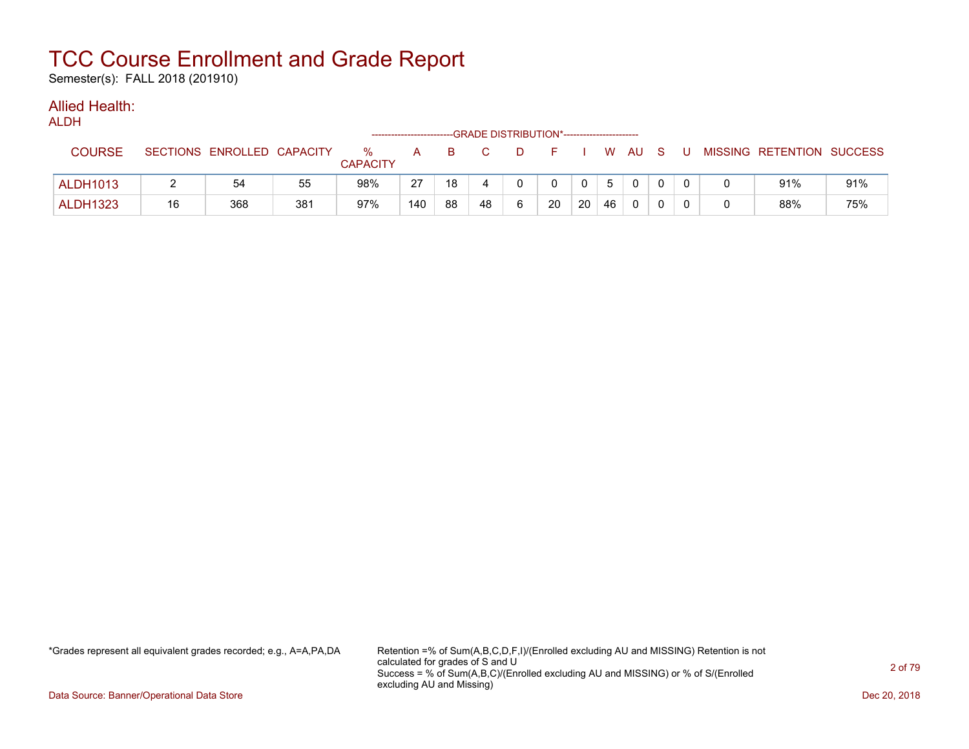Semester(s): FALL 2018 (201910)

#### Allied Health: ALDH<sub>1</sub>

| ALDH            |    |                            |     |                      |              |    | --GRADE DISTRIBUTION*----------------------- |    |          |    |    |              |     |    |                           |     |
|-----------------|----|----------------------------|-----|----------------------|--------------|----|----------------------------------------------|----|----------|----|----|--------------|-----|----|---------------------------|-----|
| <b>COURSE</b>   |    | SECTIONS ENROLLED CAPACITY |     | %<br><b>CAPACITY</b> | $\mathsf{A}$ | B. |                                              | D. | $\vdash$ |    |    | W AU         | - S | -U | MISSING RETENTION SUCCESS |     |
| <b>ALDH1013</b> |    | 54                         | 55  | 98%                  | 27           | 18 |                                              |    |          |    | 5  | $\mathbf{0}$ |     |    | 91%                       | 91% |
| <b>ALDH1323</b> | 16 | 368                        | 381 | 97%                  | 140          | 88 | 48                                           | 6  | 20       | 20 | 46 | 0            |     |    | 88%                       | 75% |

\*Grades represent all equivalent grades recorded; e.g., A=A,PA,DA Retention =% of Sum(A,B,C,D,F,I)/(Enrolled excluding AU and MISSING) Retention is not calculated for grades of S and U Success = % of Sum(A,B,C)/(Enrolled excluding AU and MISSING) or % of S/(Enrolled excluding AU and Missing)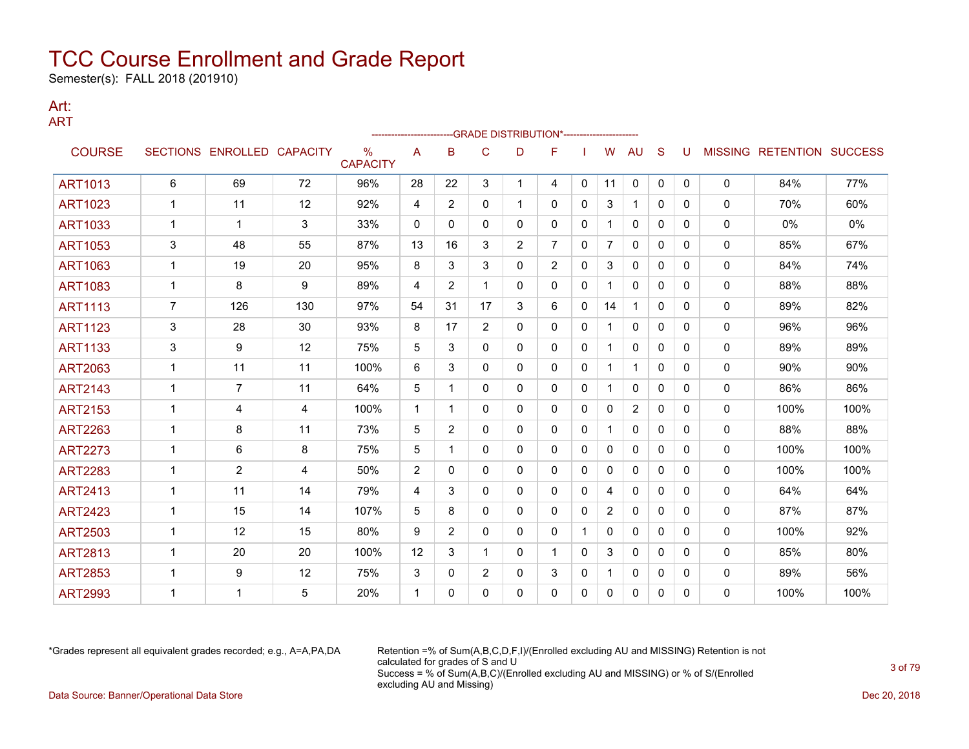Semester(s): FALL 2018 (201910)

### Art: ART

|                |                |                            |     |                                  |                |                |                |                | -GRADE DISTRIBUTION*---------------------- |              |                |                |              |          |              |                                  |      |
|----------------|----------------|----------------------------|-----|----------------------------------|----------------|----------------|----------------|----------------|--------------------------------------------|--------------|----------------|----------------|--------------|----------|--------------|----------------------------------|------|
| <b>COURSE</b>  |                | SECTIONS ENROLLED CAPACITY |     | $\frac{0}{0}$<br><b>CAPACITY</b> | A              | B              | C              | D              | F                                          |              | W              | <b>AU</b>      | S            | U        |              | <b>MISSING RETENTION SUCCESS</b> |      |
| <b>ART1013</b> | 6              | 69                         | 72  | 96%                              | 28             | 22             | 3              | 1.             | 4                                          | 0            | 11             | 0              | $\mathbf{0}$ | $\Omega$ | $\mathbf{0}$ | 84%                              | 77%  |
| <b>ART1023</b> | 1              | 11                         | 12  | 92%                              | 4              | $\overline{2}$ | $\mathbf{0}$   | 1              | 0                                          | 0            | 3              | $\mathbf{1}$   | $\mathbf{0}$ | 0        | 0            | 70%                              | 60%  |
| ART1033        | 1              | $\mathbf 1$                | 3   | 33%                              | 0              | $\mathbf{0}$   | 0              | 0              | 0                                          | 0            |                | 0              | $\mathbf{0}$ | 0        | 0            | 0%                               | 0%   |
| <b>ART1053</b> | 3              | 48                         | 55  | 87%                              | 13             | 16             | 3              | $\overline{2}$ | $\overline{7}$                             | 0            | $\overline{7}$ | $\mathbf{0}$   | $\mathbf{0}$ | $\Omega$ | 0            | 85%                              | 67%  |
| <b>ART1063</b> | 1              | 19                         | 20  | 95%                              | 8              | 3              | 3              | 0              | $\overline{2}$                             | $\mathbf{0}$ | 3              | 0              | $\mathbf{0}$ | 0        | 0            | 84%                              | 74%  |
| <b>ART1083</b> | 1              | 8                          | 9   | 89%                              | 4              | 2              | 1              | 0              | $\mathbf{0}$                               | $\mathbf{0}$ |                | $\mathbf{0}$   | $\mathbf{0}$ | 0        | 0            | 88%                              | 88%  |
| <b>ART1113</b> | $\overline{7}$ | 126                        | 130 | 97%                              | 54             | 31             | 17             | 3              | 6                                          | $\Omega$     | 14             | $\mathbf{1}$   | $\Omega$     | $\Omega$ | $\mathbf{0}$ | 89%                              | 82%  |
| <b>ART1123</b> | 3              | 28                         | 30  | 93%                              | 8              | 17             | $\overline{2}$ | 0              | $\mathbf{0}$                               | 0            |                | $\mathbf{0}$   | $\mathbf{0}$ | 0        | 0            | 96%                              | 96%  |
| <b>ART1133</b> | 3              | 9                          | 12  | 75%                              | 5              | 3              | 0              | 0              | 0                                          | 0            |                | 0              | $\mathbf{0}$ | 0        | 0            | 89%                              | 89%  |
| <b>ART2063</b> | 1              | 11                         | 11  | 100%                             | 6              | 3              | 0              | 0              | $\mathbf{0}$                               | 0            | $\mathbf 1$    | $\mathbf{1}$   | $\mathbf{0}$ | 0        | 0            | 90%                              | 90%  |
| <b>ART2143</b> | 1              | $\overline{7}$             | 11  | 64%                              | 5              | 1              | 0              | 0              | 0                                          | 0            | 1              | 0              | $\mathbf{0}$ | 0        | 0            | 86%                              | 86%  |
| <b>ART2153</b> | 1              | 4                          | 4   | 100%                             | 1              | -1             | $\mathbf{0}$   | 0              | 0                                          | $\Omega$     | $\mathbf{0}$   | $\overline{2}$ | $\Omega$     | $\Omega$ | 0            | 100%                             | 100% |
| <b>ART2263</b> | 1              | 8                          | 11  | 73%                              | 5              | 2              | 0              | 0              | $\mathbf{0}$                               | $\mathbf{0}$ |                | $\mathbf{0}$   | $\mathbf{0}$ | $\Omega$ | 0            | 88%                              | 88%  |
| <b>ART2273</b> | -1             | 6                          | 8   | 75%                              | 5              | -1             | 0              | 0              | 0                                          | 0            | 0              | 0              | $\mathbf{0}$ | 0        | 0            | 100%                             | 100% |
| <b>ART2283</b> | 1              | $\overline{2}$             | 4   | 50%                              | $\overline{2}$ | $\mathbf{0}$   | 0              | 0              | 0                                          | $\mathbf{0}$ | 0              | $\mathbf{0}$   | $\mathbf{0}$ | 0        | 0            | 100%                             | 100% |
| <b>ART2413</b> | 1              | 11                         | 14  | 79%                              | 4              | 3              | 0              | 0              | 0                                          | 0            | 4              | 0              | $\mathbf{0}$ | 0        | 0            | 64%                              | 64%  |
| <b>ART2423</b> | 1              | 15                         | 14  | 107%                             | 5              | 8              | $\Omega$       | 0              | 0                                          | $\mathbf{0}$ | $\overline{2}$ | $\mathbf{0}$   | $\Omega$     | $\Omega$ | 0            | 87%                              | 87%  |
| <b>ART2503</b> | 1              | 12                         | 15  | 80%                              | 9              | $\overline{2}$ | 0              | 0              | 0                                          | 1            | $\mathbf{0}$   | 0              | $\Omega$     | 0        | 0            | 100%                             | 92%  |
| <b>ART2813</b> | 1              | 20                         | 20  | 100%                             | 12             | 3              | 1              | 0              | 1                                          | $\mathbf{0}$ | 3              | 0              | $\mathbf{0}$ | 0        | 0            | 85%                              | 80%  |
| <b>ART2853</b> | 1              | 9                          | 12  | 75%                              | 3              | 0              | $\overline{2}$ | 0              | 3                                          | 0            | 1.             | 0              | $\mathbf{0}$ | 0        | 0            | 89%                              | 56%  |
| <b>ART2993</b> |                | 1                          | 5   | 20%                              | 1              | $\Omega$       | $\Omega$       | $\Omega$       | 0                                          | 0            | $\Omega$       | $\mathbf{0}$   | 0            | $\Omega$ | 0            | 100%                             | 100% |

\*Grades represent all equivalent grades recorded; e.g., A=A,PA,DA Retention =% of Sum(A,B,C,D,F,I)/(Enrolled excluding AU and MISSING) Retention is not calculated for grades of S and U Success = % of Sum(A,B,C)/(Enrolled excluding AU and MISSING) or % of S/(Enrolled excluding AU and Missing) Data Source: Banner/Operational Data Store Dec 20, 2018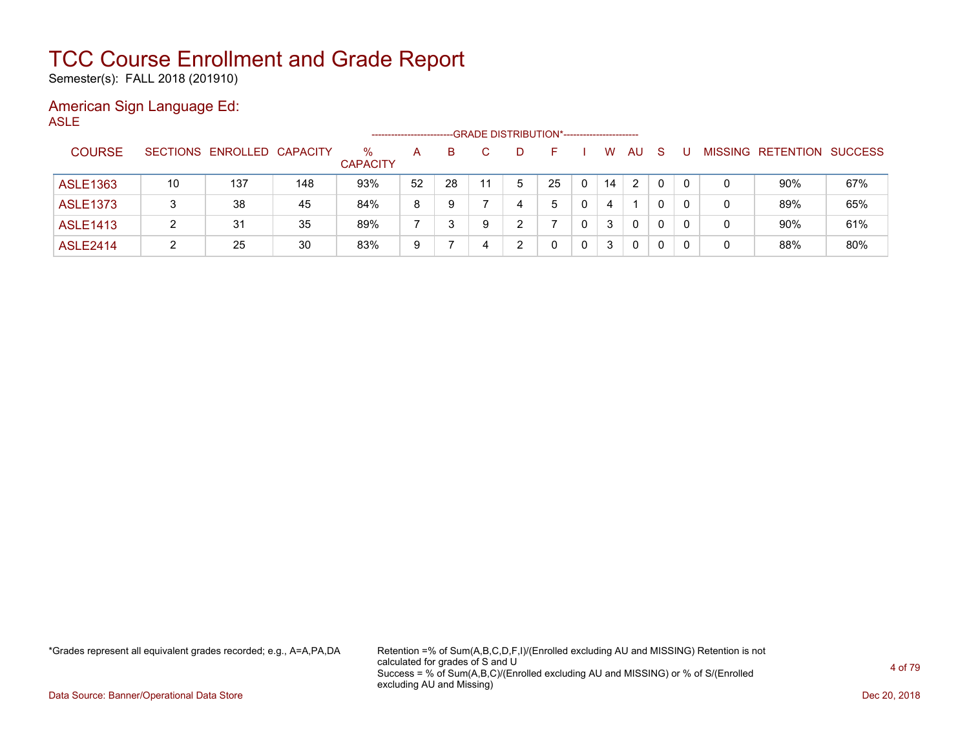Semester(s): FALL 2018 (201910)

### American Sign Language Ed: ASLE

|                 |    |                            |     |                      | -------------------- |    |   | --GRADE DISTRIBUTION*----------------------- |    |   |    |    |          |          |   |                          |                |
|-----------------|----|----------------------------|-----|----------------------|----------------------|----|---|----------------------------------------------|----|---|----|----|----------|----------|---|--------------------------|----------------|
| <b>COURSE</b>   |    | SECTIONS ENROLLED CAPACITY |     | %<br><b>CAPACITY</b> | A                    | B. |   | D                                            |    |   | W  | AU | S        |          |   | <b>MISSING RETENTION</b> | <b>SUCCESS</b> |
| <b>ASLE1363</b> | 10 | 137                        | 148 | 93%                  | 52                   | 28 |   | 5                                            | 25 | 0 | 14 | 2  |          | $\Omega$ | 0 | 90%                      | 67%            |
| <b>ASLE1373</b> |    | 38                         | 45  | 84%                  | 8                    | 9  |   | 4                                            | 5  | 0 | 4  |    |          | $\Omega$ | 0 | 89%                      | 65%            |
| <b>ASLE1413</b> | 2  | 31                         | 35  | 89%                  |                      |    | 9 | າ                                            |    | 0 | 3  | 0  | $\Omega$ | $\Omega$ | 0 | 90%                      | 61%            |
| <b>ASLE2414</b> |    | 25                         | 30  | 83%                  | 9                    |    |   | າ                                            |    | 0 | 3  | 0  | 0        | 0        | 0 | 88%                      | 80%            |

\*Grades represent all equivalent grades recorded; e.g., A=A,PA,DA Retention =% of Sum(A,B,C,D,F,I)/(Enrolled excluding AU and MISSING) Retention is not calculated for grades of S and U Success = % of Sum(A,B,C)/(Enrolled excluding AU and MISSING) or % of S/(Enrolled excluding AU and Missing)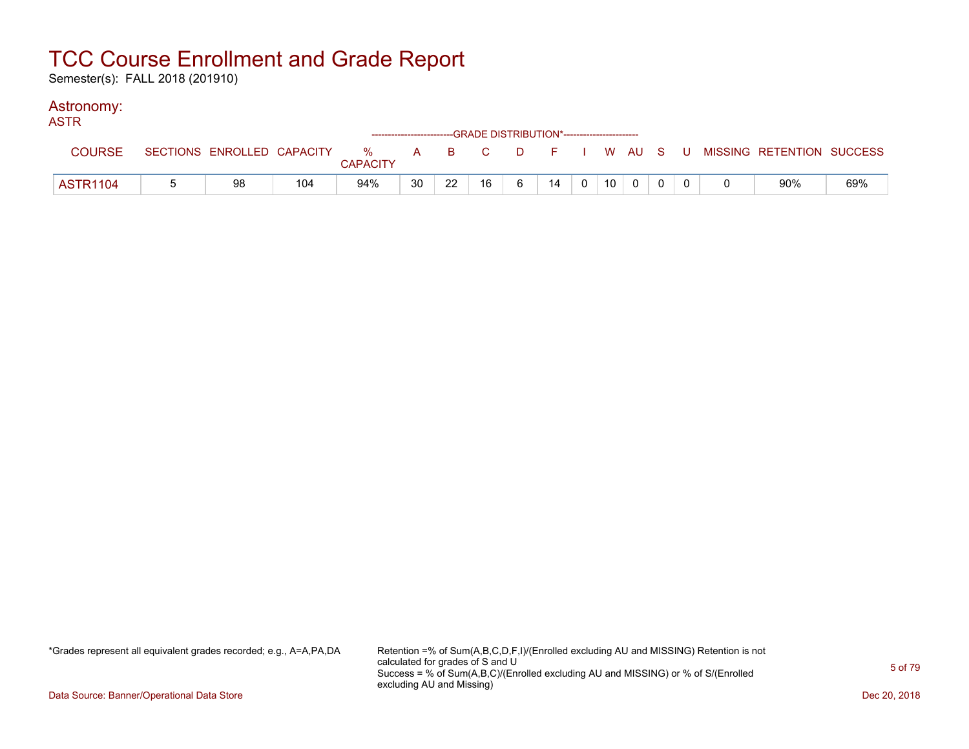Semester(s): FALL 2018 (201910)

### Astronomy:

| <b>ASTR</b>     |                            |     |                 |    | ------------------------GRADE DISTRIBUTION*----------------------- |    |   |    |          |                 |  |  |                                                  |     |
|-----------------|----------------------------|-----|-----------------|----|--------------------------------------------------------------------|----|---|----|----------|-----------------|--|--|--------------------------------------------------|-----|
| <b>COURSE</b>   | SECTIONS ENROLLED CAPACITY |     | <b>CAPACITY</b> |    |                                                                    |    |   |    |          |                 |  |  | % A B C D F I W AU S U MISSING—RETENTION SUCCESS |     |
| <b>ASTR1104</b> | 98                         | 104 | 94%             | 30 | 22                                                                 | 16 | 6 | 14 | $\Omega$ | 10 <sup>°</sup> |  |  | 90%                                              | 69% |

\*Grades represent all equivalent grades recorded; e.g., A=A,PA,DA Retention =% of Sum(A,B,C,D,F,I)/(Enrolled excluding AU and MISSING) Retention is not calculated for grades of S and U Success = % of Sum(A,B,C)/(Enrolled excluding AU and MISSING) or % of S/(Enrolled excluding AU and Missing)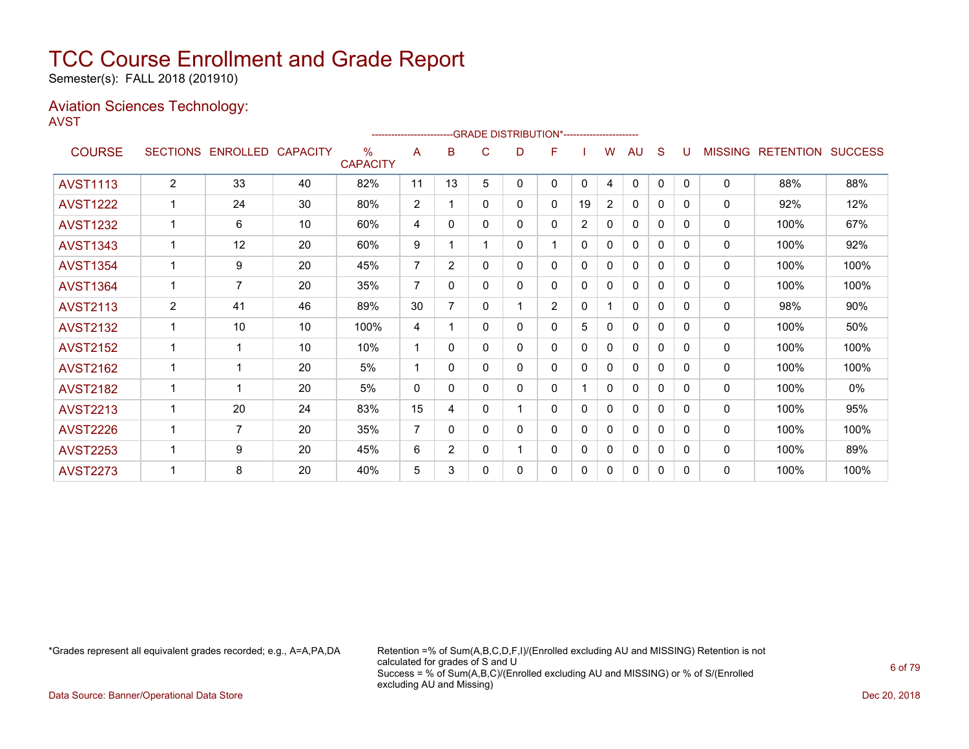Semester(s): FALL 2018 (201910)

### Aviation Sciences Technology: AVST

|                 |                 |                 |                 |                         | ----------------------- |                |   | --GRADE DISTRIBUTION*----------------------- |                |                |                |              |              |              |                |                          |      |
|-----------------|-----------------|-----------------|-----------------|-------------------------|-------------------------|----------------|---|----------------------------------------------|----------------|----------------|----------------|--------------|--------------|--------------|----------------|--------------------------|------|
| <b>COURSE</b>   | <b>SECTIONS</b> | <b>ENROLLED</b> | <b>CAPACITY</b> | $\%$<br><b>CAPACITY</b> | A                       | B              | C | D                                            | F              |                | w              | AU           | S            | U            | <b>MISSING</b> | <b>RETENTION SUCCESS</b> |      |
| <b>AVST1113</b> | $\overline{2}$  | 33              | 40              | 82%                     | 11                      | 13             | 5 | 0                                            | 0              | $\mathbf{0}$   | 4              | $\mathbf{0}$ | $\mathbf{0}$ | $\Omega$     | 0              | 88%                      | 88%  |
| <b>AVST1222</b> | 1               | 24              | 30              | 80%                     | 2                       |                | 0 | 0                                            | 0              | 19             | $\overline{2}$ | 0            | 0            | 0            | 0              | 92%                      | 12%  |
| <b>AVST1232</b> | 1               | 6               | 10              | 60%                     | 4                       | $\Omega$       | 0 | 0                                            | 0              | $\overline{2}$ | 0              | $\Omega$     | 0            | <sup>0</sup> | 0              | 100%                     | 67%  |
| <b>AVST1343</b> | $\mathbf{1}$    | 12              | 20              | 60%                     | 9                       |                |   | 0                                            | 1              | $\mathbf{0}$   | 0              | 0            | 0            | 0            | 0              | 100%                     | 92%  |
| <b>AVST1354</b> | 1               | 9               | 20              | 45%                     | $\overline{7}$          | $\overline{2}$ | 0 | 0                                            | 0              | 0              | 0              | 0            | 0            | 0            | 0              | 100%                     | 100% |
| <b>AVST1364</b> | 1               | $\overline{7}$  | 20              | 35%                     | 7                       | $\Omega$       | 0 | 0                                            | 0              | 0              | 0              | $\mathbf{0}$ | $\Omega$     | <sup>0</sup> | 0              | 100%                     | 100% |
| <b>AVST2113</b> | 2               | 41              | 46              | 89%                     | 30                      |                | 0 |                                              | $\overline{2}$ | 0              |                | $\mathbf{0}$ | 0            | 0            | 0              | 98%                      | 90%  |
| <b>AVST2132</b> | 1               | 10              | 10              | 100%                    | 4                       | 1              | 0 | 0                                            | 0              | 5              | 0              | $\mathbf{0}$ | 0            | 0            | 0              | 100%                     | 50%  |
| <b>AVST2152</b> | 1               | 1               | 10              | 10%                     | 1                       | 0              | 0 | 0                                            | 0              | $\mathbf{0}$   | 0              | $\mathbf{0}$ | 0            | <sup>0</sup> | 0              | 100%                     | 100% |
| <b>AVST2162</b> |                 | 1               | 20              | 5%                      | 1                       | 0              | 0 | 0                                            | 0              | 0              | 0              | 0            | 0            | 0            | 0              | 100%                     | 100% |
| <b>AVST2182</b> | 1               | $\overline{1}$  | 20              | 5%                      | $\mathbf{0}$            | 0              | 0 | 0                                            | 0              |                | 0              | 0            | 0            | 0            | 0              | 100%                     | 0%   |
| <b>AVST2213</b> |                 | 20              | 24              | 83%                     | 15                      | 4              | 0 |                                              | 0              | $\Omega$       | 0              | $\mathbf{0}$ | $\Omega$     | <sup>0</sup> | 0              | 100%                     | 95%  |
| <b>AVST2226</b> |                 | 7               | 20              | 35%                     | $\overline{7}$          | $\mathbf{0}$   | 0 | 0                                            | 0              | $\mathbf{0}$   | 0              | $\mathbf{0}$ | 0            | 0            | 0              | 100%                     | 100% |
| <b>AVST2253</b> | 1               | 9               | 20              | 45%                     | 6                       | $\overline{2}$ | 0 |                                              | 0              | $\mathbf{0}$   | 0              | 0            | 0            | 0            | 0              | 100%                     | 89%  |
| <b>AVST2273</b> |                 | 8               | 20              | 40%                     | 5                       | 3              | 0 | 0                                            | 0              | $\mathbf{0}$   | 0              | 0            | 0            | <sup>0</sup> | 0              | 100%                     | 100% |

\*Grades represent all equivalent grades recorded; e.g., A=A,PA,DA Retention =% of Sum(A,B,C,D,F,I)/(Enrolled excluding AU and MISSING) Retention is not calculated for grades of S and U Success = % of Sum(A,B,C)/(Enrolled excluding AU and MISSING) or % of S/(Enrolled excluding AU and Missing)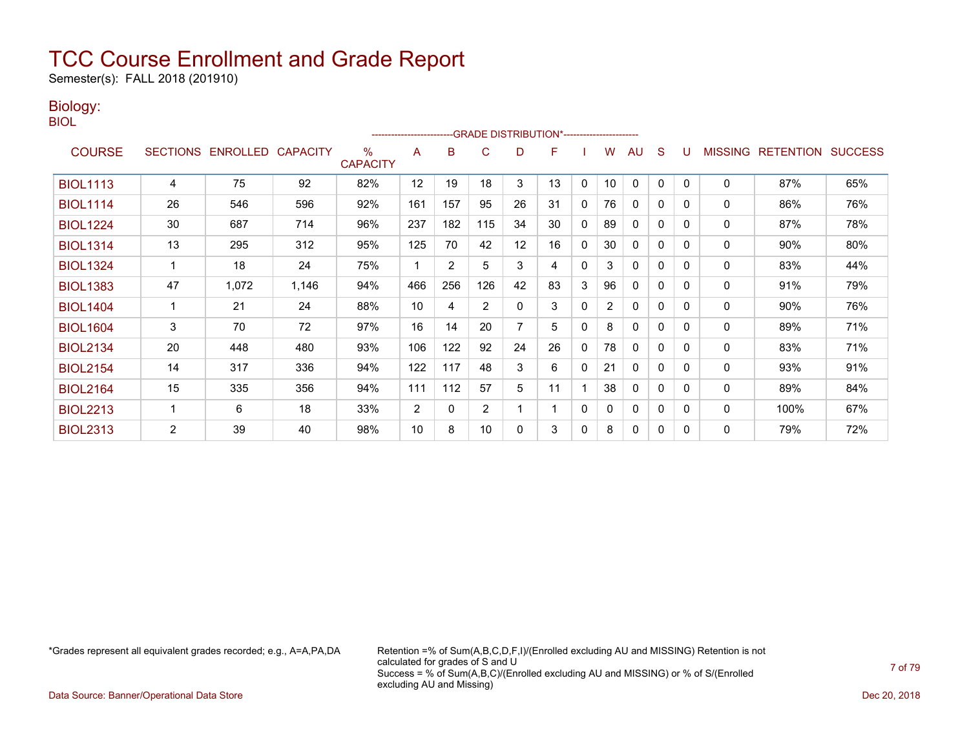Semester(s): FALL 2018 (201910)

### Biology:

BIOL

|                 |                 |                 |                 |                      | ------------------------ |                | --GRADE DISTRIBUTION*----------------------- |    |    |          |                |              |              |          |                |                  |                |
|-----------------|-----------------|-----------------|-----------------|----------------------|--------------------------|----------------|----------------------------------------------|----|----|----------|----------------|--------------|--------------|----------|----------------|------------------|----------------|
| <b>COURSE</b>   | <b>SECTIONS</b> | <b>ENROLLED</b> | <b>CAPACITY</b> | %<br><b>CAPACITY</b> | A                        | B              | C                                            | D  | F  |          | W              | AU           | S            |          | <b>MISSING</b> | <b>RETENTION</b> | <b>SUCCESS</b> |
| <b>BIOL1113</b> | 4               | 75              | 92              | 82%                  | 12                       | 19             | 18                                           | 3  | 13 | 0        | 10             | 0            | $\Omega$     | $\Omega$ | 0              | 87%              | 65%            |
| <b>BIOL1114</b> | 26              | 546             | 596             | 92%                  | 161                      | 157            | 95                                           | 26 | 31 | 0        | 76             | $\mathbf{0}$ | $\mathbf{0}$ | 0        | 0              | 86%              | 76%            |
| <b>BIOL1224</b> | 30              | 687             | 714             | 96%                  | 237                      | 182            | 115                                          | 34 | 30 | 0        | 89             | 0            | $\Omega$     | 0        | 0              | 87%              | 78%            |
| <b>BIOL1314</b> | 13              | 295             | 312             | 95%                  | 125                      | 70             | 42                                           | 12 | 16 | 0        | 30             | $\mathbf{0}$ | $\mathbf{0}$ | $\Omega$ | 0              | 90%              | 80%            |
| <b>BIOL1324</b> |                 | 18              | 24              | 75%                  | 1                        | $\overline{2}$ | 5                                            | 3  | 4  | $\Omega$ | 3              | 0            | $\Omega$     | 0        | 0              | 83%              | 44%            |
| <b>BIOL1383</b> | 47              | 1,072           | 1,146           | 94%                  | 466                      | 256            | 126                                          | 42 | 83 | 3        | 96             | $\mathbf{0}$ | 0            | $\Omega$ | 0              | 91%              | 79%            |
| <b>BIOL1404</b> |                 | 21              | 24              | 88%                  | 10                       | 4              | $\overline{2}$                               | 0  | 3  | 0        | $\overline{2}$ | $\mathbf{0}$ | 0            | 0        | 0              | 90%              | 76%            |
| <b>BIOL1604</b> | 3               | 70              | 72              | 97%                  | 16                       | 14             | 20                                           | 7  | 5  | 0        | 8              | $\mathbf{0}$ | 0            | 0        | 0              | 89%              | 71%            |
| <b>BIOL2134</b> | 20              | 448             | 480             | 93%                  | 106                      | 122            | 92                                           | 24 | 26 | 0        | 78             | $\Omega$     | 0            | 0        | 0              | 83%              | 71%            |
| <b>BIOL2154</b> | 14              | 317             | 336             | 94%                  | 122                      | 117            | 48                                           | 3  | 6  | $\Omega$ | 21             | $\mathbf{0}$ | 0            | $\Omega$ | 0              | 93%              | 91%            |
| <b>BIOL2164</b> | 15              | 335             | 356             | 94%                  | 111                      | 112            | 57                                           | 5  | 11 |          | 38             | $\Omega$     | 0            | 0        | 0              | 89%              | 84%            |
| <b>BIOL2213</b> | $\mathbf{1}$    | 6               | 18              | 33%                  | 2                        | $\mathbf{0}$   | $\overline{2}$                               |    |    | 0        | $\mathbf{0}$   | 0            | 0            | 0        | 0              | 100%             | 67%            |
| <b>BIOL2313</b> | $\overline{2}$  | 39              | 40              | 98%                  | 10                       | 8              | 10                                           | 0  | 3  | 0        | 8              | 0            | $\mathbf{0}$ | $\Omega$ | 0              | 79%              | 72%            |

\*Grades represent all equivalent grades recorded; e.g., A=A,PA,DA Retention =% of Sum(A,B,C,D,F,I)/(Enrolled excluding AU and MISSING) Retention is not calculated for grades of S and U Success = % of Sum(A,B,C)/(Enrolled excluding AU and MISSING) or % of S/(Enrolled excluding AU and Missing)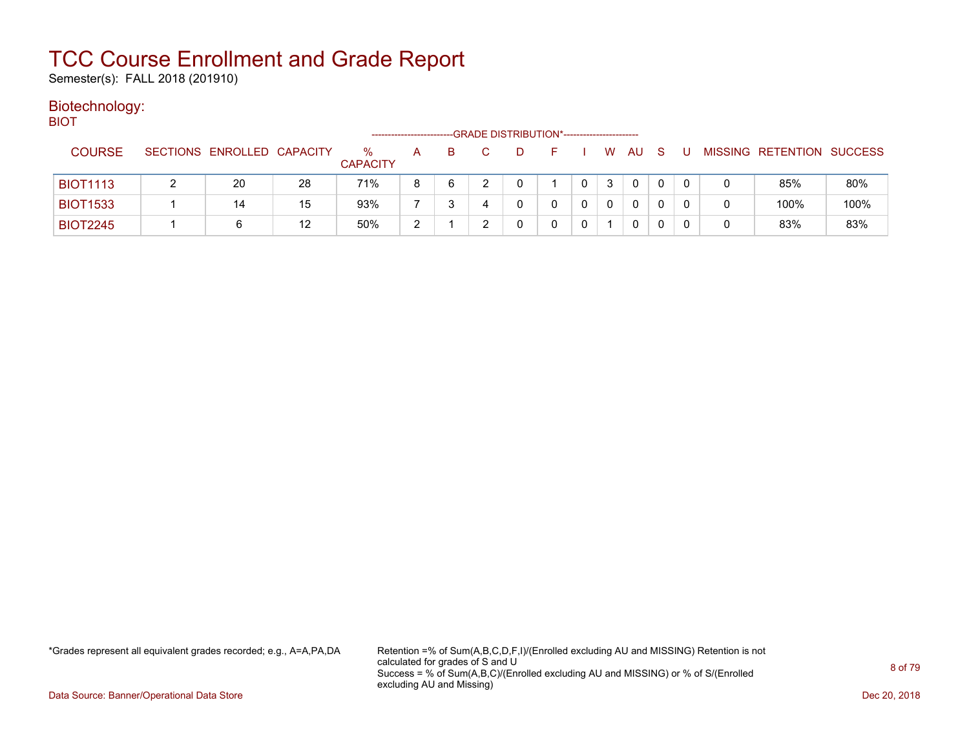Semester(s): FALL 2018 (201910)

### Biotechnology: **BIOT**

| ---             |                            |    | -------------------     |   |    | --GRADE DISTRIBUTION*----------------------- |   |    |   |          |              |    |       |                           |      |
|-----------------|----------------------------|----|-------------------------|---|----|----------------------------------------------|---|----|---|----------|--------------|----|-------|---------------------------|------|
| <b>COURSE</b>   | SECTIONS ENROLLED CAPACITY |    | $\%$<br><b>CAPACITY</b> | A | B. |                                              | D | F. |   | <b>W</b> | AU.          | -S | . U . | MISSING RETENTION SUCCESS |      |
| <b>BIOT1113</b> | 20                         | 28 | 71%                     | 8 | 6  |                                              |   |    | 0 | 3        | $\mathbf{0}$ | 0  |       | 85%                       | 80%  |
| <b>BIOT1533</b> | 14                         | 15 | 93%                     |   |    | 4                                            |   |    |   | 0        | $\Omega$     |    |       | 100%                      | 100% |
| <b>BIOT2245</b> |                            | 12 | 50%                     | ົ |    |                                              |   |    |   |          | 0            |    |       | 83%                       | 83%  |

\*Grades represent all equivalent grades recorded; e.g., A=A,PA,DA Retention =% of Sum(A,B,C,D,F,I)/(Enrolled excluding AU and MISSING) Retention is not calculated for grades of S and U Success = % of Sum(A,B,C)/(Enrolled excluding AU and MISSING) or % of S/(Enrolled excluding AU and Missing)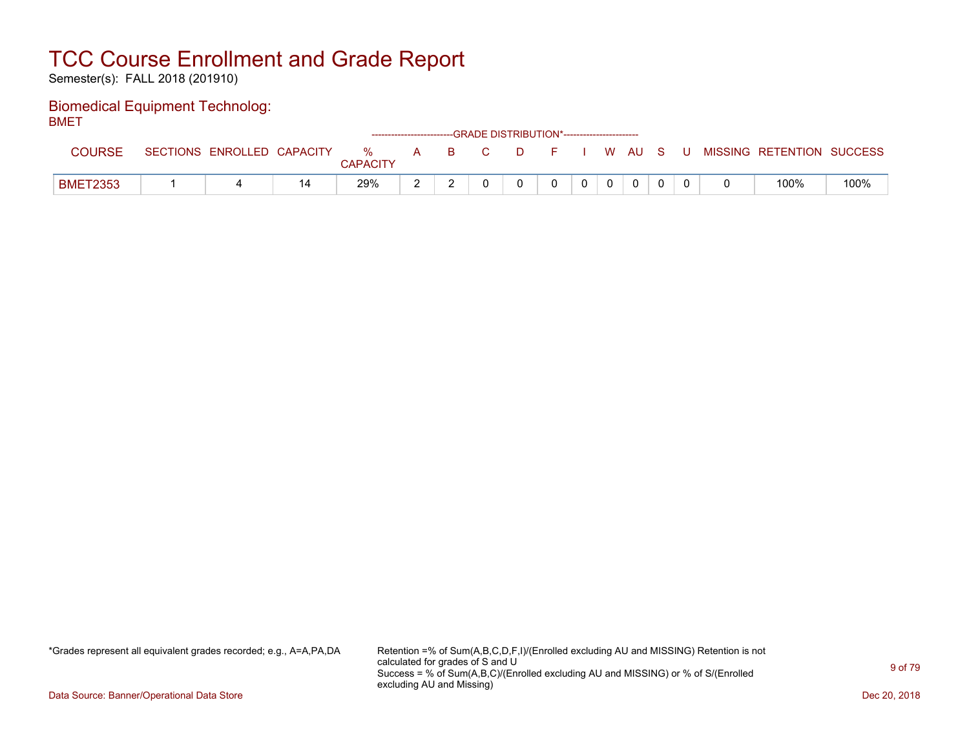Semester(s): FALL 2018 (201910)

### Biomedical Equipment Technolog: BMET

| _______         |                            |    |                      |   |          |    | ------------------------GRADE DISTRIBUTION*----------------------- |  |              |              |   |                           |      |
|-----------------|----------------------------|----|----------------------|---|----------|----|--------------------------------------------------------------------|--|--------------|--------------|---|---------------------------|------|
| <b>COURSE</b>   | SECTIONS ENROLLED CAPACITY |    | %<br><b>CAPACITY</b> | A | <b>B</b> | C. | D.                                                                 |  |              | I WAUS       | U | MISSING RETENTION SUCCESS |      |
| <b>BMET2353</b> |                            | 14 | 29%                  |   |          |    |                                                                    |  | $\mathbf{0}$ | $\mathbf{0}$ |   | 100%                      | 100% |

\*Grades represent all equivalent grades recorded; e.g., A=A,PA,DA Retention =% of Sum(A,B,C,D,F,I)/(Enrolled excluding AU and MISSING) Retention is not calculated for grades of S and U Success = % of Sum(A,B,C)/(Enrolled excluding AU and MISSING) or % of S/(Enrolled excluding AU and Missing)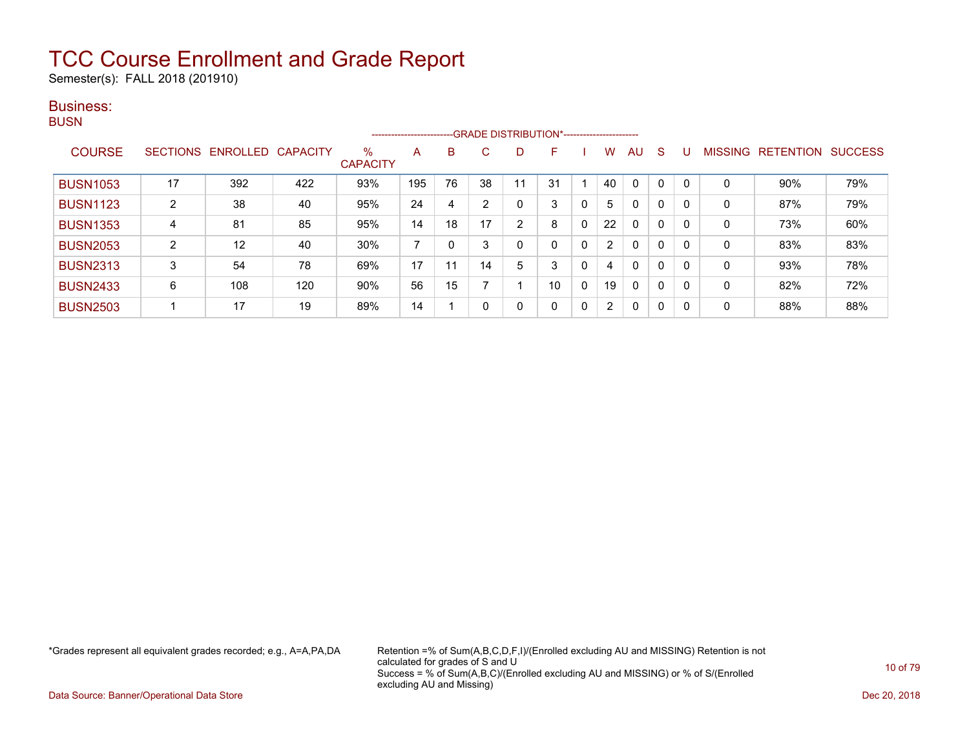Semester(s): FALL 2018 (201910)

### Business:

**BUSN** 

|                 |                 |                   |                 |                         | ----------------------- |    |    |                | --GRADE DISTRIBUTION*---------------------- |              |                      |              |              |                |                  |                |
|-----------------|-----------------|-------------------|-----------------|-------------------------|-------------------------|----|----|----------------|---------------------------------------------|--------------|----------------------|--------------|--------------|----------------|------------------|----------------|
| <b>COURSE</b>   | <b>SECTIONS</b> | ENROLLED          | <b>CAPACITY</b> | $\%$<br><b>CAPACITY</b> | A                       | B. | C. | D              | F                                           |              | W                    | AU           | <sub>S</sub> | <b>MISSING</b> | <b>RETENTION</b> | <b>SUCCESS</b> |
| <b>BUSN1053</b> | 17              | 392               | 422             | 93%                     | 195                     | 76 | 38 | 11             | 31                                          |              | 40                   | $\mathbf 0$  | 0            | 0              | 90%              | 79%            |
| <b>BUSN1123</b> | 2               | 38                | 40              | 95%                     | 24                      | 4  | ົ  | 0              | 3                                           | 0            | 5                    | 0            | 0            | 0              | 87%              | 79%            |
| <b>BUSN1353</b> | 4               | 81                | 85              | 95%                     | 14                      | 18 | 17 | $\overline{2}$ | 8                                           | 0            | 22                   | $\mathbf{0}$ | $\mathbf 0$  | 0              | 73%              | 60%            |
| <b>BUSN2053</b> | 2               | $12 \overline{ }$ | 40              | 30%                     |                         |    |    | 0              | 0                                           | 0            | $\mathbf{2}^{\circ}$ | $\mathbf{0}$ | 0            | 0              | 83%              | 83%            |
| <b>BUSN2313</b> | 3               | 54                | 78              | 69%                     | 17                      | 11 | 14 | 5              | 3                                           | 0            | 4                    | $\mathbf{0}$ | 0            | 0              | 93%              | 78%            |
| <b>BUSN2433</b> | 6               | 108               | 120             | 90%                     | 56                      | 15 |    |                | 10                                          | 0            | 19                   | $\mathbf{0}$ | $\mathbf 0$  | 0              | 82%              | 72%            |
| <b>BUSN2503</b> |                 | 17                | 19              | 89%                     | 14                      |    |    | 0              | 0                                           | $\mathbf{0}$ | $\mathbf{2}^{\circ}$ | $\mathbf{0}$ | 0            | 0              | 88%              | 88%            |

\*Grades represent all equivalent grades recorded; e.g., A=A,PA,DA Retention =% of Sum(A,B,C,D,F,I)/(Enrolled excluding AU and MISSING) Retention is not calculated for grades of S and U Success = % of Sum(A,B,C)/(Enrolled excluding AU and MISSING) or % of S/(Enrolled excluding AU and Missing)

Data Source: Banner/Operational Data Store Dec 20, 2018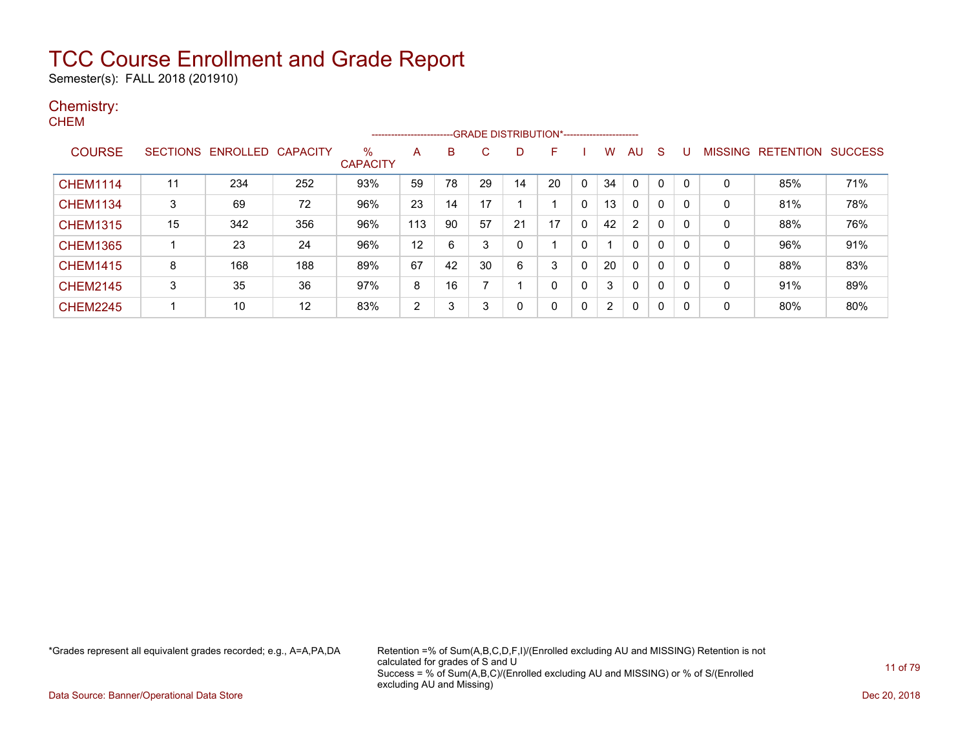Semester(s): FALL 2018 (201910)

### Chemistry:

| ◢<br><b>CHEM</b> |    |                            |     |                         |                      |    |    |                                             |          |              |                |                |          |              |              |                           |     |
|------------------|----|----------------------------|-----|-------------------------|----------------------|----|----|---------------------------------------------|----------|--------------|----------------|----------------|----------|--------------|--------------|---------------------------|-----|
|                  |    |                            |     |                         | -------------------- |    |    | -GRADE DISTRIBUTION*----------------------- |          |              |                |                |          |              |              |                           |     |
| <b>COURSE</b>    |    | SECTIONS ENROLLED CAPACITY |     | $\%$<br><b>CAPACITY</b> | A                    | B  | C  | D                                           | F        |              | W              | AU             | - S      | U            |              | MISSING RETENTION SUCCESS |     |
| <b>CHEM1114</b>  | 11 | 234                        | 252 | 93%                     | 59                   | 78 | 29 | 14                                          | 20       | $\mathbf{0}$ | 34             | $\mathbf{0}$   | $\Omega$ | 0            | $\mathbf{0}$ | 85%                       | 71% |
| <b>CHEM1134</b>  | 3  | 69                         | 72  | 96%                     | 23                   | 14 | 17 |                                             |          | $\Omega$     | 13             | $\Omega$       | $\Omega$ | $\mathbf{0}$ | $\Omega$     | 81%                       | 78% |
| <b>CHEM1315</b>  | 15 | 342                        | 356 | 96%                     | 113                  | 90 | 57 | 21                                          | 17       | $\Omega$     | 42             | $\overline{2}$ | $\Omega$ | $\mathbf{0}$ | $\mathbf{0}$ | 88%                       | 76% |
| <b>CHEM1365</b>  |    | 23                         | 24  | 96%                     | 12                   | 6  | 3  | 0                                           |          | $\mathbf{0}$ |                | $\mathbf{0}$   | $\Omega$ | $\mathbf{0}$ | $\mathbf{0}$ | 96%                       | 91% |
| <b>CHEM1415</b>  | 8  | 168                        | 188 | 89%                     | 67                   | 42 | 30 | 6                                           | 3        | $\Omega$     | 20             | $\Omega$       | $\Omega$ | $\mathbf{0}$ | $\mathbf{0}$ | 88%                       | 83% |
| <b>CHEM2145</b>  | 3  | 35                         | 36  | 97%                     | 8                    | 16 |    |                                             | 0        | 0            | 3              | $\mathbf{0}$   | $\Omega$ | $\mathbf{0}$ | $\Omega$     | 91%                       | 89% |
| <b>CHEM2245</b>  |    | 10                         | 12  | 83%                     | $\overline{2}$       | 3  | 3  | 0                                           | $\Omega$ | 0            | $\overline{2}$ | 0              | $\Omega$ | 0            | 0            | 80%                       | 80% |

\*Grades represent all equivalent grades recorded; e.g., A=A,PA,DA Retention =% of Sum(A,B,C,D,F,I)/(Enrolled excluding AU and MISSING) Retention is not calculated for grades of S and U Success = % of Sum(A,B,C)/(Enrolled excluding AU and MISSING) or % of S/(Enrolled excluding AU and Missing)

Data Source: Banner/Operational Data Store Dec 20, 2018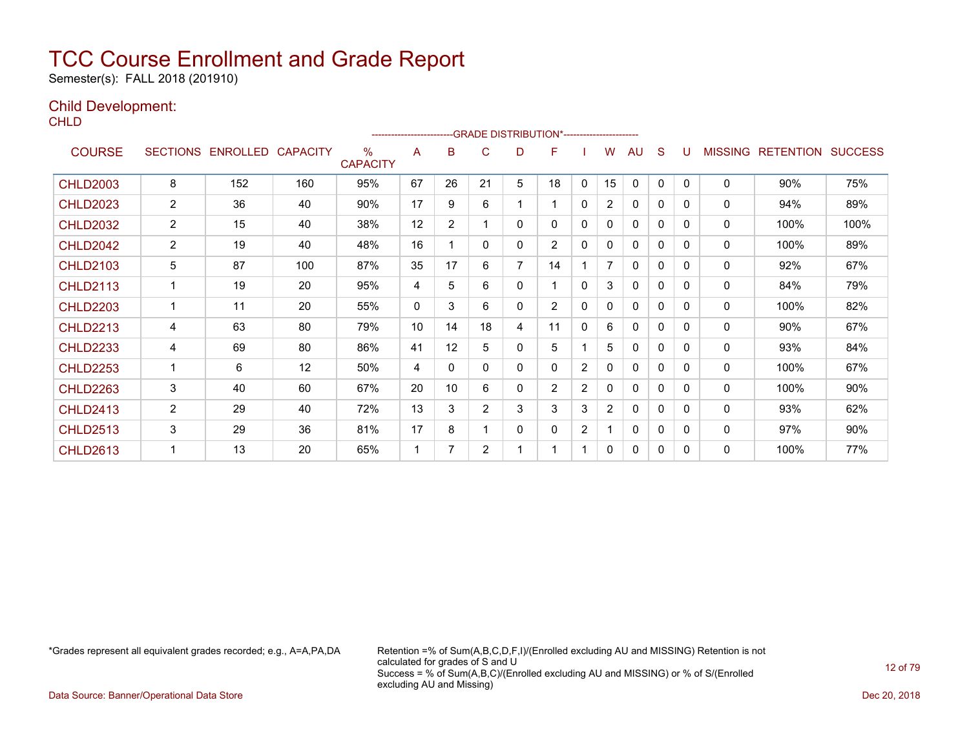Semester(s): FALL 2018 (201910)

### Child Development:

**CHLD** 

|                 |                 |          |                 |                      | ---------------------- |                | --GRADE DISTRIBUTION*---------------------- |                |                |                       |                |              |              |          |                |                  |                |
|-----------------|-----------------|----------|-----------------|----------------------|------------------------|----------------|---------------------------------------------|----------------|----------------|-----------------------|----------------|--------------|--------------|----------|----------------|------------------|----------------|
| <b>COURSE</b>   | <b>SECTIONS</b> | ENROLLED | <b>CAPACITY</b> | %<br><b>CAPACITY</b> | A                      | B              | C                                           | D              | F              |                       | w              | AU           | S            |          | <b>MISSING</b> | <b>RETENTION</b> | <b>SUCCESS</b> |
| <b>CHLD2003</b> | 8               | 152      | 160             | 95%                  | 67                     | 26             | 21                                          | 5              | 18             | $\mathbf{0}$          | 15             | $\mathbf{0}$ | $\mathbf{0}$ | $\Omega$ | $\mathbf{0}$   | 90%              | 75%            |
| <b>CHLD2023</b> | 2               | 36       | 40              | 90%                  | 17                     | 9              | 6                                           |                |                | 0                     | $\overline{2}$ | 0            | 0            | 0        | 0              | 94%              | 89%            |
| <b>CHLD2032</b> | $\overline{2}$  | 15       | 40              | 38%                  | 12                     | $\overline{2}$ |                                             | 0              | 0              | 0                     | 0              | $\Omega$     | 0            | 0        | $\mathbf{0}$   | 100%             | 100%           |
| <b>CHLD2042</b> | $\overline{c}$  | 19       | 40              | 48%                  | 16                     |                | $\Omega$                                    | 0              | $\overline{2}$ | 0                     | 0              | $\Omega$     | 0            | $\Omega$ | 0              | 100%             | 89%            |
| <b>CHLD2103</b> | 5               | 87       | 100             | 87%                  | 35                     | 17             | 6                                           | $\overline{7}$ | 14             |                       | 7              | 0            | 0            | 0        | 0              | 92%              | 67%            |
| <b>CHLD2113</b> | 1               | 19       | 20              | 95%                  | 4                      | 5              | 6                                           | 0              |                | 0                     | 3              | $\mathbf{0}$ | 0            | 0        | $\mathbf{0}$   | 84%              | 79%            |
| <b>CHLD2203</b> | 1               | 11       | 20              | 55%                  | $\Omega$               | 3              | 6                                           | 0              | $\overline{2}$ | 0                     | 0              | $\Omega$     | $\Omega$     | 0        | $\mathbf{0}$   | 100%             | 82%            |
| <b>CHLD2213</b> | 4               | 63       | 80              | 79%                  | 10                     | 14             | 18                                          | 4              | 11             | 0                     | 6              | 0            | 0            | 0        | $\mathbf{0}$   | 90%              | 67%            |
| <b>CHLD2233</b> | 4               | 69       | 80              | 86%                  | 41                     | 12             | 5                                           | 0              | 5              |                       | 5              | 0            | 0            | 0        | 0              | 93%              | 84%            |
| <b>CHLD2253</b> | 1               | 6        | 12              | 50%                  | 4                      | 0              | 0                                           | 0              | 0              | $\mathbf{2}^{\prime}$ | $\Omega$       | 0            | 0            | 0        | $\mathbf{0}$   | 100%             | 67%            |
| <b>CHLD2263</b> | 3               | 40       | 60              | 67%                  | 20                     | 10             | 6                                           | 0              | $\overline{2}$ | $\overline{2}$        | 0              | $\Omega$     | 0            | 0        | $\mathbf{0}$   | 100%             | 90%            |
| <b>CHLD2413</b> | $\overline{2}$  | 29       | 40              | 72%                  | 13                     | 3              | $\overline{2}$                              | 3              | 3              | 3                     | $\overline{2}$ | 0            | $\Omega$     | 0        | $\mathbf{0}$   | 93%              | 62%            |
| <b>CHLD2513</b> | 3               | 29       | 36              | 81%                  | 17                     | 8              |                                             | 0              | 0              | $\mathbf{2}^{\prime}$ | 1              | 0            | 0            | 0        | 0              | 97%              | 90%            |
| <b>CHLD2613</b> | 1               | 13       | 20              | 65%                  | 1                      |                | $\overline{2}$                              | 4              |                |                       | 0              | $\Omega$     | 0            | 0        | $\mathbf{0}$   | 100%             | 77%            |

\*Grades represent all equivalent grades recorded; e.g., A=A,PA,DA Retention =% of Sum(A,B,C,D,F,I)/(Enrolled excluding AU and MISSING) Retention is not calculated for grades of S and U Success = % of Sum(A,B,C)/(Enrolled excluding AU and MISSING) or % of S/(Enrolled excluding AU and Missing)

Data Source: Banner/Operational Data Store Dec 20, 2018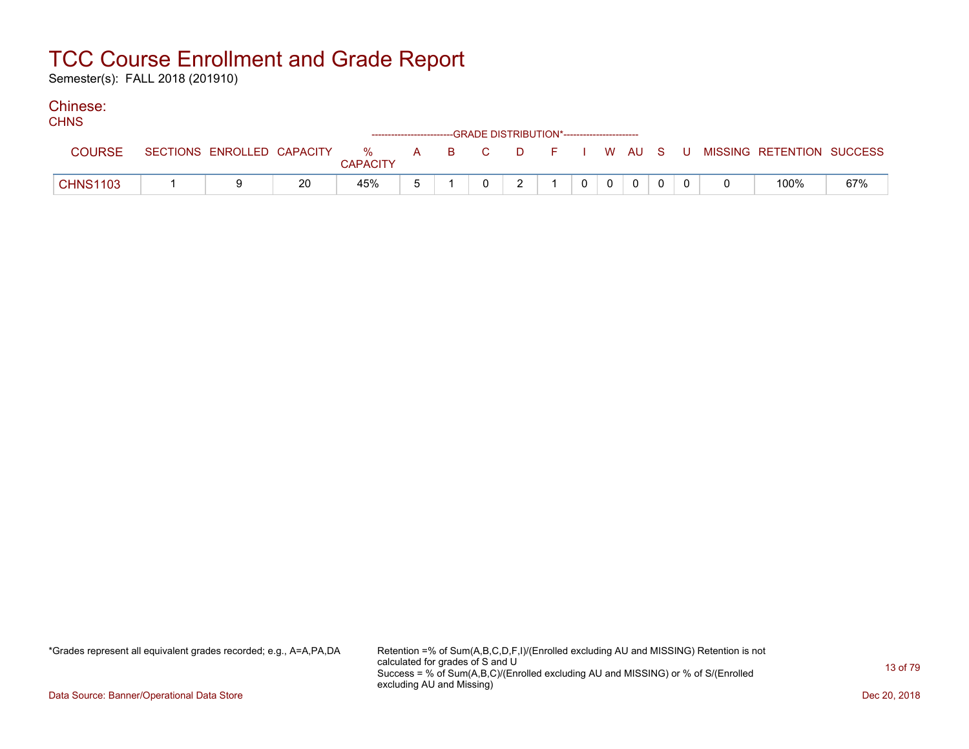Semester(s): FALL 2018 (201910)

#### Chinese: CHING.

| <b>UHIND</b>    |                            |    |                         | ------------------------GRADE DISTRIBUTION*----------------------- |               |  |  |  |                                          |     |
|-----------------|----------------------------|----|-------------------------|--------------------------------------------------------------------|---------------|--|--|--|------------------------------------------|-----|
| <b>COURSE</b>   | SECTIONS ENROLLED CAPACITY |    | $\%$<br><b>CAPACITY</b> | A B C                                                              |               |  |  |  | D F I W AU S U MISSING RETENTION SUCCESS |     |
| <b>CHNS1103</b> |                            | 20 | 45%                     |                                                                    | $\mathcal{P}$ |  |  |  | 100%                                     | 67% |

\*Grades represent all equivalent grades recorded; e.g., A=A,PA,DA Retention =% of Sum(A,B,C,D,F,I)/(Enrolled excluding AU and MISSING) Retention is not calculated for grades of S and U Success = % of Sum(A,B,C)/(Enrolled excluding AU and MISSING) or % of S/(Enrolled excluding AU and Missing)

Data Source: Banner/Operational Data Store Dec 20, 2018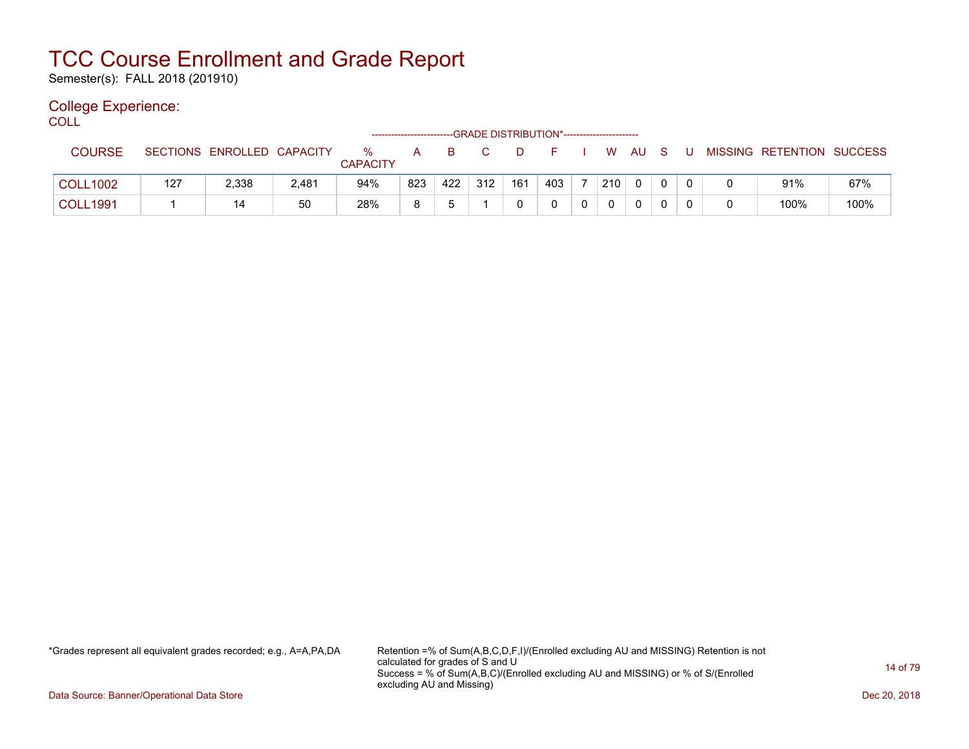Semester(s): FALL 2018 (201910)

### College Experience:

COLL<sup>'</sup>

|                 |                 |                   |       |                      | ------------------------- |     |     |     | --GRADE DISTRIBUTION*----------------------- |   |     |              |          |  |                           |      |
|-----------------|-----------------|-------------------|-------|----------------------|---------------------------|-----|-----|-----|----------------------------------------------|---|-----|--------------|----------|--|---------------------------|------|
| <b>COURSE</b>   | <b>SECTIONS</b> | ENROLLED CAPACITY |       | %<br><b>CAPACITY</b> | A                         | B.  |     | D   |                                              |   | W   | AU           | - S      |  | MISSING RETENTION SUCCESS |      |
| <b>COLL1002</b> | 127             | 2,338             | 2,481 | 94%                  | 823                       | 422 | 312 | 161 | 403                                          |   | 210 | $\mathbf{0}$ | $\Omega$ |  | 91%                       | 67%  |
| <b>COLL1991</b> |                 | 14                | 50    | 28%                  | 8                         |     |     |     |                                              | 0 |     |              |          |  | 100%                      | 100% |

\*Grades represent all equivalent grades recorded; e.g., A=A,PA,DA Retention =% of Sum(A,B,C,D,F,I)/(Enrolled excluding AU and MISSING) Retention is not calculated for grades of S and U Success = % of Sum(A,B,C)/(Enrolled excluding AU and MISSING) or % of S/(Enrolled excluding AU and Missing)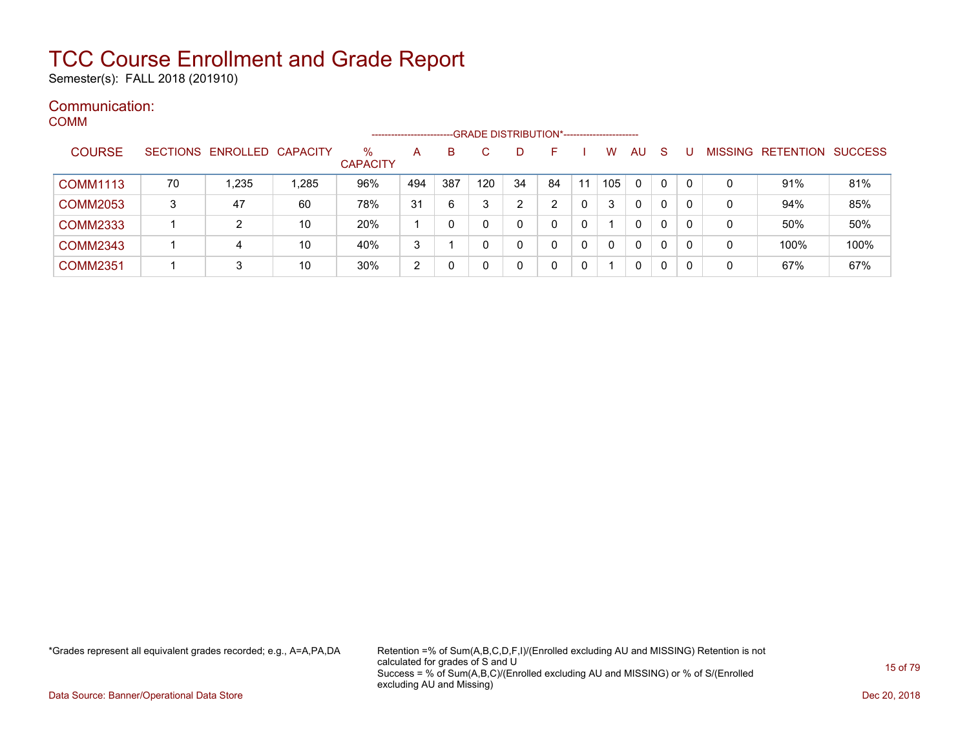Semester(s): FALL 2018 (201910)

### Communication: COMM

|                 |    |                            |       |                         | --------------------- |     | -GRADE DISTRIBUTION*----------------------- |    |    |    |     |              |              |   |                   |                |
|-----------------|----|----------------------------|-------|-------------------------|-----------------------|-----|---------------------------------------------|----|----|----|-----|--------------|--------------|---|-------------------|----------------|
| <b>COURSE</b>   |    | SECTIONS ENROLLED CAPACITY |       | $\%$<br><b>CAPACITY</b> | Α                     | в   |                                             |    |    |    | w   | AU           | <sub>S</sub> |   | MISSING RETENTION | <b>SUCCESS</b> |
| <b>COMM1113</b> | 70 | 1,235                      | 1,285 | 96%                     | 494                   | 387 | 120                                         | 34 | 84 | 11 | 105 | $\Omega$     | 0            | 0 | 91%               | 81%            |
| <b>COMM2053</b> | 3  | 47                         | 60    | 78%                     | 31                    | -6  | 3                                           | ົ  |    | 0  |     | $\mathbf{0}$ | 0            | 0 | 94%               | 85%            |
| <b>COMM2333</b> |    | 2                          | 10    | 20%                     |                       |     |                                             | 0  | 0  | 0  |     | 0            | 0            | 0 | 50%               | 50%            |
| <b>COMM2343</b> |    | 4                          | 10    | 40%                     | 3                     |     | 0                                           |    | 0  | 0  |     | $\mathbf{0}$ | 0            | 0 | 100%              | 100%           |
| <b>COMM2351</b> |    | 3                          | 10    | 30%                     | 2                     |     |                                             |    | 0  | 0  |     | $\mathbf{0}$ | 0            | 0 | 67%               | 67%            |

\*Grades represent all equivalent grades recorded; e.g., A=A,PA,DA Retention =% of Sum(A,B,C,D,F,I)/(Enrolled excluding AU and MISSING) Retention is not calculated for grades of S and U Success = % of Sum(A,B,C)/(Enrolled excluding AU and MISSING) or % of S/(Enrolled excluding AU and Missing)

Data Source: Banner/Operational Data Store Dec 20, 2018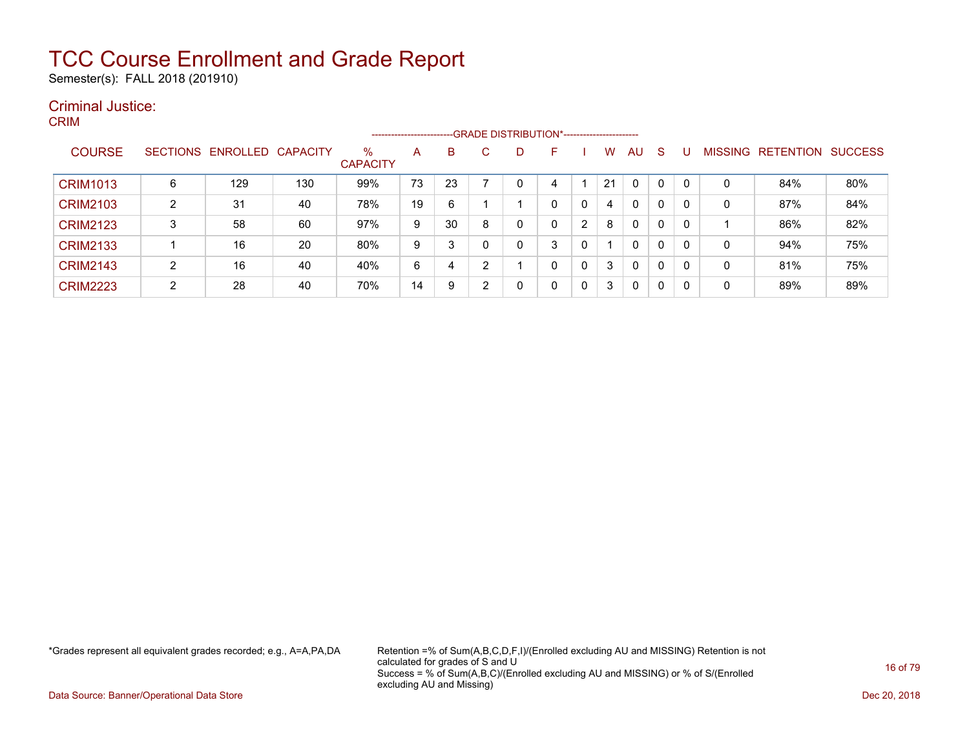Semester(s): FALL 2018 (201910)

### Criminal Justice: CRIM

|                 |                |                   |                 |                         | --------------------- |    |              | -GRADE DISTRIBUTION*---------------------- |    |   |    |              |   |   |                |                  |                |
|-----------------|----------------|-------------------|-----------------|-------------------------|-----------------------|----|--------------|--------------------------------------------|----|---|----|--------------|---|---|----------------|------------------|----------------|
| <b>COURSE</b>   |                | SECTIONS ENROLLED | <b>CAPACITY</b> | $\%$<br><b>CAPACITY</b> | A                     | B  | $\mathbf{C}$ | D                                          | F. |   | w  | AU           | S |   | <b>MISSING</b> | <b>RETENTION</b> | <b>SUCCESS</b> |
| <b>CRIM1013</b> | 6              | 129               | 130             | 99%                     | 73                    | 23 |              |                                            |    |   | 21 | $\mathbf{0}$ | 0 | 0 | 0              | 84%              | 80%            |
| <b>CRIM2103</b> | 2              | 31                | 40              | 78%                     | 19                    | 6  |              |                                            |    | 0 | 4  | 0            | 0 | 0 | 0              | 87%              | 84%            |
| <b>CRIM2123</b> | 3              | 58                | 60              | 97%                     | 9                     | 30 | 8            |                                            |    | 2 | 8  | 0            | 0 | 0 |                | 86%              | 82%            |
| <b>CRIM2133</b> |                | 16                | 20              | 80%                     | 9                     | 3  | 0            |                                            | 3  | 0 |    | 0            | 0 | 0 | 0              | 94%              | 75%            |
| <b>CRIM2143</b> | $\overline{2}$ | 16                | 40              | 40%                     | 6                     | 4  | າ            |                                            | 0  | 0 | 3  | $\mathbf{0}$ | 0 | 0 | $\mathbf{0}$   | 81%              | 75%            |
| <b>CRIM2223</b> | $\overline{2}$ | 28                | 40              | 70%                     | 14                    | 9  | າ            |                                            | 0  | 0 | 3  | 0            | 0 | 0 | 0              | 89%              | 89%            |

\*Grades represent all equivalent grades recorded; e.g., A=A,PA,DA Retention =% of Sum(A,B,C,D,F,I)/(Enrolled excluding AU and MISSING) Retention is not calculated for grades of S and U Success = % of Sum(A,B,C)/(Enrolled excluding AU and MISSING) or % of S/(Enrolled excluding AU and Missing)

Data Source: Banner/Operational Data Store Dec 20, 2018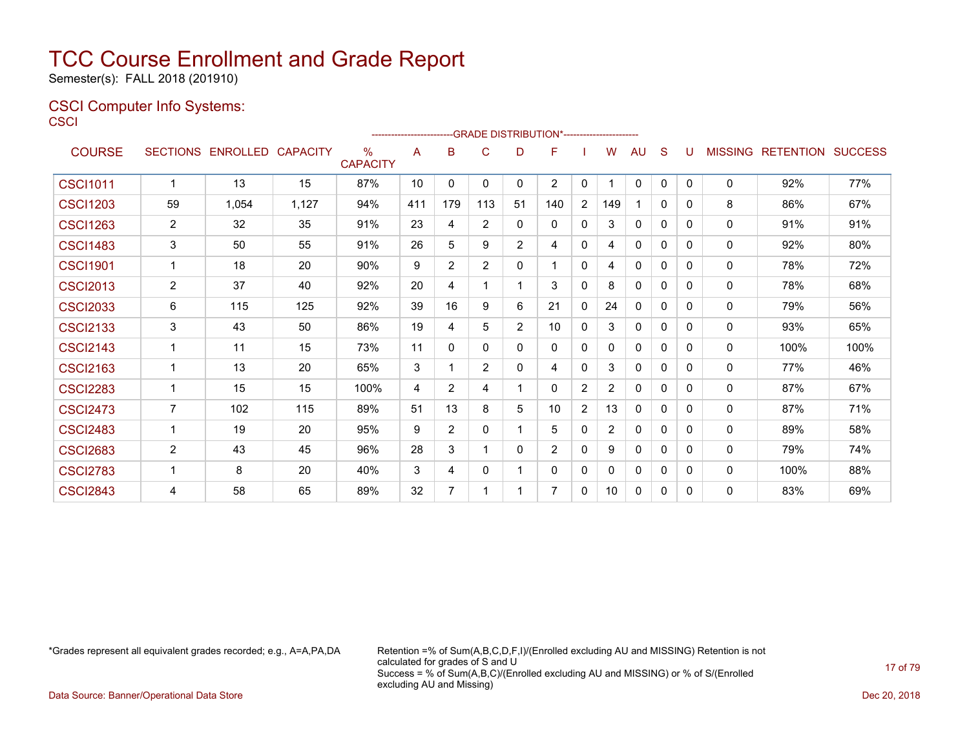Semester(s): FALL 2018 (201910)

### CSCI Computer Info Systems: **CSCI**

|                 |                |                            |       |                         | ---------------------- |                | -GRADE DISTRIBUTION*---------------------- |                |                |                |                |              |              |   |              |                           |      |
|-----------------|----------------|----------------------------|-------|-------------------------|------------------------|----------------|--------------------------------------------|----------------|----------------|----------------|----------------|--------------|--------------|---|--------------|---------------------------|------|
| <b>COURSE</b>   |                | SECTIONS ENROLLED CAPACITY |       | $\%$<br><b>CAPACITY</b> | A                      | B              | $\mathsf{C}$                               | D              | F              |                | W              | AU           | S            | U |              | MISSING RETENTION SUCCESS |      |
| <b>CSCI1011</b> | $\mathbf 1$    | 13                         | 15    | 87%                     | 10                     | 0              | 0                                          | 0              | 2              | 0              |                | 0            | 0            | 0 | 0            | 92%                       | 77%  |
| <b>CSCI1203</b> | 59             | 1,054                      | 1,127 | 94%                     | 411                    | 179            | 113                                        | 51             | 140            | $\overline{2}$ | 149            |              | 0            | 0 | 8            | 86%                       | 67%  |
| <b>CSCI1263</b> | $\overline{2}$ | 32                         | 35    | 91%                     | 23                     | 4              | 2                                          | $\Omega$       | $\mathbf{0}$   | $\Omega$       | 3              | $\mathbf{0}$ | $\mathbf{0}$ | 0 | $\Omega$     | 91%                       | 91%  |
| <b>CSCI1483</b> | 3              | 50                         | 55    | 91%                     | 26                     | 5              | 9                                          | $\overline{2}$ | 4              | $\mathbf{0}$   | 4              | $\mathbf{0}$ | 0            | 0 | 0            | 92%                       | 80%  |
| <b>CSCI1901</b> | 1              | 18                         | 20    | 90%                     | 9                      | 2              | 2                                          | $\mathbf{0}$   |                | $\mathbf{0}$   | 4              | $\mathbf{0}$ | $\Omega$     | 0 | $\mathbf{0}$ | 78%                       | 72%  |
| <b>CSCI2013</b> | $\overline{2}$ | 37                         | 40    | 92%                     | 20                     | 4              | 1                                          |                | 3              | $\mathbf{0}$   | 8              | $\mathbf{0}$ | 0            | 0 | 0            | 78%                       | 68%  |
| <b>CSCI2033</b> | 6              | 115                        | 125   | 92%                     | 39                     | 16             | 9                                          | 6              | 21             | $\mathbf{0}$   | 24             | $\mathbf{0}$ | $\Omega$     | 0 | 0            | 79%                       | 56%  |
| <b>CSCI2133</b> | 3              | 43                         | 50    | 86%                     | 19                     | 4              | 5                                          | 2              | 10             | $\mathbf{0}$   | 3              | $\mathbf{0}$ | $\mathbf{0}$ | 0 | 0            | 93%                       | 65%  |
| <b>CSCI2143</b> | 1              | 11                         | 15    | 73%                     | 11                     | 0              | $\mathbf{0}$                               | $\mathbf{0}$   | $\mathbf{0}$   | 0              | 0              | $\mathbf{0}$ | $\mathbf{0}$ | 0 | 0            | 100%                      | 100% |
| <b>CSCI2163</b> | $\mathbf{1}$   | 13                         | 20    | 65%                     | 3                      | 1              | $\overline{2}$                             | $\mathbf{0}$   | 4              | 0              | 3              | 0            | 0            | 0 | 0            | 77%                       | 46%  |
| <b>CSCI2283</b> | 1              | 15                         | 15    | 100%                    | 4                      | $\overline{2}$ | 4                                          |                | $\Omega$       | 2              | 2              | 0            | 0            | 0 | 0            | 87%                       | 67%  |
| <b>CSCI2473</b> | $\overline{7}$ | 102                        | 115   | 89%                     | 51                     | 13             | 8                                          | 5              | 10             | $\overline{2}$ | 13             | 0            | $\mathbf{0}$ | 0 | 0            | 87%                       | 71%  |
| <b>CSCI2483</b> | 1              | 19                         | 20    | 95%                     | 9                      | 2              | $\mathbf{0}$                               |                | 5              | $\mathbf{0}$   | $\overline{2}$ | $\mathbf{0}$ | $\mathbf{0}$ | 0 | 0            | 89%                       | 58%  |
| <b>CSCI2683</b> | $\overline{2}$ | 43                         | 45    | 96%                     | 28                     | 3              | 1                                          | $\Omega$       | $\overline{2}$ | $\mathbf{0}$   | 9              | $\mathbf{0}$ | 0            | 0 | 0            | 79%                       | 74%  |
| <b>CSCI2783</b> | 1              | 8                          | 20    | 40%                     | 3                      | 4              | $\Omega$                                   |                | $\mathbf{0}$   | $\mathbf{0}$   | 0              | $\mathbf{0}$ | 0            | 0 | 0            | 100%                      | 88%  |
| <b>CSCI2843</b> | 4              | 58                         | 65    | 89%                     | 32                     | 7              |                                            |                | 7              | 0              | 10             | 0            | $\mathbf{0}$ | 0 | 0            | 83%                       | 69%  |

\*Grades represent all equivalent grades recorded; e.g., A=A,PA,DA Retention =% of Sum(A,B,C,D,F,I)/(Enrolled excluding AU and MISSING) Retention is not calculated for grades of S and U Success = % of Sum(A,B,C)/(Enrolled excluding AU and MISSING) or % of S/(Enrolled excluding AU and Missing)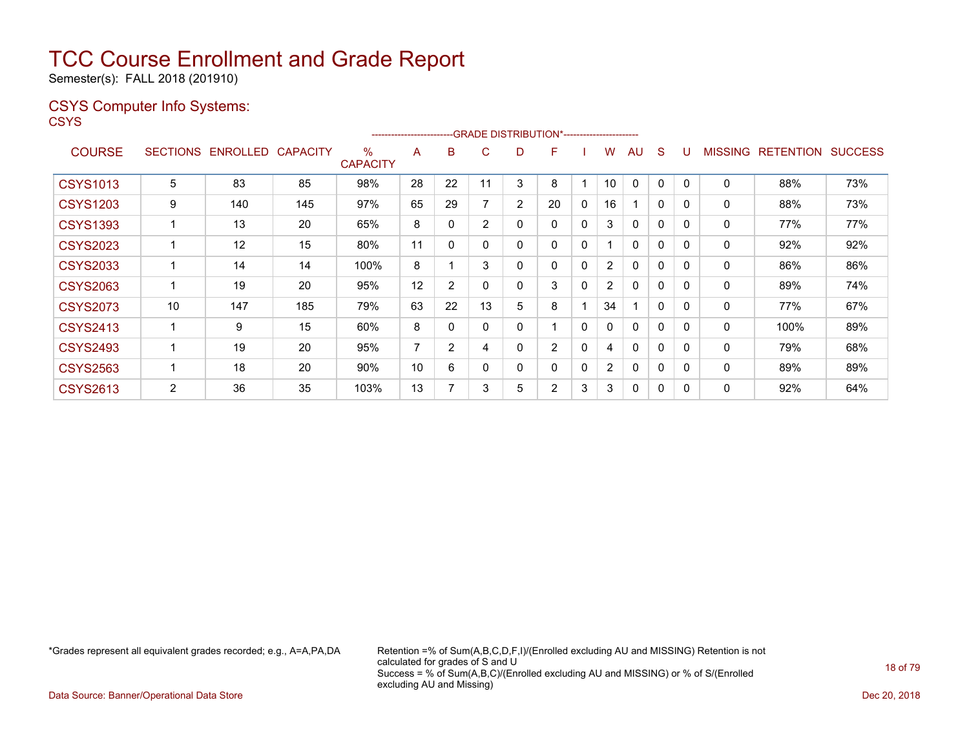Semester(s): FALL 2018 (201910)

### CSYS Computer Info Systems:

**CSYS** 

|                 |                 |                 |          |                      | ----------------------- |                |                |                | --- GRADE DISTRIBUTION*------------------------ |          |                |              |              |          |                |                  |                |
|-----------------|-----------------|-----------------|----------|----------------------|-------------------------|----------------|----------------|----------------|-------------------------------------------------|----------|----------------|--------------|--------------|----------|----------------|------------------|----------------|
| <b>COURSE</b>   | <b>SECTIONS</b> | <b>ENROLLED</b> | CAPACITY | %<br><b>CAPACITY</b> | A                       | B              | С              | D              | F                                               |          | W              | AU           | S            |          | <b>MISSING</b> | <b>RETENTION</b> | <b>SUCCESS</b> |
| <b>CSYS1013</b> | 5               | 83              | 85       | 98%                  | 28                      | 22             |                | 3              | 8                                               |          | 10             | $\mathbf{0}$ | $\Omega$     |          | 0              | 88%              | 73%            |
| <b>CSYS1203</b> | 9               | 140             | 145      | 97%                  | 65                      | 29             |                | $\overline{2}$ | 20                                              | 0        | 16             |              | $\mathbf{0}$ | 0        | 0              | 88%              | 73%            |
| <b>CSYS1393</b> |                 | 13              | 20       | 65%                  | 8                       |                | $\overline{2}$ | 0              | $\mathbf{0}$                                    | 0        | 3              | $\Omega$     | 0            | 0        | $\mathbf{0}$   | 77%              | 77%            |
| <b>CSYS2023</b> |                 | 12              | 15       | 80%                  | 11                      | 0              | 0              | 0              | $\mathbf{0}$                                    | 0        |                | $\mathbf{0}$ | 0            | 0        | $\mathbf{0}$   | 92%              | 92%            |
| <b>CSYS2033</b> |                 | 14              | 14       | 100%                 | 8                       |                | 3              | 0              | 0                                               | 0        | $\overline{2}$ | $\Omega$     | 0            | 0        | 0              | 86%              | 86%            |
| <b>CSYS2063</b> |                 | 19              | 20       | 95%                  | 12                      | $\overline{2}$ | 0              | 0              | 3                                               | 0        | $\overline{2}$ | $\Omega$     | 0            | 0        | 0              | 89%              | 74%            |
| <b>CSYS2073</b> | 10              | 147             | 185      | 79%                  | 63                      | 22             | 13             | 5              | 8                                               |          | 34             |              | 0            | 0        | $\mathbf{0}$   | 77%              | 67%            |
| <b>CSYS2413</b> |                 | 9               | 15       | 60%                  | 8                       |                | 0              | 0              |                                                 | $\Omega$ | 0              | $\Omega$     | 0            | 0        | $\mathbf{0}$   | 100%             | 89%            |
| <b>CSYS2493</b> |                 | 19              | 20       | 95%                  | 7                       | $\overline{2}$ | 4              | 0              | $\overline{2}$                                  | 0        | 4              | $\Omega$     | $\Omega$     | $\Omega$ | $\mathbf{0}$   | 79%              | 68%            |
| <b>CSYS2563</b> |                 | 18              | 20       | 90%                  | 10                      | 6              | 0              | 0              | $\mathbf{0}$                                    | 0        | $\overline{2}$ | $\Omega$     | 0            | $\Omega$ | $\mathbf{0}$   | 89%              | 89%            |
| <b>CSYS2613</b> | 2               | 36              | 35       | 103%                 | 13                      |                | 3              | 5              | 2                                               | 3        | 3              | 0            | 0            | 0        | $\mathbf{0}$   | 92%              | 64%            |

\*Grades represent all equivalent grades recorded; e.g., A=A,PA,DA Retention =% of Sum(A,B,C,D,F,I)/(Enrolled excluding AU and MISSING) Retention is not calculated for grades of S and U Success = % of Sum(A,B,C)/(Enrolled excluding AU and MISSING) or % of S/(Enrolled excluding AU and Missing)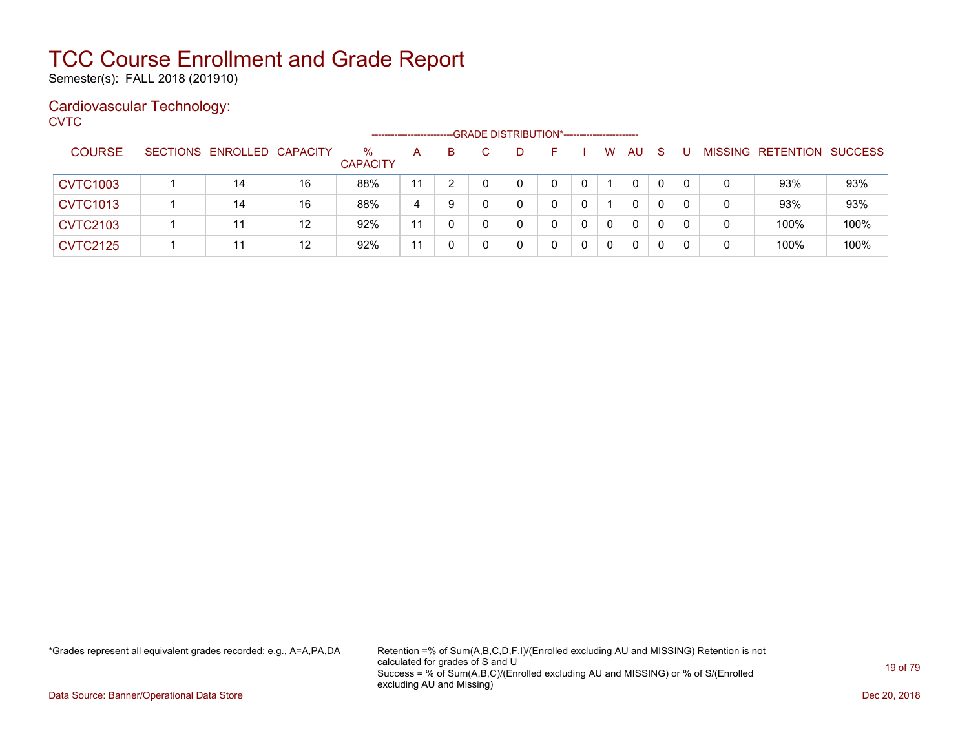Semester(s): FALL 2018 (201910)

### Cardiovascular Technology:

**CVTC** 

|                 |                            |    |                         | ---------------------- |    |  | -- GRADE DISTRIBUTION*----------------------- |             |          |              |  |                           |      |
|-----------------|----------------------------|----|-------------------------|------------------------|----|--|-----------------------------------------------|-------------|----------|--------------|--|---------------------------|------|
| <b>COURSE</b>   | SECTIONS ENROLLED CAPACITY |    | $\%$<br><b>CAPACITY</b> | A                      | B. |  |                                               | W           | AU       | <sub>S</sub> |  | MISSING RETENTION SUCCESS |      |
| <b>CVTC1003</b> | 14                         | 16 | 88%                     | 11                     |    |  | 0                                             |             | 0        | 0            |  | 93%                       | 93%  |
| <b>CVTC1013</b> | 14                         | 16 | 88%                     | 4                      | 9  |  |                                               |             | 0        | 0            |  | 93%                       | 93%  |
| <b>CVTC2103</b> | 11                         | 12 | 92%                     | 11                     |    |  |                                               | $\Omega$    | $\Omega$ | 0            |  | 100%                      | 100% |
| <b>CVTC2125</b> | 11                         | 12 | 92%                     | 11                     |    |  |                                               | $\mathbf 0$ | 0        |              |  | 100%                      | 100% |

\*Grades represent all equivalent grades recorded; e.g., A=A,PA,DA Retention =% of Sum(A,B,C,D,F,I)/(Enrolled excluding AU and MISSING) Retention is not calculated for grades of S and U Success = % of Sum(A,B,C)/(Enrolled excluding AU and MISSING) or % of S/(Enrolled excluding AU and Missing)

Data Source: Banner/Operational Data Store Dec 20, 2018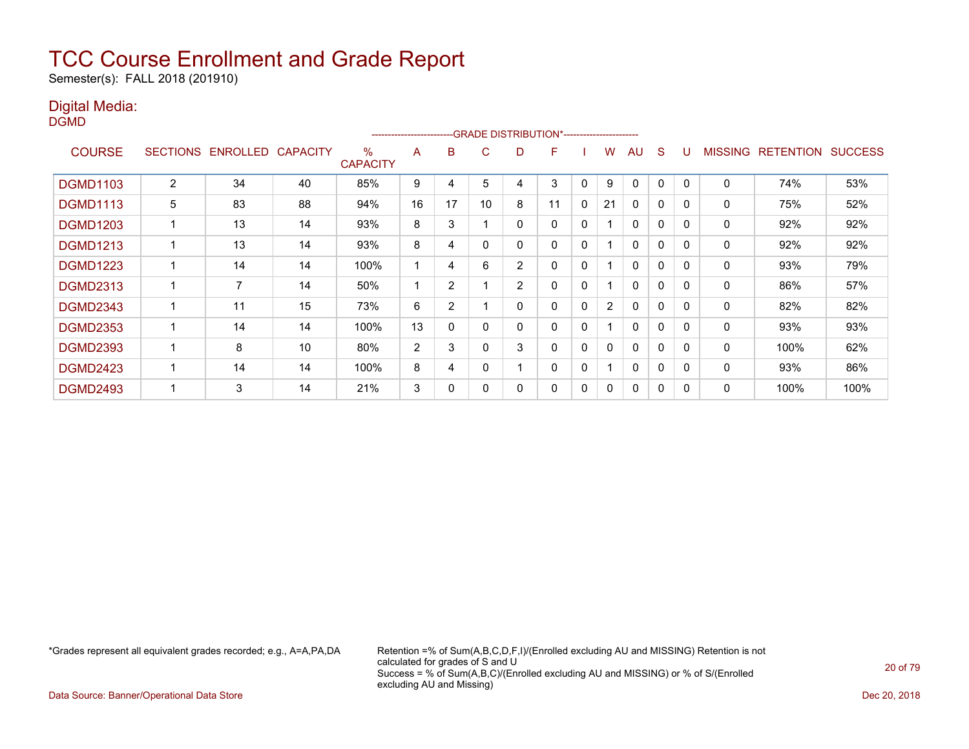Semester(s): FALL 2018 (201910)

### Digital Media:

DGMD

|                 |                 |                |                 |                      | ----------------------- |                |          |   | -- GRADE DISTRIBUTION*------------------------ |             |                |              |              |          |                |                  |                |
|-----------------|-----------------|----------------|-----------------|----------------------|-------------------------|----------------|----------|---|------------------------------------------------|-------------|----------------|--------------|--------------|----------|----------------|------------------|----------------|
| <b>COURSE</b>   | <b>SECTIONS</b> | ENROLLED       | <b>CAPACITY</b> | %<br><b>CAPACITY</b> | A                       | B              | C        | D | F                                              |             | w              | AU           | <sub>S</sub> |          | <b>MISSING</b> | <b>RETENTION</b> | <b>SUCCESS</b> |
| <b>DGMD1103</b> | $\overline{2}$  | 34             | 40              | 85%                  | 9                       | 4              | 5        | 4 | 3                                              | 0           | 9              | 0            | 0            |          | $\mathbf 0$    | 74%              | 53%            |
| <b>DGMD1113</b> | 5               | 83             | 88              | 94%                  | 16                      | 17             | 10       | 8 | 11                                             | 0           | 21             | $\mathbf{0}$ | 0            | $\Omega$ | 0              | 75%              | 52%            |
| <b>DGMD1203</b> |                 | 13             | 14              | 93%                  | 8                       | 3              |          | 0 | 0                                              | 0           |                | $\mathbf{0}$ | 0            | $\Omega$ | 0              | 92%              | 92%            |
| <b>DGMD1213</b> |                 | 13             | 14              | 93%                  | 8                       | 4              | $\Omega$ | ი | 0                                              | 0           |                | $\mathbf{0}$ | 0            | 0        | 0              | 92%              | 92%            |
| <b>DGMD1223</b> |                 | 14             | 14              | 100%                 |                         | 4              | 6        | 2 | 0                                              | 0           |                | $\mathbf{0}$ | 0            | 0        | 0              | 93%              | 79%            |
| <b>DGMD2313</b> |                 | $\overline{7}$ | 14              | 50%                  |                         | 2              |          | 2 | 0                                              | 0           |                | $\mathbf{0}$ | 0            | $\Omega$ | 0              | 86%              | 57%            |
| <b>DGMD2343</b> |                 | 11             | 15              | 73%                  | 6                       | $\overline{2}$ |          | 0 | 0                                              | 0           | $\overline{2}$ | $\mathbf{0}$ | 0            | 0        | 0              | 82%              | 82%            |
| <b>DGMD2353</b> |                 | 14             | 14              | 100%                 | 13                      | 0              | $\Omega$ | 0 | 0                                              | 0           |                | $\mathbf{0}$ | 0            | $\Omega$ | $\mathbf 0$    | 93%              | 93%            |
| <b>DGMD2393</b> |                 | 8              | 10              | 80%                  | 2                       | 3              |          | 3 | 0                                              | $\mathbf 0$ | 0              | $\mathbf{0}$ | 0            | $\Omega$ | 0              | 100%             | 62%            |
| <b>DGMD2423</b> |                 | 14             | 14              | 100%                 | 8                       | 4              | $\Omega$ |   | 0                                              | $\mathbf 0$ |                | $\mathbf{0}$ | 0            | $\Omega$ | $\mathbf 0$    | 93%              | 86%            |
| <b>DGMD2493</b> |                 | 3              | 14              | 21%                  | 3                       | 0              | $\Omega$ | ი | 0                                              | 0           | $\mathbf{0}$   | $\mathbf{0}$ | 0            | $\Omega$ | 0              | 100%             | 100%           |

\*Grades represent all equivalent grades recorded; e.g., A=A,PA,DA Retention =% of Sum(A,B,C,D,F,I)/(Enrolled excluding AU and MISSING) Retention is not calculated for grades of S and U Success = % of Sum(A,B,C)/(Enrolled excluding AU and MISSING) or % of S/(Enrolled excluding AU and Missing)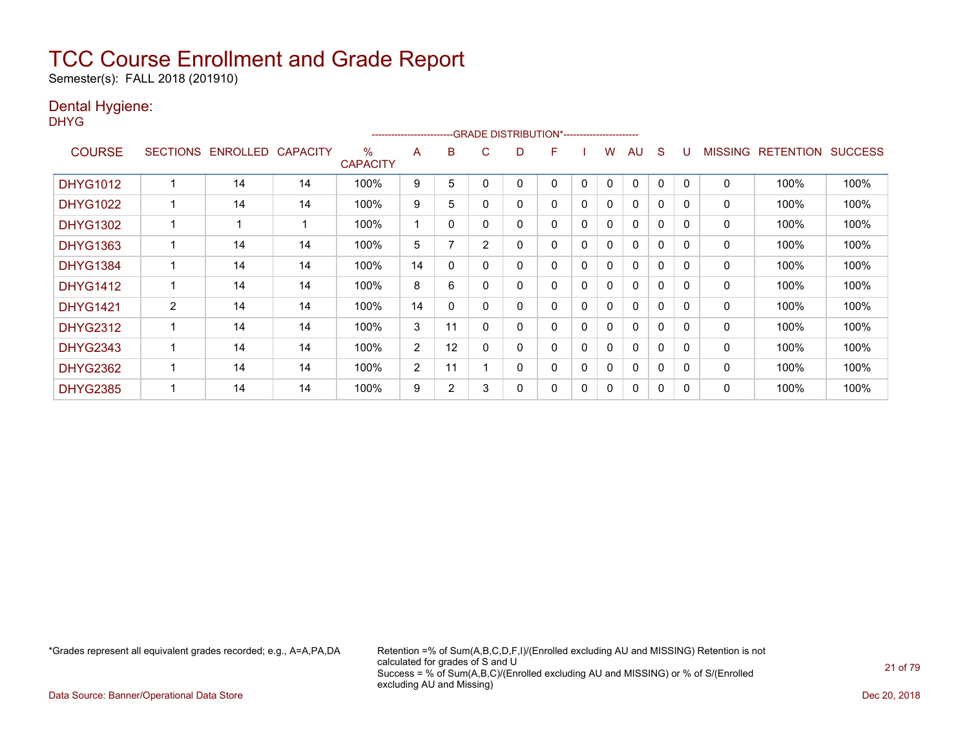Semester(s): FALL 2018 (201910)

### Dental Hygiene:

DHYG

|                 |                 |                 |                 |                      | ---------------------- |                          |                | -- GRADE DISTRIBUTION*------------------------ |   |   |   |              |              |              |         |                  |                |
|-----------------|-----------------|-----------------|-----------------|----------------------|------------------------|--------------------------|----------------|------------------------------------------------|---|---|---|--------------|--------------|--------------|---------|------------------|----------------|
| <b>COURSE</b>   | <b>SECTIONS</b> | <b>ENROLLED</b> | <b>CAPACITY</b> | %<br><b>CAPACITY</b> | A                      | B                        | C              | D                                              | F |   | w | AU           | S            |              | MISSING | <b>RETENTION</b> | <b>SUCCESS</b> |
| <b>DHYG1012</b> |                 | 14              | 14              | 100%                 | 9                      | 5                        |                | 0                                              | 0 | 0 | 0 | 0            | $\Omega$     | 0            | 0       | 100%             | 100%           |
| <b>DHYG1022</b> |                 | 14              | 14              | 100%                 | 9                      | 5                        |                | 0                                              | 0 | 0 | 0 | 0            | 0            | $\Omega$     | 0       | 100%             | 100%           |
| <b>DHYG1302</b> |                 |                 |                 | 100%                 |                        | 0                        |                | 0                                              | 0 | 0 | 0 | $\Omega$     | 0            | $\Omega$     | 0       | 100%             | 100%           |
| <b>DHYG1363</b> |                 | 14              | 14              | 100%                 | 5                      | $\overline{\phantom{a}}$ | $\overline{2}$ | 0                                              | 0 | 0 | 0 | $\mathbf{0}$ | $\mathbf{0}$ | $\Omega$     | 0       | 100%             | 100%           |
| <b>DHYG1384</b> |                 | 14              | 14              | 100%                 | 14                     | 0                        |                | 0                                              | 0 | 0 | 0 | 0            | 0            | 0            | 0       | 100%             | 100%           |
| <b>DHYG1412</b> |                 | 14              | 14              | 100%                 | 8                      | 6                        |                | 0                                              | 0 | 0 | 0 | 0            | 0            | 0            | 0       | 100%             | 100%           |
| <b>DHYG1421</b> | $\overline{2}$  | 14              | 14              | 100%                 | 14                     | $\mathbf{0}$             |                | 0                                              | 0 | 0 | 0 | $\mathbf{0}$ | $\Omega$     | 0            | 0       | 100%             | 100%           |
| <b>DHYG2312</b> |                 | 14              | 14              | 100%                 | 3                      | 11                       |                | 0                                              | 0 | 0 | 0 | $\Omega$     | $\Omega$     | $\Omega$     | 0       | 100%             | 100%           |
| <b>DHYG2343</b> |                 | 14              | 14              | 100%                 | $\overline{2}$         | 12                       |                | 0                                              | 0 | 0 | 0 | $\mathbf{0}$ | 0            | $\Omega$     | 0       | 100%             | 100%           |
| <b>DHYG2362</b> |                 | 14              | 14              | 100%                 | $\overline{2}$         | 11                       |                | 0                                              | 0 | 0 | 0 | $\Omega$     | $\Omega$     | $\Omega$     | 0       | 100%             | 100%           |
| <b>DHYG2385</b> |                 | 14              | 14              | 100%                 | 9                      | $\overline{2}$           | 3              | 0                                              | 0 | 0 | 0 | $\Omega$     | 0            | <sup>0</sup> | 0       | 100%             | 100%           |

\*Grades represent all equivalent grades recorded; e.g., A=A,PA,DA Retention =% of Sum(A,B,C,D,F,I)/(Enrolled excluding AU and MISSING) Retention is not calculated for grades of S and U Success = % of Sum(A,B,C)/(Enrolled excluding AU and MISSING) or % of S/(Enrolled excluding AU and Missing)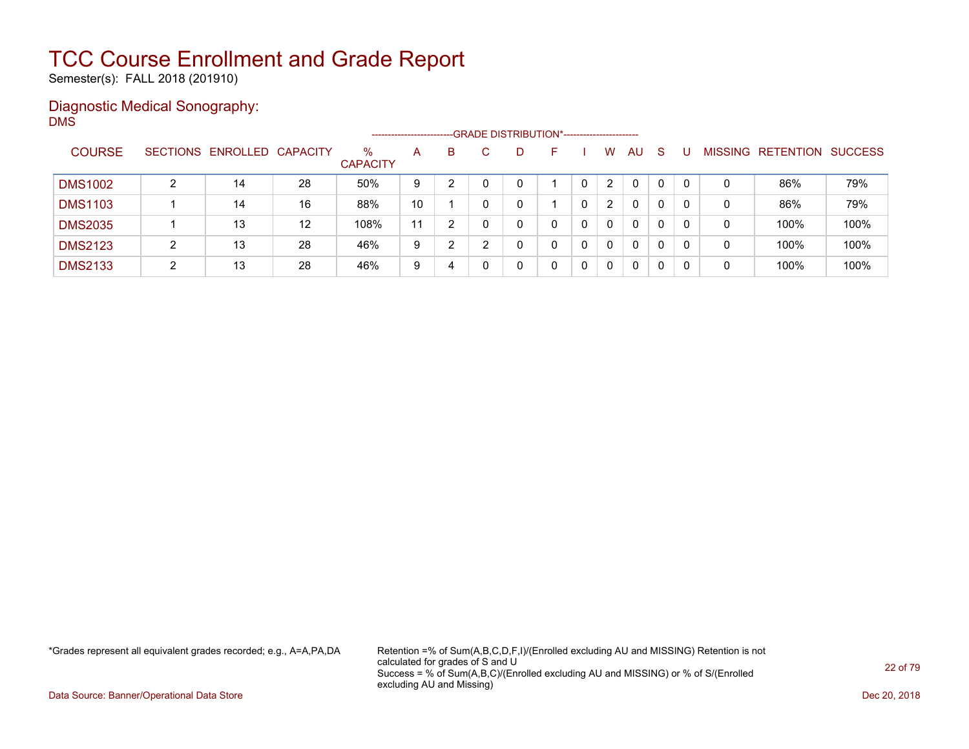Semester(s): FALL 2018 (201910)

### Diagnostic Medical Sonography: DMS

|                |   |                            |    |                         | --------------------- |   |   | -- GRADE DISTRIBUTION*------------------------ |                      |              |    |   |                |           |                |
|----------------|---|----------------------------|----|-------------------------|-----------------------|---|---|------------------------------------------------|----------------------|--------------|----|---|----------------|-----------|----------------|
| <b>COURSE</b>  |   | SECTIONS ENROLLED CAPACITY |    | $\%$<br><b>CAPACITY</b> | A                     | B | D | н.                                             | W                    | <b>AU</b>    | -S |   | <b>MISSING</b> | RETENTION | <b>SUCCESS</b> |
| <b>DMS1002</b> | ົ | 14                         | 28 | 50%                     | 9                     |   |   |                                                | $\mathbf{2}^{\circ}$ | $\mathbf{0}$ | 0  |   | 0              | 86%       | 79%            |
| <b>DMS1103</b> |   | 14                         | 16 | 88%                     | 10                    |   |   |                                                | 2                    | 0            | 0  |   | 0              | 86%       | 79%            |
| <b>DMS2035</b> |   | 13                         | 12 | 108%                    | 11                    | າ |   |                                                | $\Omega$             | 0            | 0  |   | 0              | 100%      | 100%           |
| <b>DMS2123</b> | ົ | 13                         | 28 | 46%                     | 9                     | າ |   | 0                                              | 0                    | 0            | 0  |   | 0              | 100%      | 100%           |
| <b>DMS2133</b> | ◠ | 13                         | 28 | 46%                     | 9                     | 4 |   |                                                | 0                    | 0            | 0  | 0 | 0              | 100%      | 100%           |

\*Grades represent all equivalent grades recorded; e.g., A=A,PA,DA Retention =% of Sum(A,B,C,D,F,I)/(Enrolled excluding AU and MISSING) Retention is not calculated for grades of S and U Success = % of Sum(A,B,C)/(Enrolled excluding AU and MISSING) or % of S/(Enrolled excluding AU and Missing)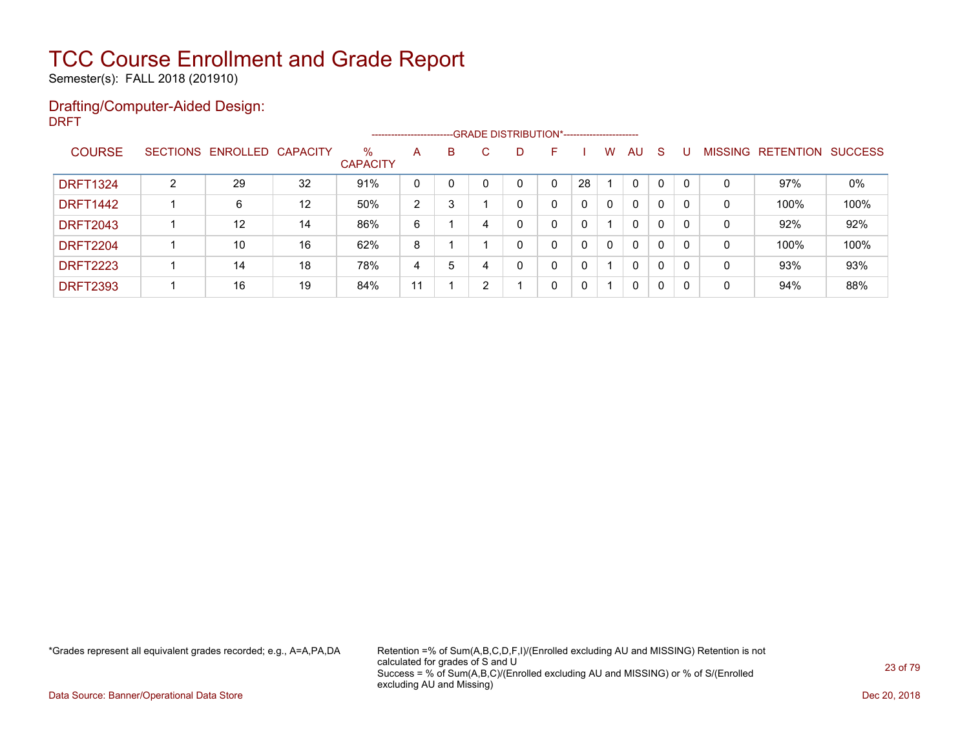Semester(s): FALL 2018 (201910)

### Drafting/Computer-Aided Design: DRFT

|                 |   |                            |                   |                         | ---------------------- |   |    | --GRADE DISTRIBUTION*----------------------- |    |    |              |              |              |          |                |                  |                |
|-----------------|---|----------------------------|-------------------|-------------------------|------------------------|---|----|----------------------------------------------|----|----|--------------|--------------|--------------|----------|----------------|------------------|----------------|
| <b>COURSE</b>   |   | SECTIONS ENROLLED CAPACITY |                   | $\%$<br><b>CAPACITY</b> | A                      | B | C. | D                                            | н. |    | W            | AU           | -S           |          | <b>MISSING</b> | <b>RETENTION</b> | <b>SUCCESS</b> |
| <b>DRFT1324</b> | C | 29                         | 32                | 91%                     | 0                      |   |    |                                              | 0  | 28 |              | $\mathbf{0}$ | 0            |          | 0              | 97%              | 0%             |
| <b>DRFT1442</b> |   | 6                          | $12 \overline{ }$ | 50%                     | 2                      | 3 |    |                                              | 0  | 0  | $\Omega$     | $\mathbf{0}$ | 0            | $\Omega$ | 0              | 100%             | 100%           |
| <b>DRFT2043</b> |   | 12                         | 14                | 86%                     | 6                      |   | 4  |                                              | 0  | 0  |              | $\mathbf{0}$ | 0            | 0        | 0              | 92%              | 92%            |
| <b>DRFT2204</b> |   | 10                         | 16                | 62%                     | 8                      |   |    | ი                                            | 0  | 0  | $\mathbf{0}$ | $\mathbf{0}$ | $\mathbf{0}$ | 0        | 0              | 100%             | 100%           |
| <b>DRFT2223</b> |   | 14                         | 18                | 78%                     | 4                      | 5 |    |                                              | 0  | 0  |              | $\mathbf{0}$ | 0            | 0        | 0              | 93%              | 93%            |
| <b>DRFT2393</b> |   | 16                         | 19                | 84%                     | 11                     |   |    |                                              | 0  | 0  |              | $\mathbf{0}$ | 0            | 0        | 0              | 94%              | 88%            |

\*Grades represent all equivalent grades recorded; e.g., A=A,PA,DA Retention =% of Sum(A,B,C,D,F,I)/(Enrolled excluding AU and MISSING) Retention is not calculated for grades of S and U Success = % of Sum(A,B,C)/(Enrolled excluding AU and MISSING) or % of S/(Enrolled excluding AU and Missing)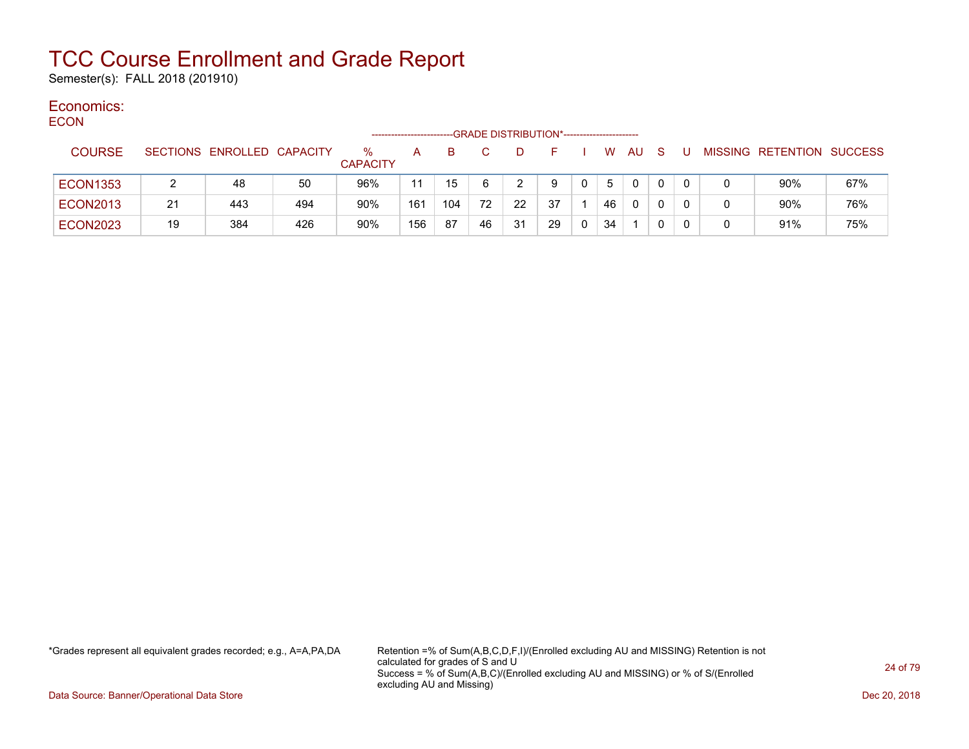Semester(s): FALL 2018 (201910)

#### Economics: ECON

| <b>EUUN</b>     |    |                            |     |                         |     |     |    | --GRADE DISTRIBUTION*----------------------- |    |            |    |              |              |   |                           |     |
|-----------------|----|----------------------------|-----|-------------------------|-----|-----|----|----------------------------------------------|----|------------|----|--------------|--------------|---|---------------------------|-----|
| <b>COURSE</b>   |    | SECTIONS ENROLLED CAPACITY |     | $\%$<br><b>CAPACITY</b> | A   |     |    | D                                            |    |            | W. | AU           | <sub>S</sub> |   | MISSING RETENTION SUCCESS |     |
| <b>ECON1353</b> |    | 48                         | 50  | 96%                     | 11  | 15  | 6  | າ                                            | 9  | $^{\circ}$ | 5  | $\mathbf{0}$ | 0            | 0 | 90%                       | 67% |
| <b>ECON2013</b> | 21 | 443                        | 494 | 90%                     | 161 | 104 | 72 | 22                                           | 37 |            | 46 | $\mathbf{0}$ |              |   | 90%                       | 76% |
| <b>ECON2023</b> | 19 | 384                        | 426 | 90%                     | 156 | 87  | 46 | 31                                           | 29 |            | 34 |              |              |   | 91%                       | 75% |

\*Grades represent all equivalent grades recorded; e.g., A=A,PA,DA Retention =% of Sum(A,B,C,D,F,I)/(Enrolled excluding AU and MISSING) Retention is not calculated for grades of S and U Success = % of Sum(A,B,C)/(Enrolled excluding AU and MISSING) or % of S/(Enrolled excluding AU and Missing)

Data Source: Banner/Operational Data Store Dec 20, 2018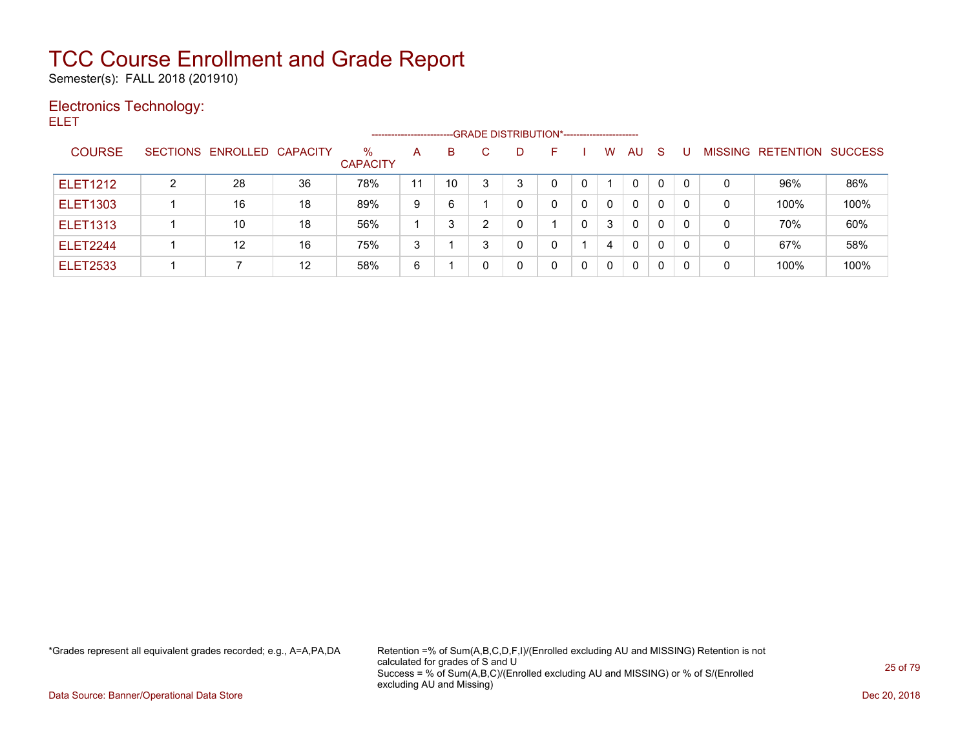Semester(s): FALL 2018 (201910)

### Electronics Technology:

ELET

|                 |   |                            |                   |                         |    | ------------------------GRADE DISTRIBUTION*----------------------- |   |   |   |   |              |          |              |                |           |                |
|-----------------|---|----------------------------|-------------------|-------------------------|----|--------------------------------------------------------------------|---|---|---|---|--------------|----------|--------------|----------------|-----------|----------------|
| <b>COURSE</b>   |   | SECTIONS ENROLLED CAPACITY |                   | $\%$<br><b>CAPACITY</b> | A  | B.                                                                 |   | D |   | W | <b>AU</b>    | S        |              | <b>MISSING</b> | RETENTION | <b>SUCCESS</b> |
| <b>ELET1212</b> | າ | 28                         | 36                | 78%                     | 11 | 10                                                                 | 3 | 3 | 0 |   | $\mathbf{0}$ |          | $\Omega$     | 0              | 96%       | 86%            |
| <b>ELET1303</b> |   | 16                         | 18                | 89%                     | 9  | 6                                                                  |   | 0 | 0 | 0 | $\Omega$     | 0        | $\Omega$     | 0              | 100%      | 100%           |
| <b>ELET1313</b> |   | 10                         | 18                | 56%                     |    |                                                                    | ົ |   | 0 | 3 | $\mathbf{0}$ | 0        | 0            | 0              | 70%       | 60%            |
| <b>ELET2244</b> |   | 12                         | 16                | 75%                     | 3  |                                                                    | ົ | 0 |   | 4 | $\Omega$     | $\Omega$ | $\mathbf{0}$ | 0              | 67%       | 58%            |
| <b>ELET2533</b> |   |                            | $12 \overline{ }$ | 58%                     | 6  |                                                                    |   | 0 | 0 | 0 | $\Omega$     | 0        | 0            | 0              | 100%      | 100%           |

\*Grades represent all equivalent grades recorded; e.g., A=A,PA,DA Retention =% of Sum(A,B,C,D,F,I)/(Enrolled excluding AU and MISSING) Retention is not calculated for grades of S and U Success = % of Sum(A,B,C)/(Enrolled excluding AU and MISSING) or % of S/(Enrolled excluding AU and Missing)

Data Source: Banner/Operational Data Store Dec 20, 2018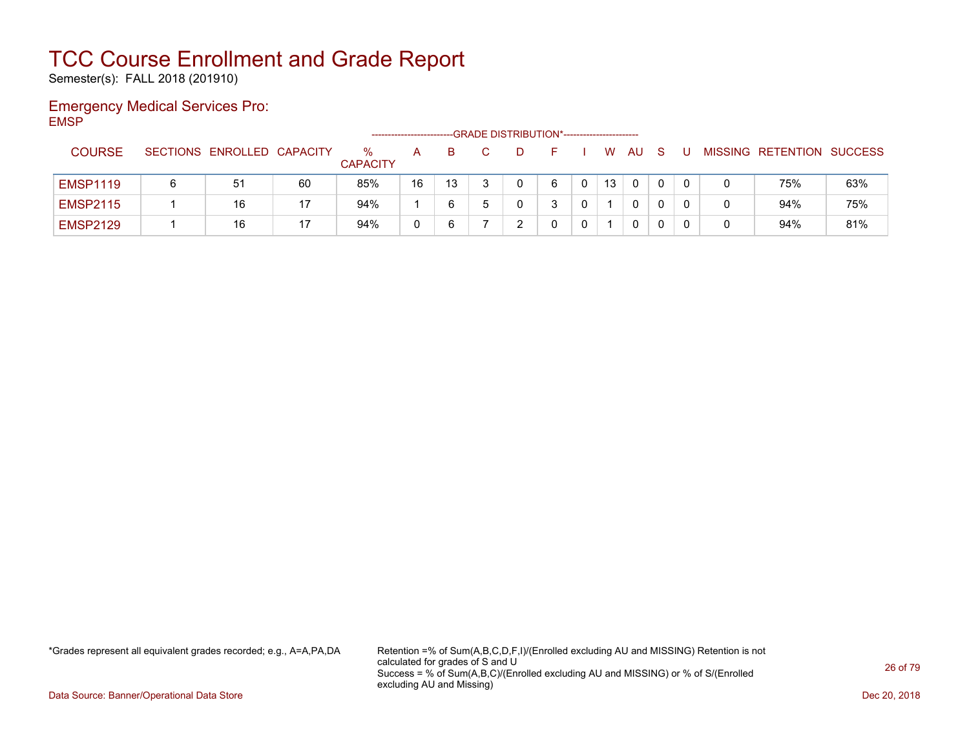Semester(s): FALL 2018 (201910)

### Emergency Medical Services Pro: EMSP

|                 |                            |    |                         | --------------------- |    | --GRADE DISTRIBUTION*----------------------- |  |    |    |    |  |                           |     |
|-----------------|----------------------------|----|-------------------------|-----------------------|----|----------------------------------------------|--|----|----|----|--|---------------------------|-----|
| <b>COURSE</b>   | SECTIONS ENROLLED CAPACITY |    | $\%$<br><b>CAPACITY</b> |                       |    |                                              |  | W  | AU | -S |  | MISSING RETENTION SUCCESS |     |
| <b>EMSP1119</b> | 51                         | 60 | 85%                     | 16                    | 13 |                                              |  | 13 | 0  |    |  | 75%                       | 63% |
| <b>EMSP2115</b> | 16                         | 17 | 94%                     |                       | 6  |                                              |  |    | 0  |    |  | 94%                       | 75% |
| <b>EMSP2129</b> | 16                         | 17 | 94%                     |                       |    |                                              |  |    | 0  |    |  | 94%                       | 81% |

\*Grades represent all equivalent grades recorded; e.g., A=A,PA,DA Retention =% of Sum(A,B,C,D,F,I)/(Enrolled excluding AU and MISSING) Retention is not calculated for grades of S and U Success = % of Sum(A,B,C)/(Enrolled excluding AU and MISSING) or % of S/(Enrolled excluding AU and Missing)

Data Source: Banner/Operational Data Store Dec 20, 2018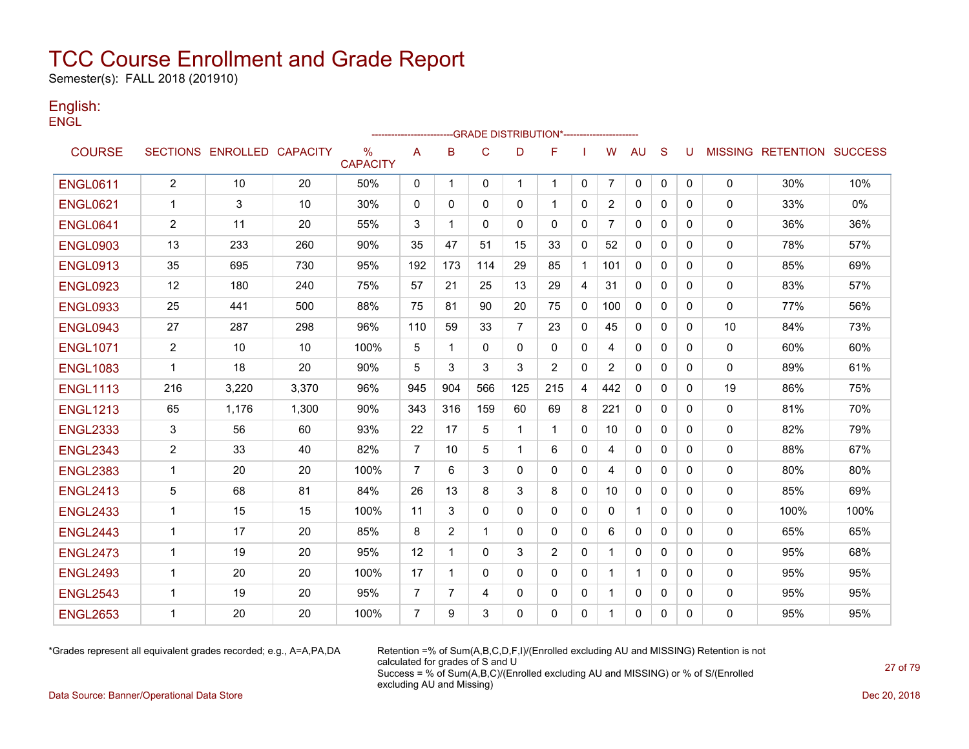Semester(s): FALL 2018 (201910)

### English: **ENGL**

|                 |                |                            |       |                      |                |              |              |                | -----------------------GRADE                DISTRIBUTION*----------------------- |              |                |              |              |              |              |                                  |      |
|-----------------|----------------|----------------------------|-------|----------------------|----------------|--------------|--------------|----------------|----------------------------------------------------------------------------------|--------------|----------------|--------------|--------------|--------------|--------------|----------------------------------|------|
| <b>COURSE</b>   |                | SECTIONS ENROLLED CAPACITY |       | %<br><b>CAPACITY</b> | A              | B            | $\mathsf{C}$ | D              | F                                                                                |              | W              | AU           | S            | U            |              | <b>MISSING RETENTION SUCCESS</b> |      |
| <b>ENGL0611</b> | $\overline{2}$ | 10                         | 20    | 50%                  | 0              | $\mathbf{1}$ | 0            | $\mathbf 1$    | $\mathbf 1$                                                                      | 0            | $\overline{7}$ | 0            | $\mathbf 0$  | $\mathbf{0}$ | $\mathbf 0$  | 30%                              | 10%  |
| <b>ENGL0621</b> | -1             | 3                          | 10    | 30%                  | 0              | 0            | 0            | 0              | -1                                                                               | 0            | 2              | 0            | 0            | 0            | 0            | 33%                              | 0%   |
| <b>ENGL0641</b> | $\overline{2}$ | 11                         | 20    | 55%                  | 3              | 1            | $\Omega$     | $\mathbf{0}$   | $\mathbf{0}$                                                                     | 0            | 7              | 0            | $\mathbf{0}$ | 0            | 0            | 36%                              | 36%  |
| <b>ENGL0903</b> | 13             | 233                        | 260   | 90%                  | 35             | 47           | 51           | 15             | 33                                                                               | 0            | 52             | 0            | $\Omega$     | 0            | 0            | 78%                              | 57%  |
| <b>ENGL0913</b> | 35             | 695                        | 730   | 95%                  | 192            | 173          | 114          | 29             | 85                                                                               | $\mathbf{1}$ | 101            | $\mathbf{0}$ | 0            | 0            | 0            | 85%                              | 69%  |
| <b>ENGL0923</b> | 12             | 180                        | 240   | 75%                  | 57             | 21           | 25           | 13             | 29                                                                               | 4            | 31             | $\mathbf{0}$ | $\mathbf{0}$ | 0            | 0            | 83%                              | 57%  |
| <b>ENGL0933</b> | 25             | 441                        | 500   | 88%                  | 75             | 81           | 90           | 20             | 75                                                                               | 0            | 100            | 0            | $\mathbf{0}$ | 0            | $\mathbf 0$  | 77%                              | 56%  |
| <b>ENGL0943</b> | 27             | 287                        | 298   | 96%                  | 110            | 59           | 33           | $\overline{7}$ | 23                                                                               | 0            | 45             | 0            | $\mathbf{0}$ | $\Omega$     | 10           | 84%                              | 73%  |
| <b>ENGL1071</b> | $\overline{2}$ | 10                         | 10    | 100%                 | 5              | 1            | $\mathbf{0}$ | $\mathbf{0}$   | $\mathbf{0}$                                                                     | $\mathbf{0}$ | 4              | $\mathbf{0}$ | $\Omega$     | 0            | $\mathbf{0}$ | 60%                              | 60%  |
| <b>ENGL1083</b> | $\mathbf 1$    | 18                         | 20    | 90%                  | 5              | 3            | 3            | 3              | 2                                                                                | $\mathbf{0}$ | $\overline{2}$ | $\mathbf{0}$ | $\Omega$     | 0            | 0            | 89%                              | 61%  |
| <b>ENGL1113</b> | 216            | 3,220                      | 3,370 | 96%                  | 945            | 904          | 566          | 125            | 215                                                                              | 4            | 442            | 0            | $\Omega$     | $\Omega$     | 19           | 86%                              | 75%  |
| <b>ENGL1213</b> | 65             | 1,176                      | 1,300 | 90%                  | 343            | 316          | 159          | 60             | 69                                                                               | 8            | 221            | 0            | $\mathbf{0}$ | 0            | 0            | 81%                              | 70%  |
| <b>ENGL2333</b> | 3              | 56                         | 60    | 93%                  | 22             | 17           | 5            | 1              | -1                                                                               | 0            | 10             | 0            | 0            | 0            | 0            | 82%                              | 79%  |
| <b>ENGL2343</b> | $\overline{2}$ | 33                         | 40    | 82%                  | $\overline{7}$ | 10           | 5            | 1              | 6                                                                                | 0            | 4              | $\mathbf{0}$ | $\mathbf{0}$ | 0            | 0            | 88%                              | 67%  |
| <b>ENGL2383</b> | $\mathbf 1$    | 20                         | 20    | 100%                 | $\overline{7}$ | 6            | 3            | $\Omega$       | $\mathbf{0}$                                                                     | $\mathbf{0}$ | 4              | $\Omega$     | $\Omega$     | 0            | 0            | 80%                              | 80%  |
| <b>ENGL2413</b> | 5              | 68                         | 81    | 84%                  | 26             | 13           | 8            | 3              | 8                                                                                | 0            | 10             | 0            | $\mathbf{0}$ | 0            | $\mathbf 0$  | 85%                              | 69%  |
| <b>ENGL2433</b> | $\mathbf 1$    | 15                         | 15    | 100%                 | 11             | 3            | $\mathbf 0$  | $\mathbf{0}$   | $\mathbf{0}$                                                                     | $\mathbf{0}$ | 0              | $\mathbf{1}$ | $\Omega$     | 0            | 0            | 100%                             | 100% |
| <b>ENGL2443</b> | 1              | 17                         | 20    | 85%                  | 8              | 2            | 1            | 0              | 0                                                                                | 0            | 6              | 0            | $\mathbf{0}$ | 0            | 0            | 65%                              | 65%  |
| <b>ENGL2473</b> | $\mathbf{1}$   | 19                         | 20    | 95%                  | 12             | $\mathbf 1$  | $\Omega$     | 3              | 2                                                                                | $\mathbf{0}$ | 1              | $\Omega$     | $\Omega$     | 0            | $\mathbf{0}$ | 95%                              | 68%  |
| <b>ENGL2493</b> | $\mathbf{1}$   | 20                         | 20    | 100%                 | 17             | $\mathbf 1$  | $\Omega$     | $\mathbf{0}$   | $\mathbf{0}$                                                                     | 0            | 1              | $\mathbf 1$  | $\Omega$     | 0            | 0            | 95%                              | 95%  |
| <b>ENGL2543</b> | -1             | 19                         | 20    | 95%                  | 7              | 7            | 4            | 0              | 0                                                                                | 0            | 1              | 0            | 0            | 0            | 0            | 95%                              | 95%  |
| <b>ENGL2653</b> | 1              | 20                         | 20    | 100%                 | $\overline{7}$ | 9            | 3            | $\Omega$       | $\mathbf{0}$                                                                     | 0            | 1              | 0            | 0            | 0            | 0            | 95%                              | 95%  |

\*Grades represent all equivalent grades recorded; e.g., A=A,PA,DA Retention =% of Sum(A,B,C,D,F,I)/(Enrolled excluding AU and MISSING) Retention is not calculated for grades of S and U Success = % of Sum(A,B,C)/(Enrolled excluding AU and MISSING) or % of S/(Enrolled excluding AU and Missing)

Data Source: Banner/Operational Data Store Dec 20, 2018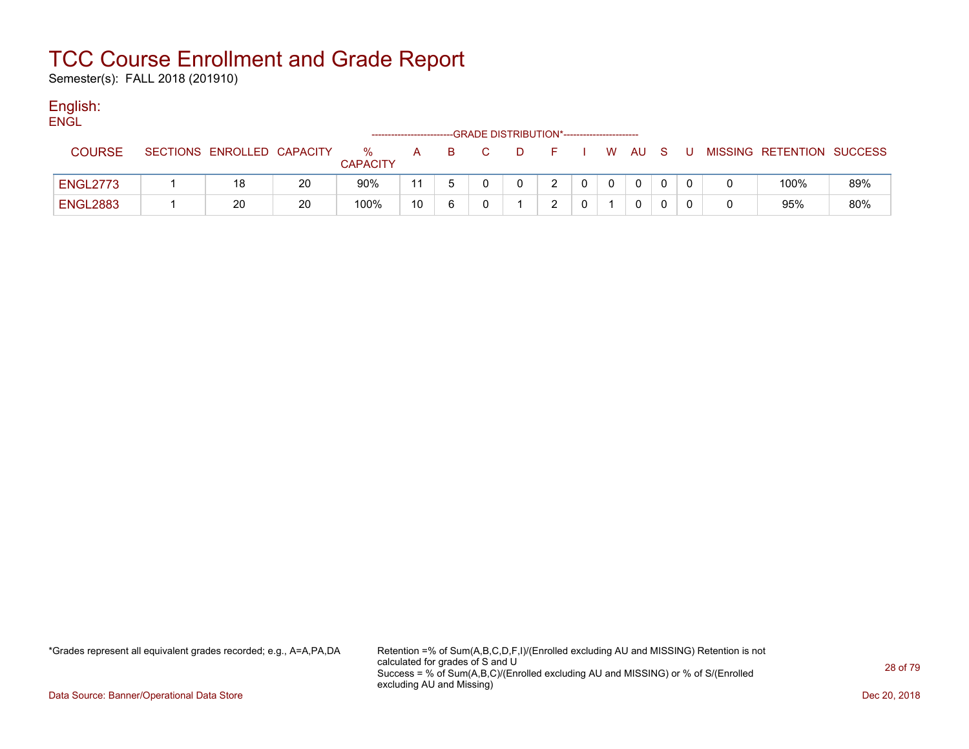Semester(s): FALL 2018 (201910)

### English:

| <b>ENGL</b>     |                            |    |                      |                        |    |                                              |    |  |    |          |     |     |                           |     |
|-----------------|----------------------------|----|----------------------|------------------------|----|----------------------------------------------|----|--|----|----------|-----|-----|---------------------------|-----|
|                 |                            |    |                      | ---------------------- |    | -GRADE DISTRIBUTION*------------------------ |    |  |    |          |     |     |                           |     |
| <b>COURSE</b>   | SECTIONS ENROLLED CAPACITY |    | %<br><b>CAPACITY</b> | A                      | B. |                                              | D. |  | W. | AU A     | - S | - U | MISSING RETENTION SUCCESS |     |
| <b>ENGL2773</b> | 18                         | 20 | 90%                  | 11                     |    |                                              |    |  |    | $\Omega$ |     |     | 100%                      | 89% |
| <b>ENGL2883</b> | 20                         | 20 | 100%                 | 10                     |    |                                              |    |  |    | 0        |     |     | 95%                       | 80% |

\*Grades represent all equivalent grades recorded; e.g., A=A,PA,DA Retention =% of Sum(A,B,C,D,F,I)/(Enrolled excluding AU and MISSING) Retention is not calculated for grades of S and U Success = % of Sum(A,B,C)/(Enrolled excluding AU and MISSING) or % of S/(Enrolled excluding AU and Missing)

Data Source: Banner/Operational Data Store Dec 20, 2018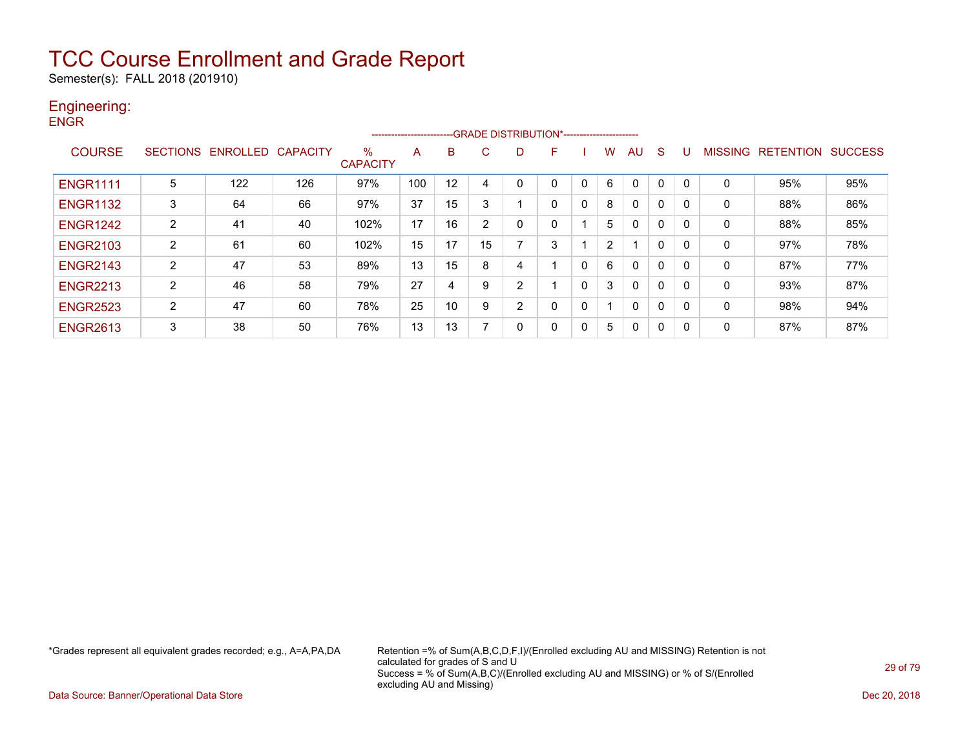Semester(s): FALL 2018 (201910)

### Engineering:

| <b>ENGR</b> |                 |
|-------------|-----------------|
|             |                 |
| $\sim$      | $C$ $C$ $T$ $C$ |

| <b>COURSE</b>   | <b>SECTIONS</b> | <b>ENROLI</b><br>LED | <b>CAPACITY</b> | $\%$<br><b>CAPACITY</b> | A   | B  | Ō.            |          | н. |              | w | AU           | S            |   | <b>MISSI</b><br>NG. | <b>RETENTION</b> | <b>SUCCESS</b> |
|-----------------|-----------------|----------------------|-----------------|-------------------------|-----|----|---------------|----------|----|--------------|---|--------------|--------------|---|---------------------|------------------|----------------|
| <b>ENGR1111</b> | 5               | 122                  | 126             | 97%                     | 100 | 12 | 4             |          |    |              | 6 | 0            | 0            |   |                     | 95%              | 95%            |
| <b>ENGR1132</b> | 3               | 64                   | 66              | 97%                     | 37  | 15 | 3             |          | 0  | $\Omega$     | 8 | 0            | $\mathbf{0}$ |   | 0                   | 88%              | 86%            |
| <b>ENGR1242</b> | 2               | 41                   | 40              | 102%                    | 17  | 16 | $\mathcal{P}$ |          |    |              | 5 | 0            | $\mathbf{0}$ |   | 0                   | 88%              | 85%            |
| <b>ENGR2103</b> | 2               | 61                   | 60              | 102%                    | 15  | 17 | 15            |          | 3  |              | ົ |              | 0            |   | 0                   | 97%              | 78%            |
| <b>ENGR2143</b> | 2               | 47                   | 53              | 89%                     | 13  | 15 | 8             |          |    | 0            | 6 | $\mathbf{0}$ | 0            |   | 0                   | 87%              | 77%            |
| <b>ENGR2213</b> | 2               | 46                   | 58              | 79%                     | 27  | 4  | 9             | C        |    | 0            | 3 | $\mathbf{0}$ | 0            | 0 | 0                   | 93%              | 87%            |
| <b>ENGR2523</b> | 2               | 47                   | 60              | 78%                     | 25  | 10 | 9             | ົ        | ⌒  | 0            |   | 0            | 0            | 0 | 0                   | 98%              | 94%            |
| <b>ENGR2613</b> | 3               | 38                   | 50              | 76%                     | 13  | 13 |               | $\Omega$ | 0  | $\mathbf{0}$ | 5 | 0            | 0            |   | 0                   | 87%              | 87%            |

-------------------------GRADE DISTRIBUTION\*-----------------------

\*Grades represent all equivalent grades recorded; e.g., A=A,PA,DA Retention =% of Sum(A,B,C,D,F,I)/(Enrolled excluding AU and MISSING) Retention is not calculated for grades of S and U Success = % of Sum(A,B,C)/(Enrolled excluding AU and MISSING) or % of S/(Enrolled excluding AU and Missing)

Data Source: Banner/Operational Data Store Dec 20, 2018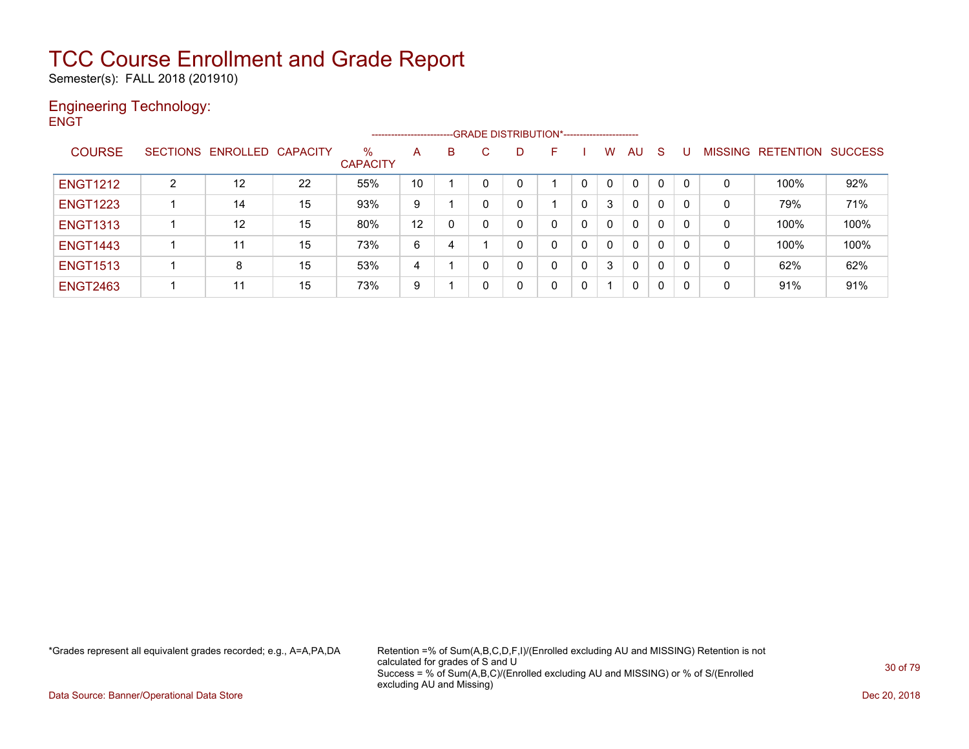Semester(s): FALL 2018 (201910)

### Engineering Technology: **ENGT**

|                 |   |                            |    |                      | ----------------------- |   |              | --GRADE DISTRIBUTION*----------------------- |    |          |   |              |              |   |   |                   |                |
|-----------------|---|----------------------------|----|----------------------|-------------------------|---|--------------|----------------------------------------------|----|----------|---|--------------|--------------|---|---|-------------------|----------------|
| <b>COURSE</b>   |   | SECTIONS ENROLLED CAPACITY |    | %<br><b>CAPACITY</b> | А                       | B | C.           | D                                            | F. |          | W | AU           | <sub>S</sub> |   |   | MISSING RETENTION | <b>SUCCESS</b> |
| <b>ENGT1212</b> | 2 | 12                         | 22 | 55%                  | 10                      |   | 0            |                                              |    |          |   | $\mathbf{0}$ | $\mathbf{0}$ | 0 | 0 | 100%              | 92%            |
| <b>ENGT1223</b> |   | 14                         | 15 | 93%                  | 9                       |   | $\mathbf{0}$ |                                              |    | 0        | 3 | 0            | 0            | 0 | 0 | 79%               | 71%            |
| <b>ENGT1313</b> |   | 12                         | 15 | 80%                  | 12                      | 0 |              |                                              |    | 0        | 0 | 0            | 0            | 0 | 0 | 100%              | 100%           |
| <b>ENGT1443</b> |   | 11                         | 15 | 73%                  | 6                       | 4 |              |                                              |    | $\Omega$ | 0 | 0            | $\mathbf{0}$ | 0 | 0 | 100%              | 100%           |
| <b>ENGT1513</b> |   | 8                          | 15 | 53%                  | 4                       |   | 0            |                                              |    | 0        | 3 | 0            | 0            | 0 | 0 | 62%               | 62%            |
| <b>ENGT2463</b> |   | 11                         | 15 | 73%                  | 9                       |   | $\mathbf{0}$ |                                              |    | 0        |   | 0            | 0            |   | 0 | 91%               | 91%            |

\*Grades represent all equivalent grades recorded; e.g., A=A,PA,DA Retention =% of Sum(A,B,C,D,F,I)/(Enrolled excluding AU and MISSING) Retention is not calculated for grades of S and U Success = % of Sum(A,B,C)/(Enrolled excluding AU and MISSING) or % of S/(Enrolled excluding AU and Missing)

Data Source: Banner/Operational Data Store Dec 20, 2018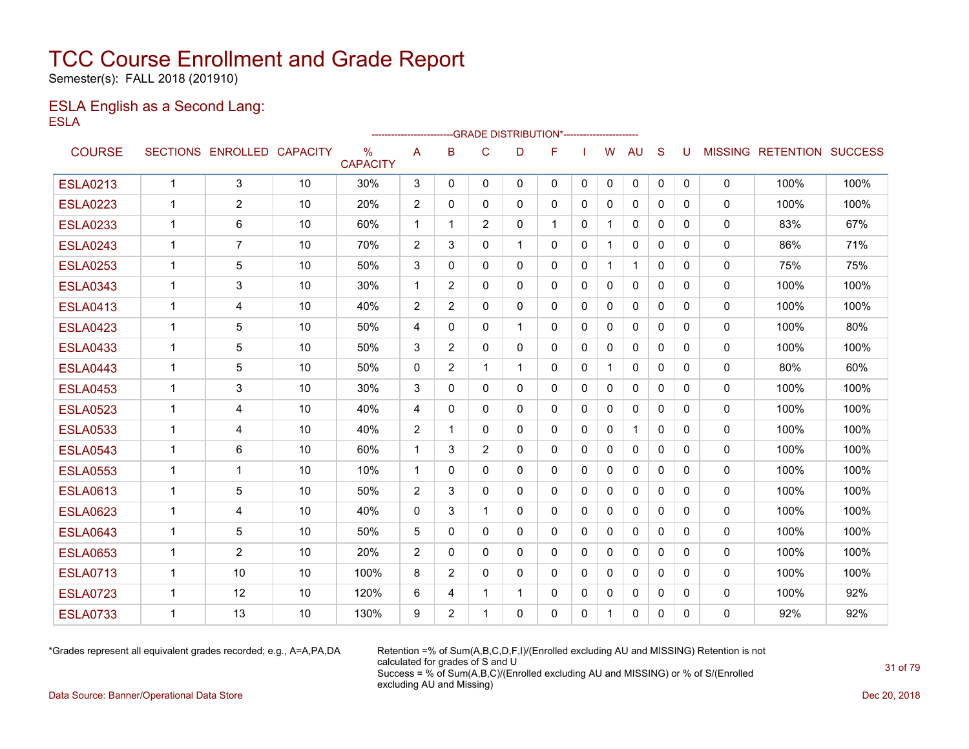Semester(s): FALL 2018 (201910)

### ESLA English as a Second Lang: ESLA

|                 |              |                            |    |                                  | ------------------------ |                |                |              | --GRADE DISTRIBUTION*---------------------- |              |              |              |              |          |              |                           |      |
|-----------------|--------------|----------------------------|----|----------------------------------|--------------------------|----------------|----------------|--------------|---------------------------------------------|--------------|--------------|--------------|--------------|----------|--------------|---------------------------|------|
| <b>COURSE</b>   |              | SECTIONS ENROLLED CAPACITY |    | $\frac{0}{0}$<br><b>CAPACITY</b> | A                        | B              | $\mathsf{C}$   | D            | F                                           |              | W            | <b>AU</b>    | S            | U        |              | MISSING RETENTION SUCCESS |      |
| <b>ESLA0213</b> | $\mathbf{1}$ | 3                          | 10 | 30%                              | 3                        | $\mathbf{0}$   | $\mathbf{0}$   | $\mathbf{0}$ | 0                                           | 0            | 0            | 0            | $\mathbf{0}$ | 0        | $\mathbf 0$  | 100%                      | 100% |
| <b>ESLA0223</b> | $\mathbf 1$  | $\overline{2}$             | 10 | 20%                              | $\overline{2}$           | 0              | 0              | 0            | 0                                           | 0            | 0            | $\mathbf{0}$ | $\mathbf{0}$ | 0        | $\mathbf 0$  | 100%                      | 100% |
| <b>ESLA0233</b> | 1            | 6                          | 10 | 60%                              | $\mathbf{1}$             | 1              | $\overline{c}$ | $\mathbf{0}$ | 1                                           | $\mathbf{0}$ | 1            | $\mathbf{0}$ | $\Omega$     | $\Omega$ | 0            | 83%                       | 67%  |
| <b>ESLA0243</b> | 1            | 7                          | 10 | 70%                              | 2                        | 3              | 0              | 1            | 0                                           | 0            |              | 0            | $\mathbf{0}$ | 0        | 0            | 86%                       | 71%  |
| <b>ESLA0253</b> | 1            | 5                          | 10 | 50%                              | 3                        | 0              | 0              | $\mathbf{0}$ | 0                                           | 0            | 1            | $\mathbf 1$  | $\mathbf{0}$ | 0        | 0            | 75%                       | 75%  |
| <b>ESLA0343</b> | 1            | 3                          | 10 | 30%                              | $\mathbf 1$              | 2              | $\mathbf{0}$   | $\mathbf{0}$ | $\mathbf{0}$                                | 0            | 0            | $\Omega$     | $\Omega$     | 0        | 0            | 100%                      | 100% |
| <b>ESLA0413</b> | 1            | 4                          | 10 | 40%                              | $\overline{2}$           | 2              | 0              | 0            | 0                                           | 0            | 0            | $\mathbf{0}$ | 0            | 0        | 0            | 100%                      | 100% |
| <b>ESLA0423</b> | $\mathbf 1$  | 5                          | 10 | 50%                              | 4                        | $\Omega$       | $\mathbf{0}$   | 1            | $\mathbf{0}$                                | $\Omega$     | $\mathbf{0}$ | $\mathbf{0}$ | $\Omega$     | 0        | 0            | 100%                      | 80%  |
| <b>ESLA0433</b> | $\mathbf 1$  | 5                          | 10 | 50%                              | 3                        | $\overline{2}$ | $\mathbf 0$    | 0            | 0                                           | 0            | 0            | 0            | $\mathbf{0}$ | 0        | 0            | 100%                      | 100% |
| <b>ESLA0443</b> | 1            | 5                          | 10 | 50%                              | $\Omega$                 | 2              | 1              | $\mathbf 1$  | $\mathbf{0}$                                | $\Omega$     | $\mathbf{1}$ | $\mathbf{0}$ | $\Omega$     | 0        | 0            | 80%                       | 60%  |
| <b>ESLA0453</b> | 1            | 3                          | 10 | 30%                              | 3                        | 0              | $\mathbf{0}$   | $\mathbf{0}$ | $\mathbf{0}$                                | $\mathbf{0}$ | $\Omega$     | $\mathbf{0}$ | $\Omega$     | $\Omega$ | 0            | 100%                      | 100% |
| <b>ESLA0523</b> | $\mathbf 1$  | 4                          | 10 | 40%                              | 4                        | $\Omega$       | $\mathbf{0}$   | $\mathbf{0}$ | 0                                           | $\Omega$     | $\mathbf{0}$ | $\mathbf{0}$ | $\Omega$     | $\Omega$ | 0            | 100%                      | 100% |
| <b>ESLA0533</b> | $\mathbf 1$  | 4                          | 10 | 40%                              | $\overline{2}$           | 1              | $\mathbf{0}$   | $\Omega$     | $\mathbf{0}$                                | $\Omega$     | $\mathbf{0}$ | $\mathbf{1}$ | $\Omega$     | $\Omega$ | 0            | 100%                      | 100% |
| <b>ESLA0543</b> | $\mathbf 1$  | 6                          | 10 | 60%                              | $\mathbf{1}$             | 3              | $\overline{2}$ | $\mathbf{0}$ | 0                                           | $\Omega$     | $\mathbf{0}$ | $\mathbf{0}$ | $\mathbf{0}$ | 0        | 0            | 100%                      | 100% |
| <b>ESLA0553</b> | 1            | 1                          | 10 | 10%                              | $\mathbf 1$              | $\Omega$       | $\Omega$       | $\mathbf{0}$ | $\mathbf{0}$                                | $\Omega$     | $\mathbf{0}$ | $\mathbf{0}$ | $\Omega$     | $\Omega$ | 0            | 100%                      | 100% |
| <b>ESLA0613</b> | $\mathbf 1$  | 5                          | 10 | 50%                              | 2                        | 3              | $\mathbf{0}$   | $\mathbf{0}$ | 0                                           | 0            | 0            | $\mathbf{0}$ | $\mathbf{0}$ | 0        | 0            | 100%                      | 100% |
| <b>ESLA0623</b> | $\mathbf 1$  | 4                          | 10 | 40%                              | $\Omega$                 | 3              | 1              | $\mathbf{0}$ | $\Omega$                                    | $\mathbf{0}$ | $\mathbf{0}$ | $\mathbf{0}$ | $\Omega$     | $\Omega$ | 0            | 100%                      | 100% |
| <b>ESLA0643</b> | $\mathbf 1$  | 5                          | 10 | 50%                              | 5                        | $\Omega$       | $\mathbf{0}$   | $\Omega$     | 0                                           | $\Omega$     | $\mathbf{0}$ | $\mathbf{0}$ | $\Omega$     | $\Omega$ | $\mathbf{0}$ | 100%                      | 100% |
| <b>ESLA0653</b> | $\mathbf 1$  | $\overline{2}$             | 10 | 20%                              | $\overline{2}$           | $\Omega$       | $\Omega$       | $\Omega$     | $\Omega$                                    | $\Omega$     | $\mathbf{0}$ | $\Omega$     | $\Omega$     | $\Omega$ | 0            | 100%                      | 100% |
| <b>ESLA0713</b> | 1            | 10                         | 10 | 100%                             | 8                        | 2              | $\mathbf{0}$   | $\mathbf{0}$ | 0                                           | $\Omega$     | $\Omega$     | $\Omega$     | $\Omega$     | $\Omega$ | 0            | 100%                      | 100% |
| <b>ESLA0723</b> | $\mathbf 1$  | 12                         | 10 | 120%                             | 6                        | 4              | $\mathbf 1$    | $\mathbf{1}$ | 0                                           | $\Omega$     | $\mathbf{0}$ | $\mathbf{0}$ | $\Omega$     | $\Omega$ | 0            | 100%                      | 92%  |
| <b>ESLA0733</b> | 1            | 13                         | 10 | 130%                             | 9                        | 2              | 1              | $\Omega$     | $\Omega$                                    | $\Omega$     | 1            | $\Omega$     | $\Omega$     | $\Omega$ | $\Omega$     | 92%                       | 92%  |

\*Grades represent all equivalent grades recorded; e.g., A=A,PA,DA Retention =% of Sum(A,B,C,D,F,I)/(Enrolled excluding AU and MISSING) Retention is not calculated for grades of S and U Success = % of Sum(A,B,C)/(Enrolled excluding AU and MISSING) or % of S/(Enrolled excluding AU and Missing)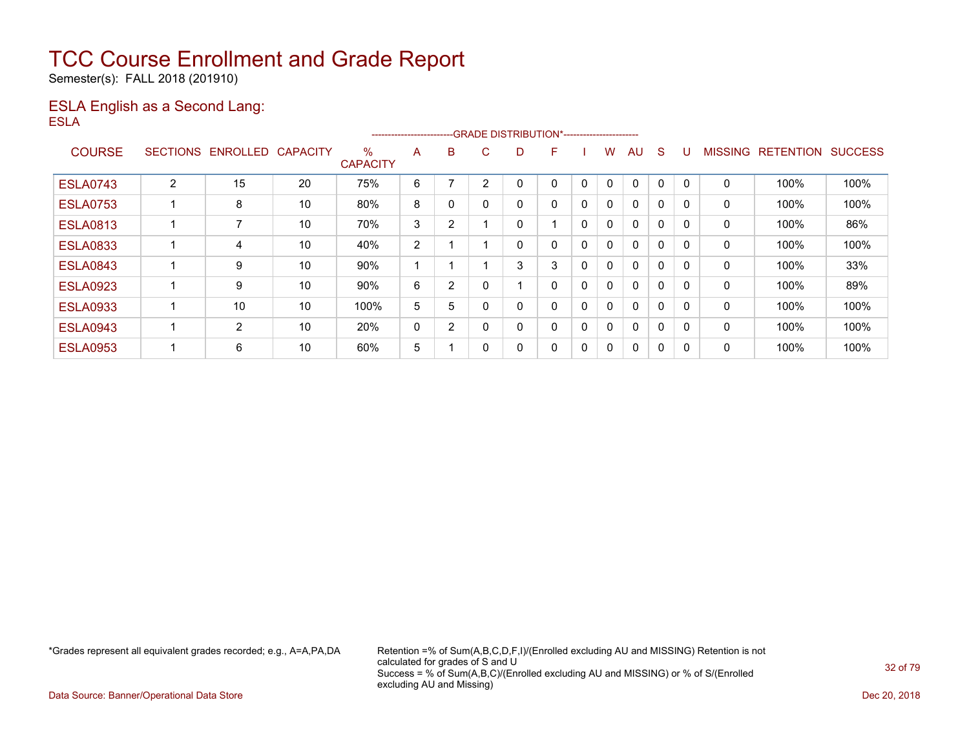Semester(s): FALL 2018 (201910)

### ESLA English as a Second Lang: ESLA

|                 |                 |                |                 |                      | ----------------------- |                |          |    | --GRADE DISTRIBUTION*----------------------- |   |              |              |   |          |                |                  |                |
|-----------------|-----------------|----------------|-----------------|----------------------|-------------------------|----------------|----------|----|----------------------------------------------|---|--------------|--------------|---|----------|----------------|------------------|----------------|
| <b>COURSE</b>   | <b>SECTIONS</b> | ENROLLED       | <b>CAPACITY</b> | %<br><b>CAPACITY</b> | A                       | B              | C.       | D. | F                                            |   | w            | AU           | S |          | <b>MISSING</b> | <b>RETENTION</b> | <b>SUCCESS</b> |
| <b>ESLA0743</b> | $\overline{2}$  | 15             | 20              | 75%                  | 6                       |                | 2        |    | 0                                            | 0 | 0            | $\mathbf{0}$ | 0 |          | 0              | 100%             | 100%           |
| <b>ESLA0753</b> |                 | 8              | 10              | 80%                  | 8                       | 0              |          |    | 0                                            | 0 | $\mathbf{0}$ | $\mathbf{0}$ | 0 |          | 0              | 100%             | 100%           |
| <b>ESLA0813</b> |                 | 7              | 10              | 70%                  | 3                       | 2              |          | 0  |                                              | 0 | $\mathbf{0}$ | $\mathbf{0}$ | 0 | $\Omega$ | 0              | 100%             | 86%            |
| <b>ESLA0833</b> |                 | 4              | 10              | 40%                  | 2                       |                |          |    | 0                                            | 0 | 0            | 0            | 0 | $\Omega$ | 0              | 100%             | 100%           |
| <b>ESLA0843</b> |                 | 9              | 10              | 90%                  |                         |                |          | 3  | 3                                            | 0 | $\mathbf{0}$ | $\Omega$     | 0 |          | 0              | 100%             | 33%            |
| <b>ESLA0923</b> |                 | 9              | 10              | 90%                  | 6                       | $\overline{2}$ | $\Omega$ |    | 0                                            | 0 | 0            | $\mathbf{0}$ | 0 | $\Omega$ | 0              | 100%             | 89%            |
| <b>ESLA0933</b> |                 | 10             | 10              | 100%                 | 5                       | 5              |          |    | 0                                            | 0 | 0            | $\mathbf{0}$ | 0 | $\Omega$ | 0              | 100%             | 100%           |
| <b>ESLA0943</b> |                 | $\overline{2}$ | 10              | 20%                  | 0                       | 2              |          |    | 0                                            | 0 | 0            | $\mathbf{0}$ | 0 | $\Omega$ | 0              | 100%             | 100%           |
| <b>ESLA0953</b> |                 | 6              | 10              | 60%                  | 5                       |                | 0        |    | 0                                            | 0 | 0            | $\mathbf{0}$ | 0 | 0        | 0              | 100%             | 100%           |

\*Grades represent all equivalent grades recorded; e.g., A=A,PA,DA Retention =% of Sum(A,B,C,D,F,I)/(Enrolled excluding AU and MISSING) Retention is not calculated for grades of S and U Success = % of Sum(A,B,C)/(Enrolled excluding AU and MISSING) or % of S/(Enrolled excluding AU and Missing)

Data Source: Banner/Operational Data Store Dec 20, 2018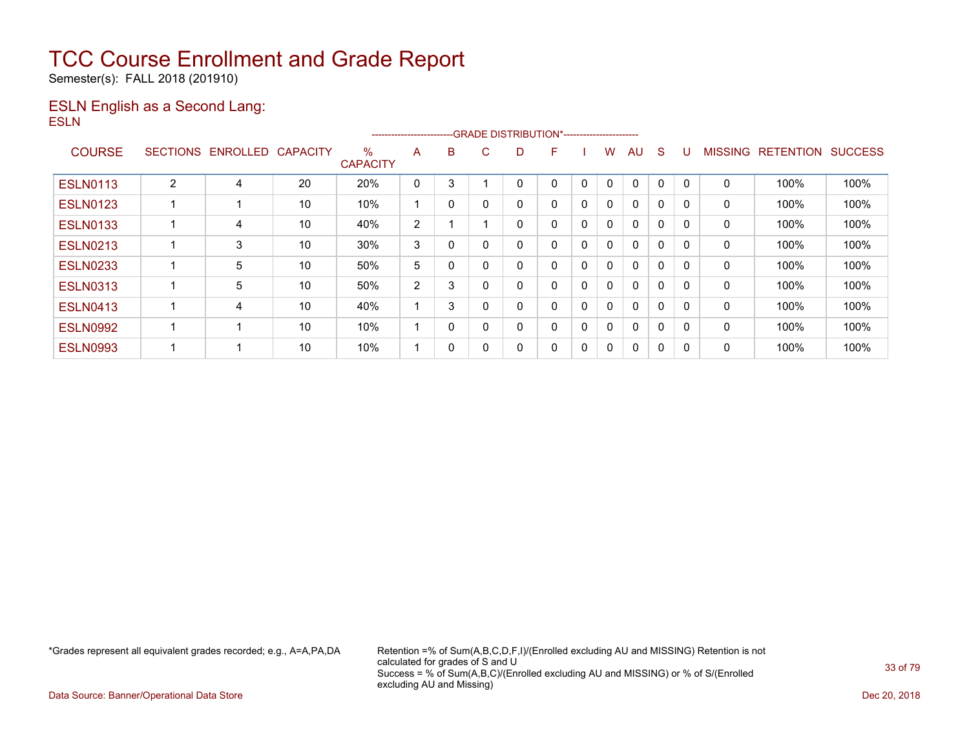Semester(s): FALL 2018 (201910)

### ESLN English as a Second Lang: ESLN

|                 |                 |          |                 |                      | ----------------------- |          |          |    | --GRADE DISTRIBUTION*----------------------- |   |              |              |   |          |                |                  |                |
|-----------------|-----------------|----------|-----------------|----------------------|-------------------------|----------|----------|----|----------------------------------------------|---|--------------|--------------|---|----------|----------------|------------------|----------------|
| <b>COURSE</b>   | <b>SECTIONS</b> | ENROLLED | <b>CAPACITY</b> | %<br><b>CAPACITY</b> | A                       | B        | C.       | D. | F                                            |   | w            | AU           | S |          | <b>MISSING</b> | <b>RETENTION</b> | <b>SUCCESS</b> |
| <b>ESLN0113</b> | 2               | 4        | 20              | 20%                  | 0                       | 3        |          |    | 0                                            | 0 | $\Omega$     | $\mathbf{0}$ | 0 |          | 0              | 100%             | 100%           |
| <b>ESLN0123</b> |                 |          | 10              | 10%                  |                         | 0        | $\Omega$ |    | 0                                            | 0 | $\mathbf{0}$ | $\Omega$     | 0 | $\Omega$ | 0              | 100%             | 100%           |
| <b>ESLN0133</b> |                 | 4        | 10              | 40%                  | 2                       |          |          | 0  | 0                                            | 0 | $\mathbf{0}$ | $\mathbf{0}$ | 0 | $\Omega$ | 0              | 100%             | 100%           |
| <b>ESLN0213</b> |                 | 3        | 10              | 30%                  | 3                       | 0        |          |    | 0                                            | 0 | 0            | $\mathbf{0}$ | 0 | $\Omega$ | 0              | 100%             | 100%           |
| <b>ESLN0233</b> |                 | 5        | 10              | 50%                  | 5                       | 0        |          |    | 0                                            | 0 | $\mathbf{0}$ | $\Omega$     | 0 |          | $\mathbf 0$    | 100%             | 100%           |
| <b>ESLN0313</b> |                 | 5        | 10              | 50%                  | 2                       | 3        |          | 0  | 0                                            | 0 | $\mathbf{0}$ | $\mathbf{0}$ | 0 | $\Omega$ | 0              | 100%             | 100%           |
| <b>ESLN0413</b> |                 | 4        | 10              | 40%                  |                         | 3        |          |    | 0                                            | 0 | 0            | $\mathbf{0}$ | 0 | $\Omega$ | 0              | 100%             | 100%           |
| <b>ESLN0992</b> |                 |          | 10              | 10%                  |                         | $\Omega$ | $\Omega$ |    | 0                                            | 0 | $\mathbf{0}$ | $\mathbf{0}$ | 0 |          | $\mathbf 0$    | 100%             | 100%           |
| <b>ESLN0993</b> |                 | ٠        | 10              | 10%                  |                         | 0        | $\Omega$ | 0  | 0                                            | 0 | 0            | 0            | 0 | $\Omega$ | 0              | 100%             | 100%           |

\*Grades represent all equivalent grades recorded; e.g., A=A,PA,DA Retention =% of Sum(A,B,C,D,F,I)/(Enrolled excluding AU and MISSING) Retention is not calculated for grades of S and U Success = % of Sum(A,B,C)/(Enrolled excluding AU and MISSING) or % of S/(Enrolled excluding AU and Missing)

Data Source: Banner/Operational Data Store Dec 20, 2018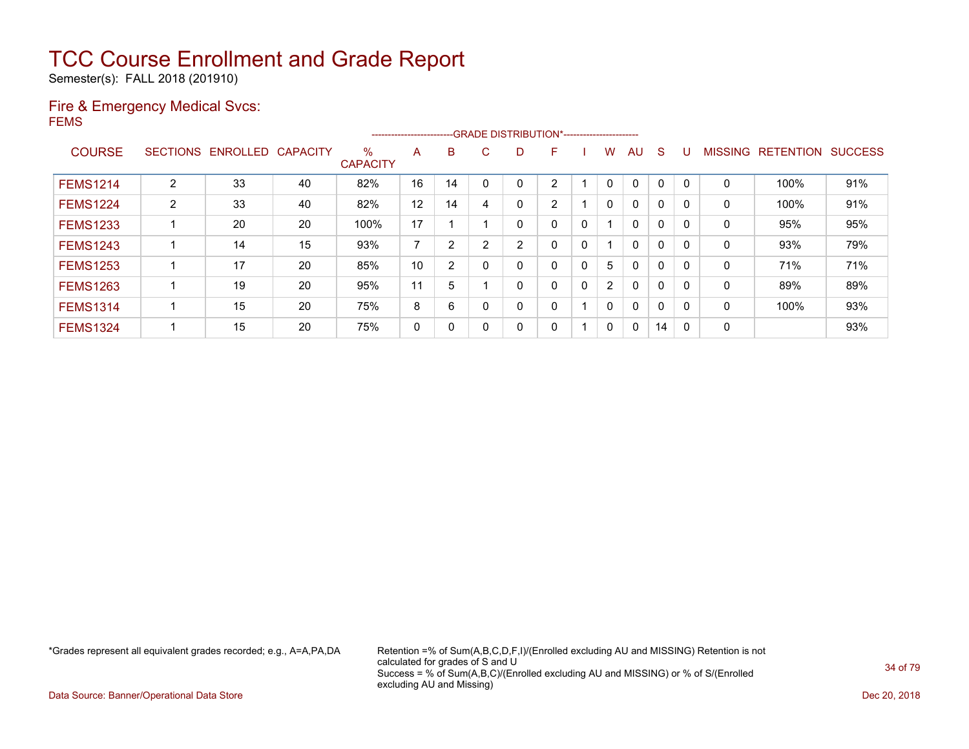Semester(s): FALL 2018 (201910)

### Fire & Emergency Medical Svcs: FEMS

|                 |                |                            |    |                         | ------------------------ |    |    |   | --GRADE DISTRIBUTION*----------------------- |   |              |              |    |          |                |                  |                |
|-----------------|----------------|----------------------------|----|-------------------------|--------------------------|----|----|---|----------------------------------------------|---|--------------|--------------|----|----------|----------------|------------------|----------------|
| <b>COURSE</b>   |                | SECTIONS ENROLLED CAPACITY |    | $\%$<br><b>CAPACITY</b> | A                        | B  | C. | D | F                                            |   | w            | AU           | S  |          | <b>MISSING</b> | <b>RETENTION</b> | <b>SUCCESS</b> |
| <b>FEMS1214</b> | $\overline{2}$ | 33                         | 40 | 82%                     | 16                       | 14 |    |   | ົ                                            |   |              | $\mathbf{0}$ | 0  |          | 0              | 100%             | 91%            |
| <b>FEMS1224</b> | $\overline{2}$ | 33                         | 40 | 82%                     | 12                       | 14 | 4  |   | 2                                            |   | $\mathbf{0}$ | $\mathbf{0}$ | 0  |          | $\mathbf 0$    | 100%             | 91%            |
| <b>FEMS1233</b> |                | 20                         | 20 | 100%                    | 17                       |    |    | 0 | 0                                            | 0 |              | $\mathbf{0}$ | 0  | $\Omega$ | $\mathbf 0$    | 95%              | 95%            |
| <b>FEMS1243</b> |                | 14                         | 15 | 93%                     | 7                        | 2  | 2  | っ | 0                                            | 0 |              | $\mathbf{0}$ | 0  |          | 0              | 93%              | 79%            |
| <b>FEMS1253</b> |                | 17                         | 20 | 85%                     | 10                       | 2  |    |   | 0                                            | 0 | 5            | $\mathbf{0}$ | 0  |          | 0              | 71%              | 71%            |
| <b>FEMS1263</b> |                | 19                         | 20 | 95%                     | 11                       | 5  |    | 0 | 0                                            | 0 | 2            | $\mathbf{0}$ | 0  | $\Omega$ | $\mathbf 0$    | 89%              | 89%            |
| <b>FEMS1314</b> |                | 15                         | 20 | 75%                     | 8                        | 6  |    |   | 0                                            |   | $\mathbf{0}$ | $\mathbf{0}$ | 0  | C        | 0              | 100%             | 93%            |
| <b>FEMS1324</b> |                | 15                         | 20 | 75%                     | 0                        | 0  |    |   | 0                                            |   | 0            | $\mathbf{0}$ | 14 | 0        | 0              |                  | 93%            |

\*Grades represent all equivalent grades recorded; e.g., A=A,PA,DA Retention =% of Sum(A,B,C,D,F,I)/(Enrolled excluding AU and MISSING) Retention is not calculated for grades of S and U Success = % of Sum(A,B,C)/(Enrolled excluding AU and MISSING) or % of S/(Enrolled excluding AU and Missing)

Data Source: Banner/Operational Data Store Dec 20, 2018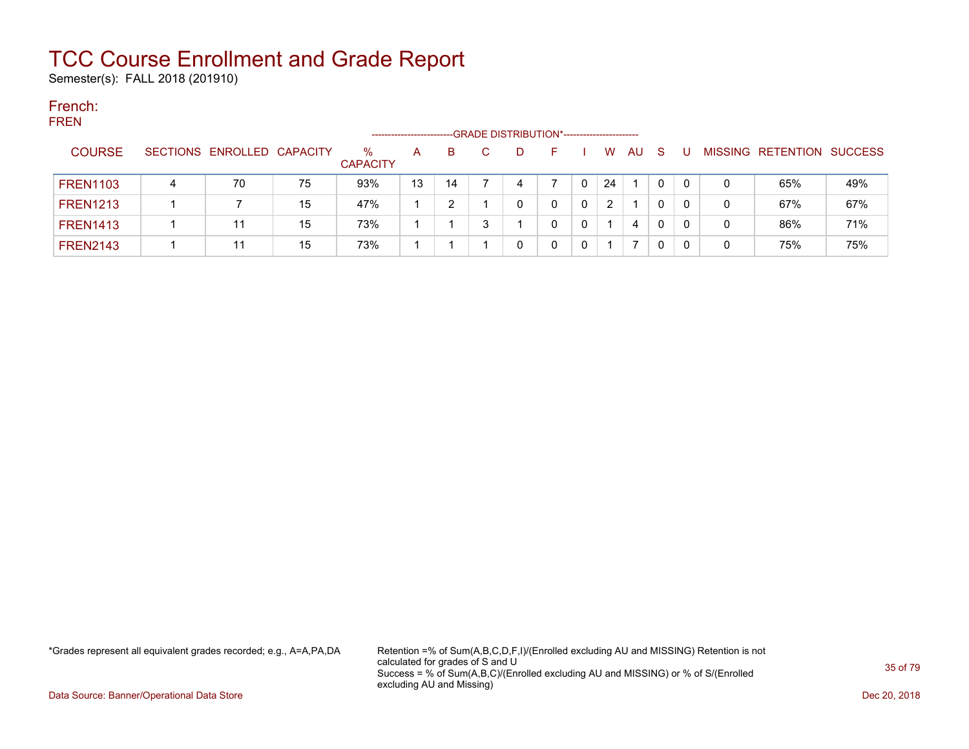Semester(s): FALL 2018 (201910)

### French: FREN

| .               |   |                            |    |                      | -------------------- |    | --GRADE DISTRIBUTION*----------------------- |  |          |    |    |   |                           |     |
|-----------------|---|----------------------------|----|----------------------|----------------------|----|----------------------------------------------|--|----------|----|----|---|---------------------------|-----|
| <b>COURSE</b>   |   | SECTIONS ENROLLED CAPACITY |    | %<br><b>CAPACITY</b> | A                    | B. | D                                            |  | <b>W</b> | AU | -S |   | MISSING RETENTION SUCCESS |     |
| <b>FREN1103</b> | 4 | 70                         | 75 | 93%                  | 13                   | 14 | 4                                            |  | 24       |    | 0  | 0 | 65%                       | 49% |
| <b>FREN1213</b> |   |                            | 15 | 47%                  |                      |    |                                              |  | 2        |    | 0  | 0 | 67%                       | 67% |
| <b>FREN1413</b> |   | 11                         | 15 | 73%                  |                      |    |                                              |  |          | 4  | 0  | 0 | 86%                       | 71% |
| FREN2143        |   | 11                         | 15 | 73%                  |                      |    |                                              |  |          |    | 0  |   | 75%                       | 75% |

\*Grades represent all equivalent grades recorded; e.g., A=A,PA,DA Retention =% of Sum(A,B,C,D,F,I)/(Enrolled excluding AU and MISSING) Retention is not calculated for grades of S and U Success = % of Sum(A,B,C)/(Enrolled excluding AU and MISSING) or % of S/(Enrolled excluding AU and Missing)

Data Source: Banner/Operational Data Store Dec 20, 2018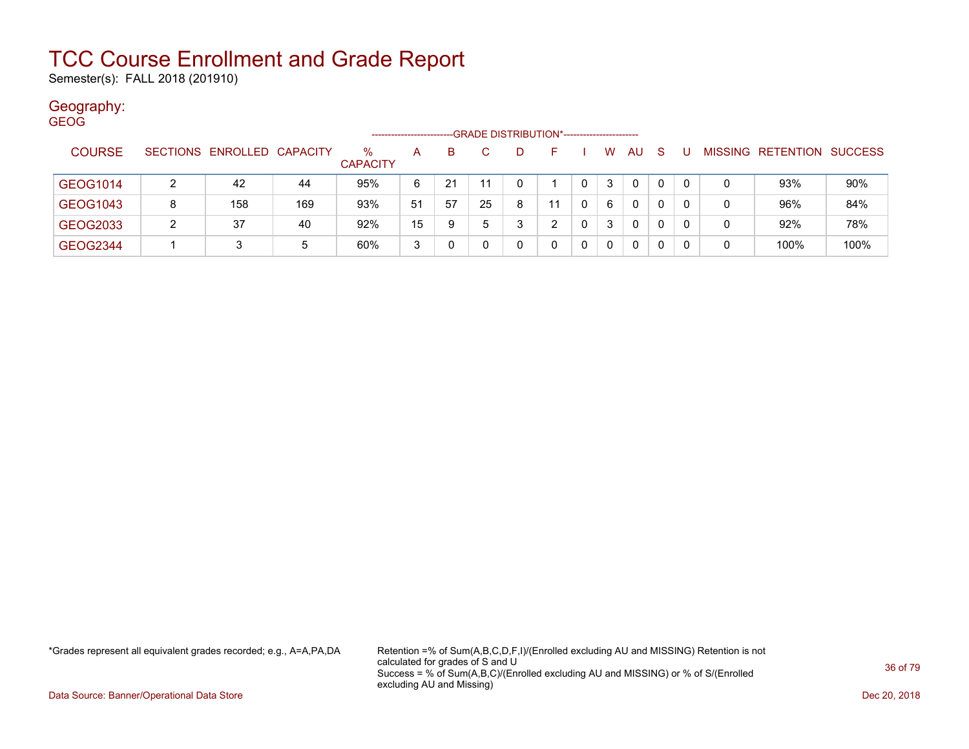Semester(s): FALL 2018 (201910)

### Geography:

| <b>GEOG</b>   |                                                                     |                            |     |                 |    |    |    |    |    |   |   |              |              |    |   |                                  |      |
|---------------|---------------------------------------------------------------------|----------------------------|-----|-----------------|----|----|----|----|----|---|---|--------------|--------------|----|---|----------------------------------|------|
|               | -GRADE DISTRIBUTION*-----------------------<br>-------------------- |                            |     |                 |    |    |    |    |    |   |   |              |              |    |   |                                  |      |
| <b>COURSE</b> |                                                                     | SECTIONS ENROLLED CAPACITY |     | $\%$            | A  | B. |    | D. |    |   | W | <b>AU</b>    | <sub>S</sub> |    |   | <b>MISSING RETENTION SUCCESS</b> |      |
|               |                                                                     |                            |     | <b>CAPACITY</b> |    |    |    |    |    |   |   |              |              |    |   |                                  |      |
| GEOG1014      |                                                                     | 42                         | 44  | 95%             | 6  | 21 |    | 0  |    |   | 3 | $\mathbf{0}$ | 0            | -0 | 0 | 93%                              | 90%  |
|               |                                                                     |                            |     |                 |    |    |    |    |    |   |   |              |              |    |   |                                  |      |
| GEOG1043      | 8                                                                   | 158                        | 169 | 93%             | 51 | 57 | 25 | 8  | 11 |   | 6 | 0            | 0            | -0 | 0 | 96%                              | 84%  |
| GEOG2033      | 2                                                                   | 37                         | 40  | 92%             | 15 | 9  | 5  | 3  |    |   | 3 | $\mathbf{0}$ | 0            | -0 | 0 | 92%                              | 78%  |
| GEOG2344      |                                                                     |                            | 5   | 60%             | 3  |    |    | 0  |    | 0 | 0 | $\mathbf{0}$ | 0            | -0 | 0 | 100%                             | 100% |

\*Grades represent all equivalent grades recorded; e.g., A=A,PA,DA Retention =% of Sum(A,B,C,D,F,I)/(Enrolled excluding AU and MISSING) Retention is not calculated for grades of S and U Success = % of Sum(A,B,C)/(Enrolled excluding AU and MISSING) or % of S/(Enrolled excluding AU and Missing)

Data Source: Banner/Operational Data Store Dec 20, 2018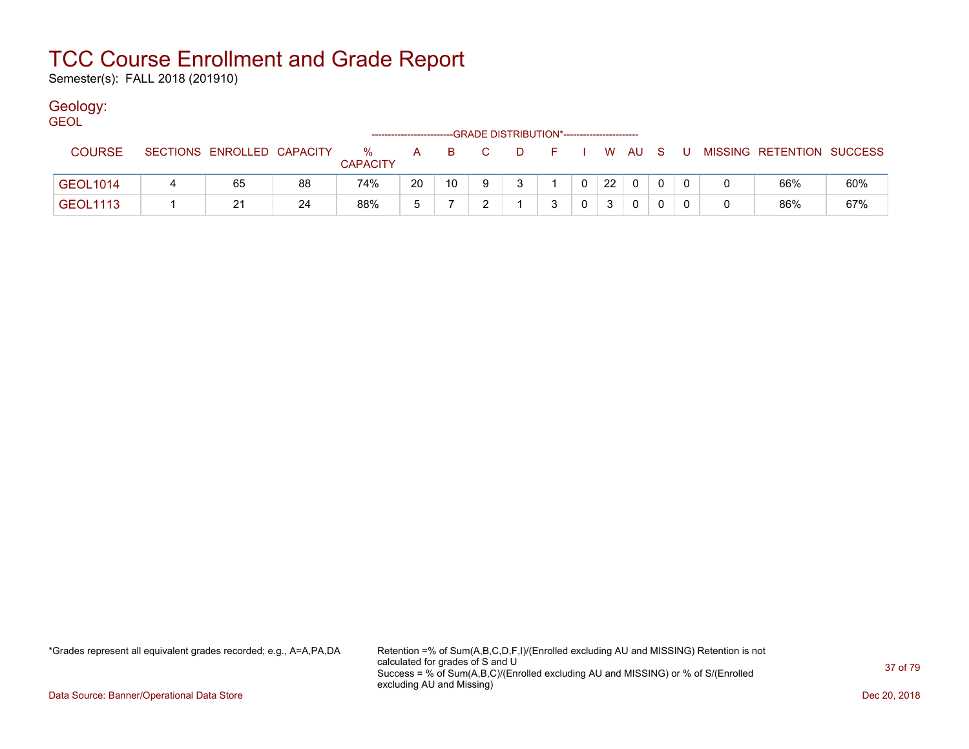Semester(s): FALL 2018 (201910)

### Geology:

| <b>GEOL</b>     |                            |    |                         |     |          |                                              |              |  |    |            |     |                           |     |
|-----------------|----------------------------|----|-------------------------|-----|----------|----------------------------------------------|--------------|--|----|------------|-----|---------------------------|-----|
|                 |                            |    |                         |     |          | --GRADE DISTRIBUTION*----------------------- |              |  |    |            |     |                           |     |
| <b>COURSE</b>   | SECTIONS ENROLLED CAPACITY |    | $\%$<br><b>CAPACITY</b> | A a | <b>B</b> | $\mathbf{C}$                                 | . D.         |  |    | F I W AU S | . U | MISSING RETENTION SUCCESS |     |
| <b>GEOL1014</b> | 65                         | 88 | 74%                     | 20  | 10       |                                              | $\mathbf{r}$ |  | 22 | $\Omega$   |     | 66%                       | 60% |
| <b>GEOL1113</b> | 21                         | 24 | 88%                     |     |          |                                              |              |  | 3  | 0          |     | 86%                       | 67% |

\*Grades represent all equivalent grades recorded; e.g., A=A,PA,DA Retention =% of Sum(A,B,C,D,F,I)/(Enrolled excluding AU and MISSING) Retention is not calculated for grades of S and U Success = % of Sum(A,B,C)/(Enrolled excluding AU and MISSING) or % of S/(Enrolled excluding AU and Missing)

Data Source: Banner/Operational Data Store Dec 20, 2018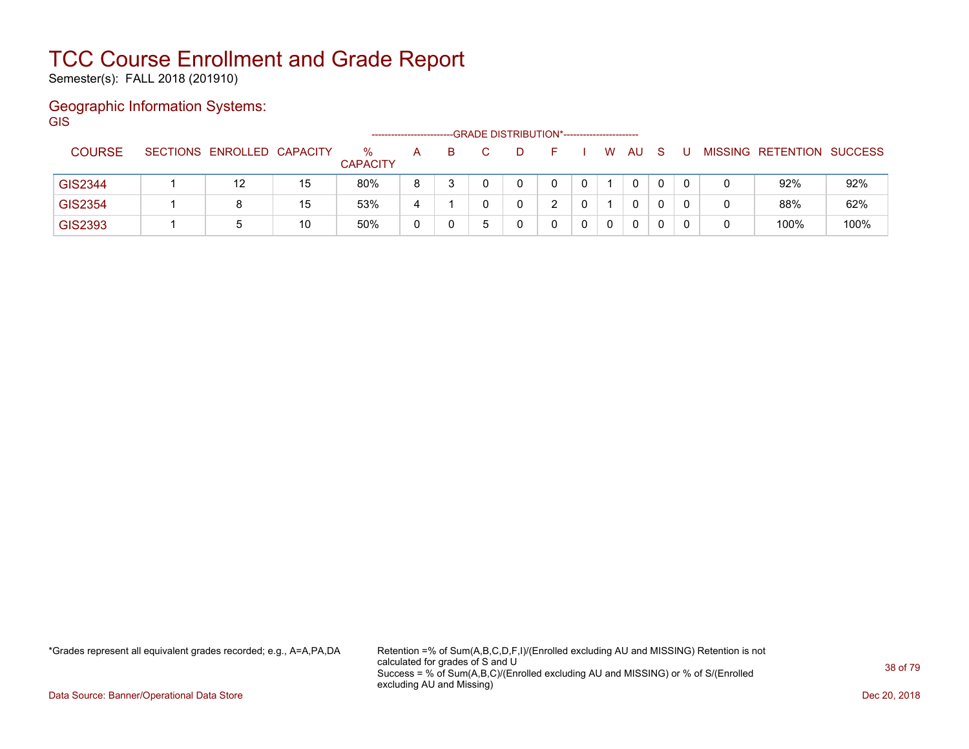Semester(s): FALL 2018 (201910)

### Geographic Information Systems: **GIS**

|                |                            |    | ------------------      |   |    | -GRADE DISTRIBUTION*---------------------- |  |   |     |  |                           |      |
|----------------|----------------------------|----|-------------------------|---|----|--------------------------------------------|--|---|-----|--|---------------------------|------|
| <b>COURSE</b>  | SECTIONS ENROLLED CAPACITY |    | $\%$<br><b>CAPACITY</b> | А | B. |                                            |  | W | AU. |  | MISSING RETENTION SUCCESS |      |
| GIS2344        |                            | 15 | 80%                     | 8 |    |                                            |  |   | 0   |  | 92%                       | 92%  |
| <b>GIS2354</b> |                            | 15 | 53%                     |   |    |                                            |  |   | 0   |  | 88%                       | 62%  |
| GIS2393        |                            | 10 | 50%                     |   |    |                                            |  |   | 0   |  | 100%                      | 100% |

\*Grades represent all equivalent grades recorded; e.g., A=A,PA,DA Retention =% of Sum(A,B,C,D,F,I)/(Enrolled excluding AU and MISSING) Retention is not calculated for grades of S and U Success = % of Sum(A,B,C)/(Enrolled excluding AU and MISSING) or % of S/(Enrolled excluding AU and Missing)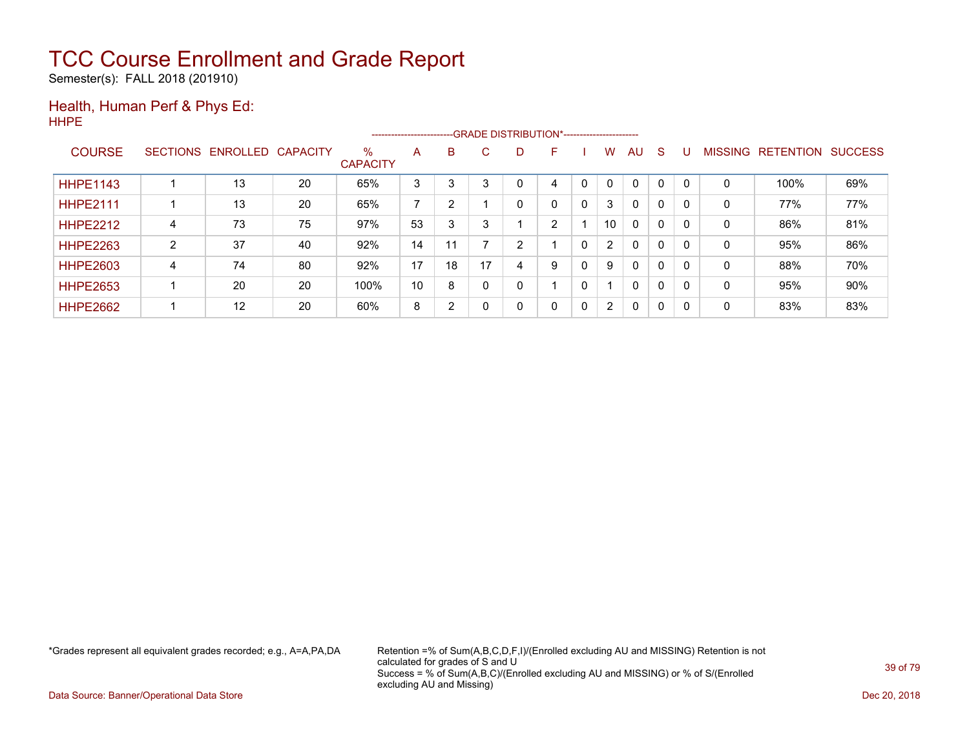Semester(s): FALL 2018 (201910)

#### Health, Human Perf & Phys Ed: HHPE

|                 |   |                   |                 |                         | ---------------------- |    |    |   | --GRADE DISTRIBUTION*----------------------- |   |                       |              |              |          |                |                  |                |
|-----------------|---|-------------------|-----------------|-------------------------|------------------------|----|----|---|----------------------------------------------|---|-----------------------|--------------|--------------|----------|----------------|------------------|----------------|
| <b>COURSE</b>   |   | SECTIONS ENROLLED | <b>CAPACITY</b> | $\%$<br><b>CAPACITY</b> | A                      | B  | C. | D | F                                            |   | W                     | AU           | <sub>S</sub> |          | <b>MISSING</b> | <b>RETENTION</b> | <b>SUCCESS</b> |
| <b>HHPE1143</b> |   | 13                | 20              | 65%                     | 3                      | 3  |    |   | 4                                            |   | $\mathbf{0}$          | $\Omega$     | 0            |          | 0              | 100%             | 69%            |
| <b>HHPE2111</b> |   | 13                | 20              | 65%                     | $\overline{ }$         | 2  |    |   | 0                                            | 0 | 3                     | $\mathbf{0}$ | 0            |          | 0              | 77%              | 77%            |
| <b>HHPE2212</b> | 4 | 73                | 75              | 97%                     | 53                     | 3  |    |   | C.                                           |   | 10                    | $\mathbf{0}$ | 0            |          | 0              | 86%              | 81%            |
| <b>HHPE2263</b> | C | 37                | 40              | 92%                     | 14                     | 11 |    | ົ |                                              |   | $\mathbf{2}^{\circ}$  | $\mathbf{0}$ | 0            |          | 0              | 95%              | 86%            |
| <b>HHPE2603</b> | 4 | 74                | 80              | 92%                     | 17                     | 18 | 17 | 4 | 9                                            |   | 9                     | $\mathbf{0}$ | 0            |          | 0              | 88%              | 70%            |
| <b>HHPE2653</b> |   | 20                | 20              | 100%                    | 10                     | 8  |    |   |                                              | 0 |                       | $\mathbf{0}$ | 0            |          | 0              | 95%              | 90%            |
| <b>HHPE2662</b> |   | 12                | 20              | 60%                     | 8                      | 2  |    | 0 | 0                                            | 0 | $\mathbf{2}^{\prime}$ | $\mathbf{0}$ | 0            | $\Omega$ | 0              | 83%              | 83%            |

\*Grades represent all equivalent grades recorded; e.g., A=A,PA,DA Retention =% of Sum(A,B,C,D,F,I)/(Enrolled excluding AU and MISSING) Retention is not calculated for grades of S and U Success = % of Sum(A,B,C)/(Enrolled excluding AU and MISSING) or % of S/(Enrolled excluding AU and Missing)

Data Source: Banner/Operational Data Store Dec 20, 2018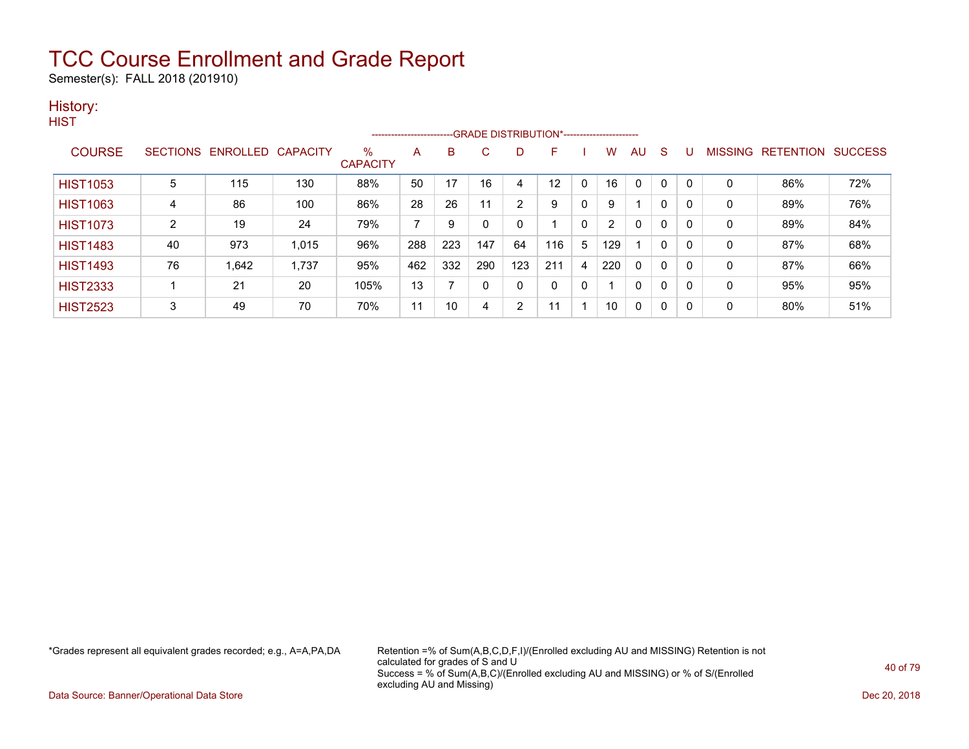Semester(s): FALL 2018 (201910)

### History:

|                 |                |                            |       |                      |     |     |     |                | --------------------------GRADE DISTRIBUTION*----------------------- |              |                |    |              |          |              |                                  |     |
|-----------------|----------------|----------------------------|-------|----------------------|-----|-----|-----|----------------|----------------------------------------------------------------------|--------------|----------------|----|--------------|----------|--------------|----------------------------------|-----|
| <b>COURSE</b>   |                | SECTIONS ENROLLED CAPACITY |       | %<br><b>CAPACITY</b> | A   | B   | C   | D              | F.                                                                   |              | w              | AU | S            | υ        |              | <b>MISSING RETENTION SUCCESS</b> |     |
| <b>HIST1053</b> | 5              | 115                        | 130   | 88%                  | 50  | 17  | 16  |                | 12                                                                   | $\Omega$     | 16             | 0  | 0            | $\Omega$ | 0            | 86%                              | 72% |
| <b>HIST1063</b> | 4              | 86                         | 100   | 86%                  | 28  | 26  | 11  | $\overline{2}$ | 9                                                                    | $\mathbf{0}$ | 9              |    | $\mathbf{0}$ | 0        | $\mathbf{0}$ | 89%                              | 76% |
| <b>HIST1073</b> | $\overline{2}$ | 19                         | 24    | 79%                  | 7   | 9   | 0   | 0              |                                                                      | $\mathbf{0}$ | $\overline{2}$ | 0  | 0            | 0        | 0            | 89%                              | 84% |
| <b>HIST1483</b> | 40             | 973                        | 1,015 | 96%                  | 288 | 223 | 147 | 64             | 116                                                                  | 5            | 129            |    | 0            | 0        | 0            | 87%                              | 68% |
| <b>HIST1493</b> | 76             | 1,642                      | 1,737 | 95%                  | 462 | 332 | 290 | 123            | 211                                                                  | 4            | 220            | 0  | 0            | 0        | 0            | 87%                              | 66% |
| <b>HIST2333</b> |                | 21                         | 20    | 105%                 | 13  |     | 0   | 0              | $\mathbf{0}$                                                         | 0            |                | 0  | 0            | 0        | 0            | 95%                              | 95% |
| <b>HIST2523</b> | 3              | 49                         | 70    | 70%                  | 11  | 10  | 4   | $\overline{2}$ | 11                                                                   |              | 10             | 0  | 0            | 0        | 0            | 80%                              | 51% |

\*Grades represent all equivalent grades recorded; e.g., A=A,PA,DA Retention =% of Sum(A,B,C,D,F,I)/(Enrolled excluding AU and MISSING) Retention is not calculated for grades of S and U Success = % of Sum(A,B,C)/(Enrolled excluding AU and MISSING) or % of S/(Enrolled excluding AU and Missing)

Data Source: Banner/Operational Data Store Dec 20, 2018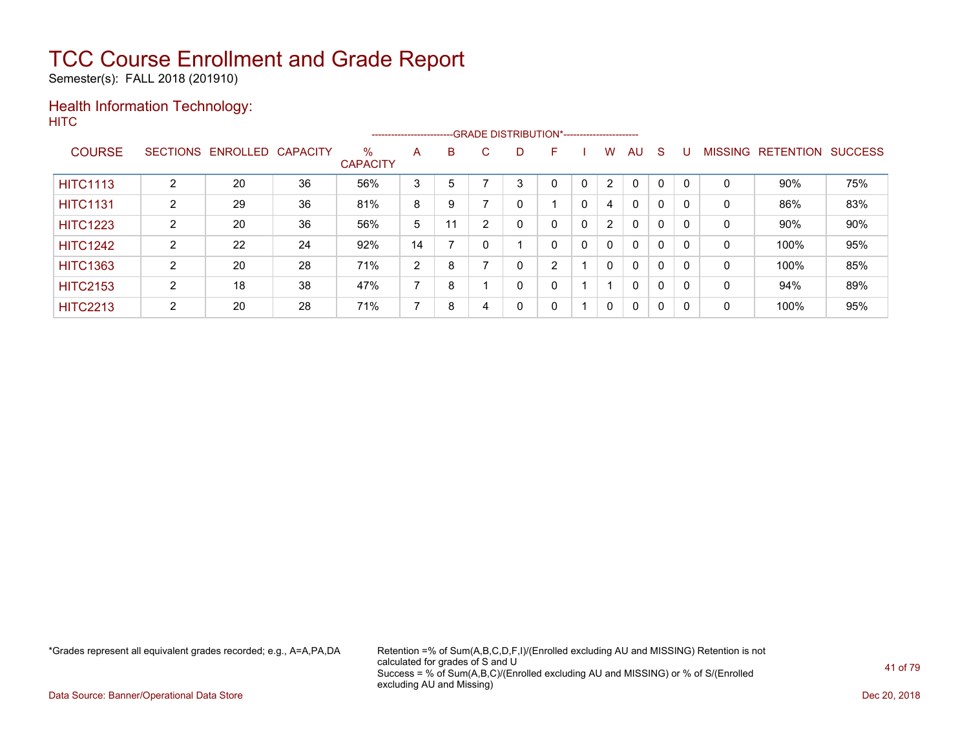Semester(s): FALL 2018 (201910)

### Health Information Technology: **HITC**

|                 |   |                   |                 |                         | -----------------------  |    |    |   | --GRADE DISTRIBUTION*----------------------- |   |                |              |              |          |                |                  |                |
|-----------------|---|-------------------|-----------------|-------------------------|--------------------------|----|----|---|----------------------------------------------|---|----------------|--------------|--------------|----------|----------------|------------------|----------------|
| <b>COURSE</b>   |   | SECTIONS ENROLLED | <b>CAPACITY</b> | $\%$<br><b>CAPACITY</b> | A                        | B  | C. | D | F                                            |   | W              | AU           | <sub>S</sub> |          | <b>MISSING</b> | <b>RETENTION</b> | <b>SUCCESS</b> |
| <b>HITC1113</b> | າ | 20                | 36              | 56%                     | 3                        | 5  |    | 3 |                                              |   | 2              | $\Omega$     | 0            |          | 0              | 90%              | 75%            |
| <b>HITC1131</b> | 2 | 29                | 36              | 81%                     | 8                        | 9  |    |   |                                              | 0 | 4              | $\mathbf{0}$ | 0            |          | 0              | 86%              | 83%            |
| <b>HITC1223</b> | C | 20                | 36              | 56%                     | 5                        | 11 | ົ  |   | 0                                            | 0 | $\overline{2}$ | $\mathbf{0}$ | 0            |          | 0              | 90%              | 90%            |
| <b>HITC1242</b> | ົ | 22                | 24              | 92%                     | 14                       |    |    |   | 0                                            | 0 | $\Omega$       | $\mathbf{0}$ | 0            | $\Omega$ | 0              | 100%             | 95%            |
| <b>HITC1363</b> | ົ | 20                | 28              | 71%                     | 2                        | 8  |    | 0 | C                                            |   | 0              | $\mathbf{0}$ | 0            | $\Omega$ | 0              | 100%             | 85%            |
| <b>HITC2153</b> | ົ | 18                | 38              | 47%                     | $\overline{\phantom{a}}$ | 8  |    | 0 | 0                                            |   |                | $\mathbf{0}$ | 0            | $\Omega$ | 0              | 94%              | 89%            |
| <b>HITC2213</b> | 2 | 20                | 28              | 71%                     | 7                        | 8  | 4  | 0 | 0                                            |   | $\mathbf{0}$   | $\mathbf{0}$ | 0            | $\Omega$ | 0              | 100%             | 95%            |

\*Grades represent all equivalent grades recorded; e.g., A=A,PA,DA Retention =% of Sum(A,B,C,D,F,I)/(Enrolled excluding AU and MISSING) Retention is not calculated for grades of S and U Success = % of Sum(A,B,C)/(Enrolled excluding AU and MISSING) or % of S/(Enrolled excluding AU and Missing)

Data Source: Banner/Operational Data Store Dec 20, 2018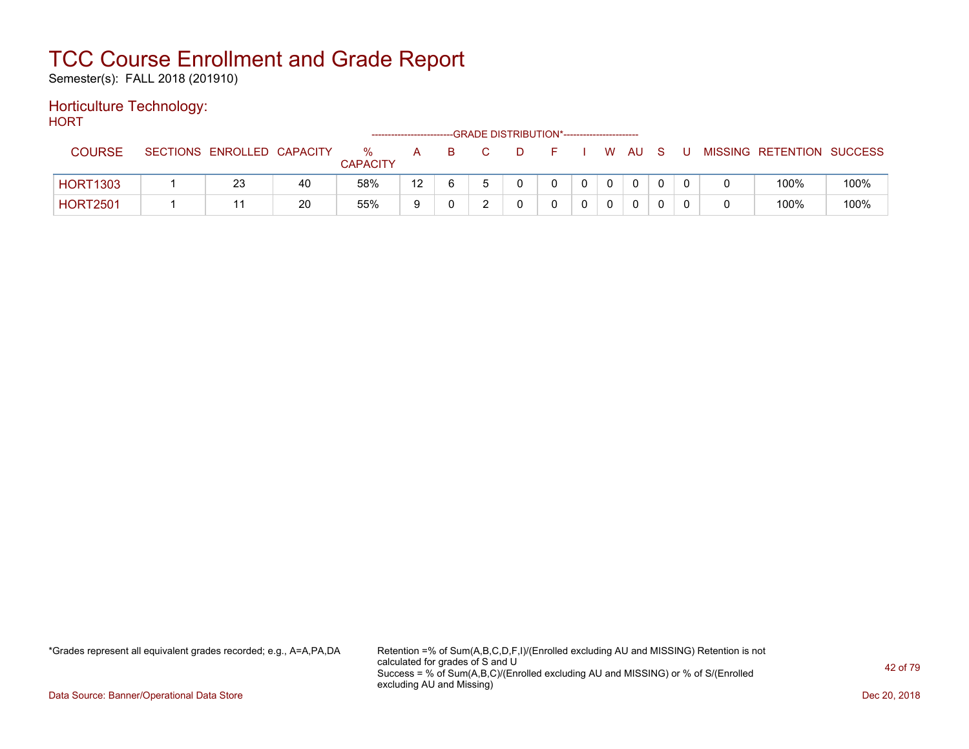Semester(s): FALL 2018 (201910)

#### Horticulture Technology: **HORT**

| . . U           |                            |    |                      |                 |    | --GRADE DISTRIBUTION*----------------------- |          |              |          |  |                           |      |
|-----------------|----------------------------|----|----------------------|-----------------|----|----------------------------------------------|----------|--------------|----------|--|---------------------------|------|
| <b>COURSE</b>   | SECTIONS ENROLLED CAPACITY |    | %<br><b>CAPACITY</b> | A               | B. | D.                                           |          |              | w au     |  | MISSING RETENTION SUCCESS |      |
| <b>HORT1303</b> | 23                         | 40 | 58%                  | 12 <sup>7</sup> | 6. |                                              | $\Omega$ | $\mathbf{0}$ | $\Omega$ |  | 100%                      | 100% |
| <b>HORT2501</b> |                            | 20 | 55%                  |                 |    |                                              |          |              | 0        |  | 100%                      | 100% |

\*Grades represent all equivalent grades recorded; e.g., A=A,PA,DA Retention =% of Sum(A,B,C,D,F,I)/(Enrolled excluding AU and MISSING) Retention is not calculated for grades of S and U Success = % of Sum(A,B,C)/(Enrolled excluding AU and MISSING) or % of S/(Enrolled excluding AU and Missing)

Data Source: Banner/Operational Data Store Dec 20, 2018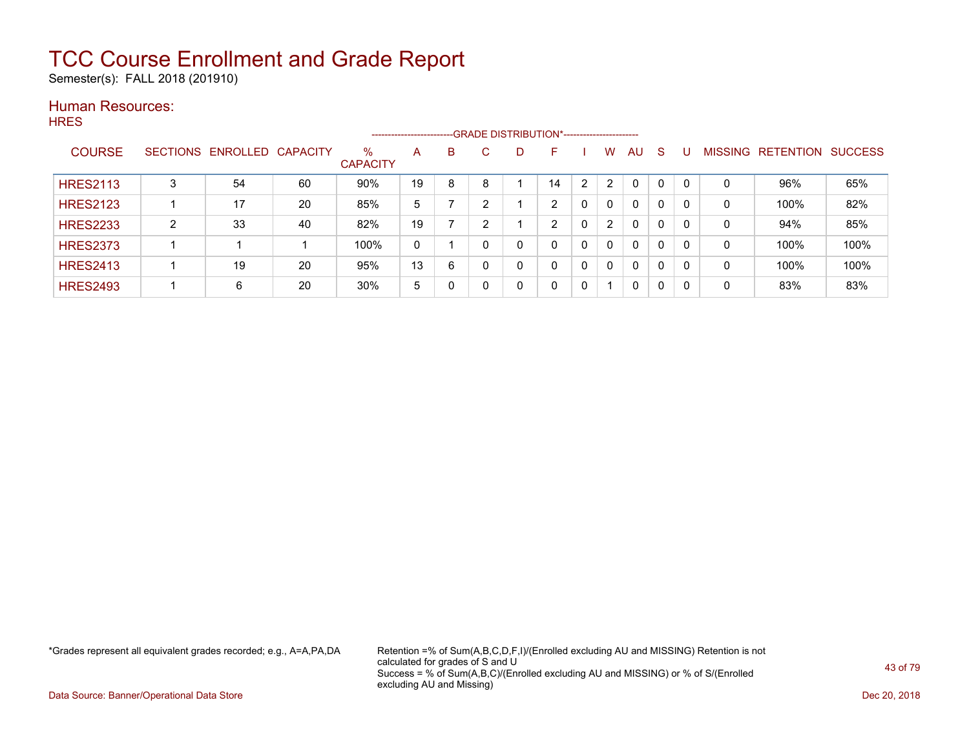Semester(s): FALL 2018 (201910)

### Human Resources:

**HRES** 

|                 |        |                            |    |                         | ----------------------- |   |   | --GRADE DISTRIBUTION*----------------------- |    |   |                |              |              |          |                |                  |                |
|-----------------|--------|----------------------------|----|-------------------------|-------------------------|---|---|----------------------------------------------|----|---|----------------|--------------|--------------|----------|----------------|------------------|----------------|
| <b>COURSE</b>   |        | SECTIONS ENROLLED CAPACITY |    | $\%$<br><b>CAPACITY</b> | A                       | B | С | D                                            | н  |   | W              | AU.          | <sub>S</sub> |          | <b>MISSING</b> | <b>RETENTION</b> | <b>SUCCESS</b> |
| <b>HRES2113</b> | 3      | 54                         | 60 | 90%                     | 19                      | 8 |   |                                              | 14 | 2 | $\overline{2}$ | $\mathbf{0}$ | $\mathbf{0}$ | $\Omega$ | 0              | 96%              | 65%            |
| <b>HRES2123</b> |        | 17                         | 20 | 85%                     | 5                       |   | ົ |                                              | າ  |   | $\Omega$       | $\mathbf{0}$ | 0            | $\Omega$ | 0              | 100%             | 82%            |
| <b>HRES2233</b> | C<br>∠ | 33                         | 40 | 82%                     | 19                      |   | ົ |                                              | ົ  |   | $\overline{2}$ | $\mathbf{0}$ | 0            |          | 0              | 94%              | 85%            |
| <b>HRES2373</b> |        |                            |    | 100%                    | 0                       |   | 0 | 0                                            | 0  | 0 | $\mathbf{0}$   | $\mathbf{0}$ | 0            |          | 0              | 100%             | 100%           |
| <b>HRES2413</b> |        | 19                         | 20 | 95%                     | 13                      | 6 | 0 | 0                                            | 0  |   | $\Omega$       | $\mathbf{0}$ | 0            |          | 0              | 100%             | 100%           |
| <b>HRES2493</b> |        | 6                          | 20 | 30%                     | 5                       |   |   | 0                                            | 0  | 0 |                | 0            | 0            | 0        | 0              | 83%              | 83%            |

\*Grades represent all equivalent grades recorded; e.g., A=A,PA,DA Retention =% of Sum(A,B,C,D,F,I)/(Enrolled excluding AU and MISSING) Retention is not calculated for grades of S and U Success = % of Sum(A,B,C)/(Enrolled excluding AU and MISSING) or % of S/(Enrolled excluding AU and Missing)

Data Source: Banner/Operational Data Store Dec 20, 2018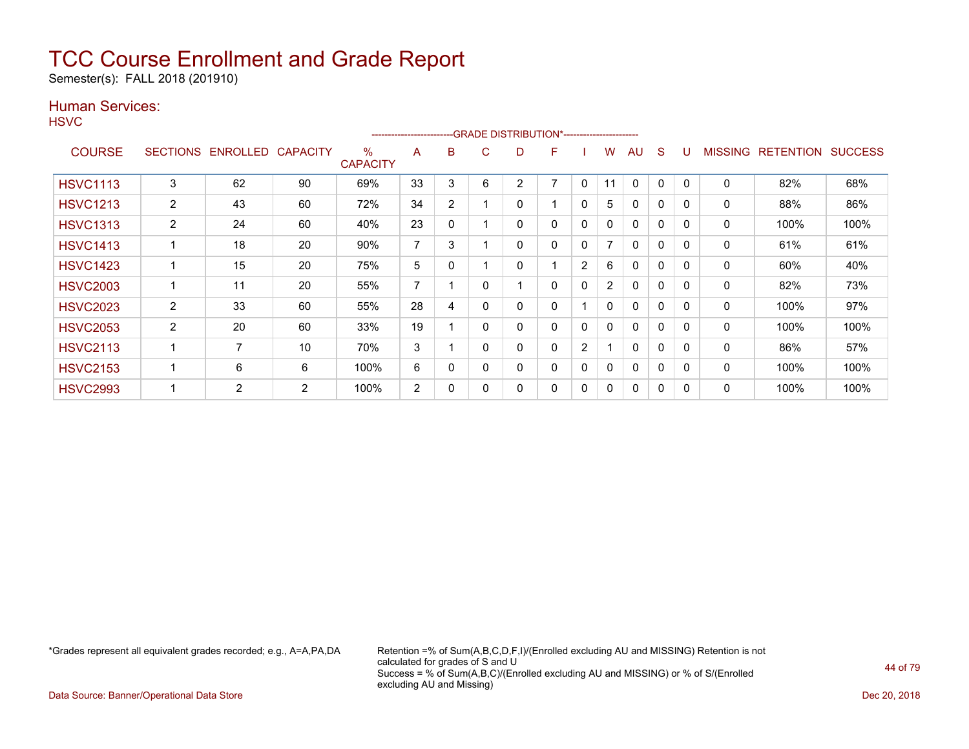Semester(s): FALL 2018 (201910)

### Human Services:

**HSVC** 

|                 |                 |                 |                 |                         | ----------------------- |                |   | --GRADE DISTRIBUTION*----------------------- |   |   |                          |              |              |          |         |                  |                |
|-----------------|-----------------|-----------------|-----------------|-------------------------|-------------------------|----------------|---|----------------------------------------------|---|---|--------------------------|--------------|--------------|----------|---------|------------------|----------------|
| <b>COURSE</b>   | <b>SECTIONS</b> | <b>ENROLLED</b> | <b>CAPACITY</b> | $\%$<br><b>CAPACITY</b> | A                       | B              | C | D                                            | F |   | w                        | AU           | S            |          | MISSING | <b>RETENTION</b> | <b>SUCCESS</b> |
| <b>HSVC1113</b> | 3               | 62              | 90              | 69%                     | 33                      | 3              | 6 | 2                                            | 7 | 0 | 11                       | 0            | $\Omega$     | 0        | 0       | 82%              | 68%            |
| <b>HSVC1213</b> | $\overline{2}$  | 43              | 60              | 72%                     | 34                      | $\overline{2}$ |   | 0                                            |   | 0 | 5                        | 0            | 0            | $\Omega$ | 0       | 88%              | 86%            |
| <b>HSVC1313</b> | $\overline{2}$  | 24              | 60              | 40%                     | 23                      | $\mathbf{0}$   |   | 0                                            | 0 | 0 | 0                        | $\Omega$     | $\Omega$     | $\Omega$ | 0       | 100%             | 100%           |
| <b>HSVC1413</b> |                 | 18              | 20              | 90%                     | ⇁                       | 3              |   | 0                                            | 0 | 0 | $\overline{\phantom{a}}$ | $\mathbf{0}$ | $\mathbf{0}$ | $\Omega$ | 0       | 61%              | 61%            |
| <b>HSVC1423</b> |                 | 15              | 20              | 75%                     | 5                       | 0              |   | 0                                            |   | 2 | 6                        | 0            | 0            | 0        | 0       | 60%              | 40%            |
| <b>HSVC2003</b> |                 | 11              | 20              | 55%                     | 7                       |                |   |                                              | 0 | 0 | $\overline{2}$           | 0            | 0            | 0        | 0       | 82%              | 73%            |
| <b>HSVC2023</b> | $\overline{2}$  | 33              | 60              | 55%                     | 28                      | 4              |   | 0                                            | 0 |   | 0                        | $\mathbf{0}$ | $\Omega$     | $\Omega$ | 0       | 100%             | 97%            |
| <b>HSVC2053</b> | $\overline{2}$  | 20              | 60              | 33%                     | 19                      |                |   | 0                                            | 0 | 0 | 0                        | $\Omega$     | $\Omega$     | $\Omega$ | 0       | 100%             | 100%           |
| <b>HSVC2113</b> |                 | 7               | 10              | 70%                     | 3                       |                |   | 0                                            | 0 | 2 |                          | $\Omega$     | 0            | $\Omega$ | 0       | 86%              | 57%            |
| <b>HSVC2153</b> |                 | 6               | 6               | 100%                    | 6                       | 0              |   | 0                                            | 0 | 0 | 0                        | $\Omega$     | $\Omega$     | $\Omega$ | 0       | 100%             | 100%           |
| <b>HSVC2993</b> |                 | $\overline{2}$  | 2               | 100%                    | 2                       | 0              |   | 0                                            | 0 | 0 | 0                        | $\Omega$     | $\mathbf{0}$ | 0        | 0       | 100%             | 100%           |

\*Grades represent all equivalent grades recorded; e.g., A=A,PA,DA Retention =% of Sum(A,B,C,D,F,I)/(Enrolled excluding AU and MISSING) Retention is not calculated for grades of S and U Success = % of Sum(A,B,C)/(Enrolled excluding AU and MISSING) or % of S/(Enrolled excluding AU and Missing)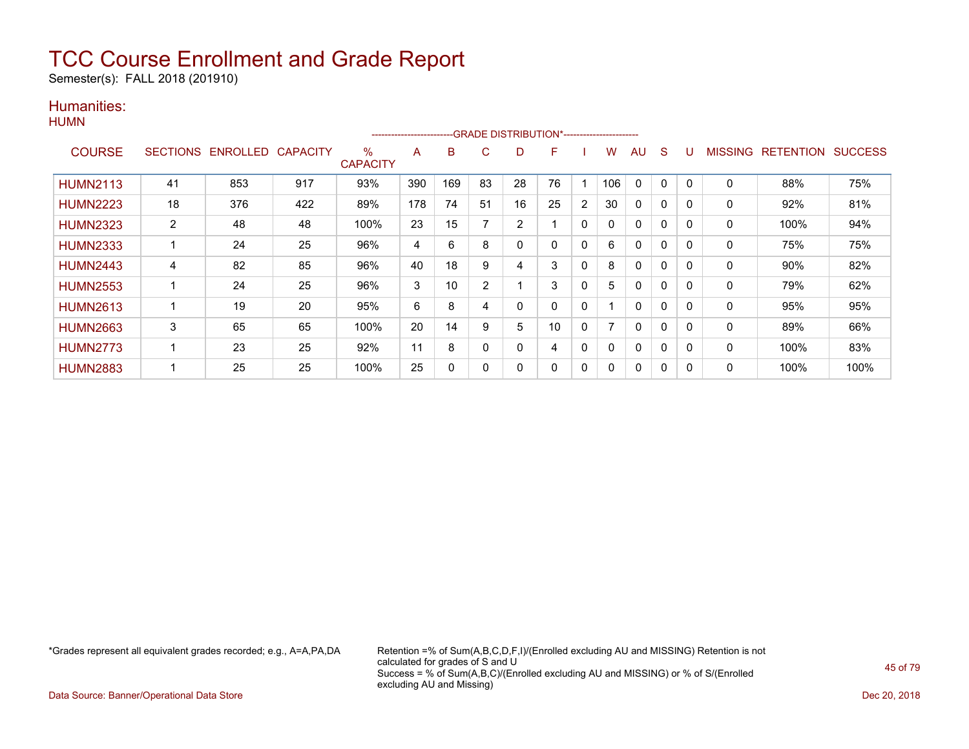Semester(s): FALL 2018 (201910)

### Humanities:

|                 |    |                            |     |                      | ------------------------ |     |    | -GRADE DISTRIBUTION*----------------------- |          |   |     |              |          |          |                |                  |                |
|-----------------|----|----------------------------|-----|----------------------|--------------------------|-----|----|---------------------------------------------|----------|---|-----|--------------|----------|----------|----------------|------------------|----------------|
| <b>COURSE</b>   |    | SECTIONS ENROLLED CAPACITY |     | ℅<br><b>CAPACITY</b> | A                        | в   | C  | D                                           | F        |   | w   | AU           | S        | U        | <b>MISSING</b> | <b>RETENTION</b> | <b>SUCCESS</b> |
| <b>HUMN2113</b> | 41 | 853                        | 917 | 93%                  | 390                      | 169 | 83 | 28                                          | 76       |   | 106 | $\mathbf{0}$ | $\Omega$ | 0        | $\mathbf{0}$   | 88%              | 75%            |
| <b>HUMN2223</b> | 18 | 376                        | 422 | 89%                  | 178                      | 74  | 51 | 16                                          | 25       | 2 | 30  | $\mathbf{0}$ | 0        | 0        | $\mathbf{0}$   | 92%              | 81%            |
| <b>HUMN2323</b> | 2  | 48                         | 48  | 100%                 | 23                       | 15  |    | $\overline{2}$                              |          | 0 |     | $\mathbf 0$  | 0        | 0        | 0              | 100%             | 94%            |
| <b>HUMN2333</b> | 1  | 24                         | 25  | 96%                  | 4                        | 6   | 8  | $\mathbf 0$                                 | $\Omega$ | 0 | 6   | $\mathbf{0}$ | $\Omega$ | $\Omega$ | $\mathbf{0}$   | 75%              | 75%            |
| <b>HUMN2443</b> | 4  | 82                         | 85  | 96%                  | 40                       | 18  | 9  | 4                                           | 3        | 0 | 8   | $\mathbf{0}$ | $\Omega$ | 0        | 0              | 90%              | 82%            |
| <b>HUMN2553</b> | 1  | 24                         | 25  | 96%                  | 3                        | 10  | 2  |                                             | 3        | 0 | 5.  | $\mathbf{0}$ | 0        | 0        | 0              | 79%              | 62%            |
| <b>HUMN2613</b> | 1  | 19                         | 20  | 95%                  | 6                        | 8   | 4  | 0                                           | $\Omega$ | 0 |     | $\mathbf{0}$ | $\Omega$ | 0        | 0              | 95%              | 95%            |
| <b>HUMN2663</b> | 3  | 65                         | 65  | 100%                 | 20                       | 14  | 9  | 5                                           | 10       | 0 |     | $\mathbf{0}$ | 0        | 0        | 0              | 89%              | 66%            |
| <b>HUMN2773</b> | 1  | 23                         | 25  | 92%                  | 11                       | 8   | 0  | 0                                           | 4        | 0 | 0   | 0            | 0        |          | 0              | 100%             | 83%            |
| <b>HUMN2883</b> | 1  | 25                         | 25  | 100%                 | 25                       | 0   | 0  | 0                                           | 0        | 0 | 0   | 0            | 0        | 0        | 0              | 100%             | 100%           |

\*Grades represent all equivalent grades recorded; e.g., A=A,PA,DA Retention =% of Sum(A,B,C,D,F,I)/(Enrolled excluding AU and MISSING) Retention is not calculated for grades of S and U Success = % of Sum(A,B,C)/(Enrolled excluding AU and MISSING) or % of S/(Enrolled excluding AU and Missing)

Data Source: Banner/Operational Data Store Dec 20, 2018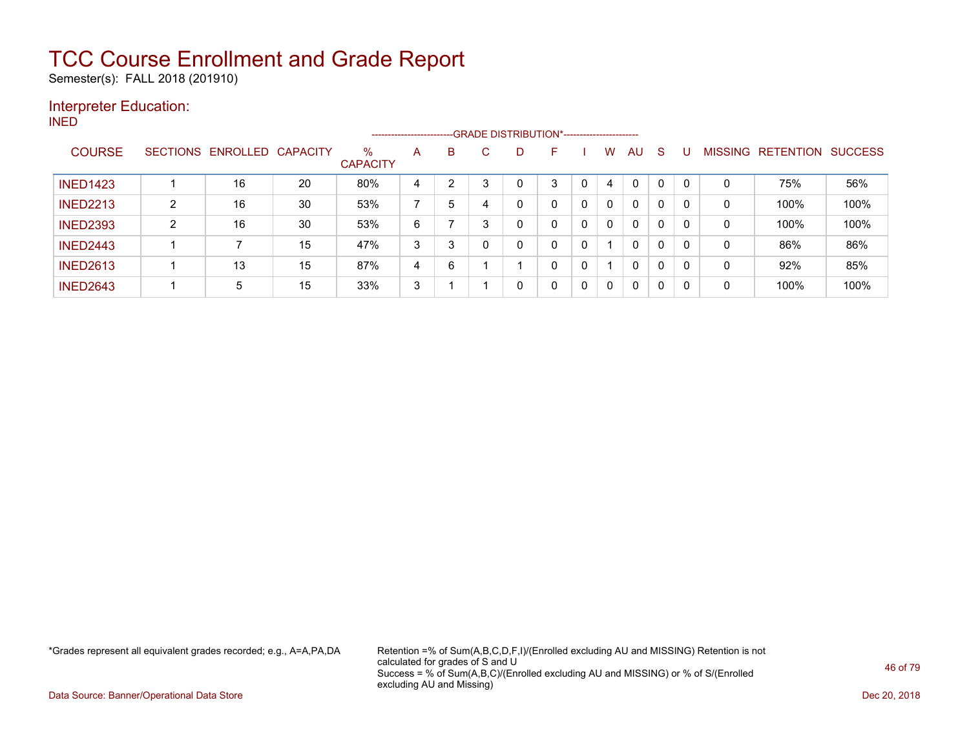Semester(s): FALL 2018 (201910)

### Interpreter Education:

INED

|                 |                 |                   |    |                         | ----------------------- |                | --- GRADE DISTRIBUTION*----------------------- |   |   |   |              |              |              |              |         |                  |                |
|-----------------|-----------------|-------------------|----|-------------------------|-------------------------|----------------|------------------------------------------------|---|---|---|--------------|--------------|--------------|--------------|---------|------------------|----------------|
| <b>COURSE</b>   | <b>SECTIONS</b> | ENROLLED CAPACITY |    | $\%$<br><b>CAPACITY</b> | A                       | B              | С                                              | D |   |   | W            | AU.          | -S           |              | MISSING | <b>RETENTION</b> | <b>SUCCESS</b> |
| <b>INED1423</b> |                 | 16                | 20 | 80%                     | 4                       | $\overline{2}$ | ົ                                              | 0 | 3 |   | 4            | $\Omega$     | 0            | $\mathbf{0}$ | 0       | 75%              | 56%            |
| <b>INED2213</b> | າ               | 16                | 30 | 53%                     |                         | 5              |                                                | 0 | 0 | 0 | 0            | 0            | 0            | $\Omega$     | 0       | 100%             | 100%           |
| <b>INED2393</b> | ົ               | 16                | 30 | 53%                     | 6                       |                | 3                                              | 0 | 0 | 0 | $\mathbf{0}$ | $\mathbf{0}$ | $\mathbf{0}$ | $\mathbf{0}$ | 0       | 100%             | 100%           |
| <b>INED2443</b> |                 |                   | 15 | 47%                     | 3                       | 3              |                                                | 0 | 0 | 0 |              | $\mathbf 0$  | 0            | 0            | 0       | 86%              | 86%            |
| <b>INED2613</b> |                 | 13                | 15 | 87%                     | 4                       | 6              |                                                |   | 0 | 0 |              | $\mathbf{0}$ | $\mathbf{0}$ | $\mathbf{0}$ | 0       | 92%              | 85%            |
| <b>INED2643</b> |                 | 5                 | 15 | 33%                     | 3                       |                |                                                | 0 | 0 | 0 | 0            | 0            | 0            | 0            | 0       | 100%             | 100%           |

\*Grades represent all equivalent grades recorded; e.g., A=A,PA,DA Retention =% of Sum(A,B,C,D,F,I)/(Enrolled excluding AU and MISSING) Retention is not calculated for grades of S and U Success = % of Sum(A,B,C)/(Enrolled excluding AU and MISSING) or % of S/(Enrolled excluding AU and Missing)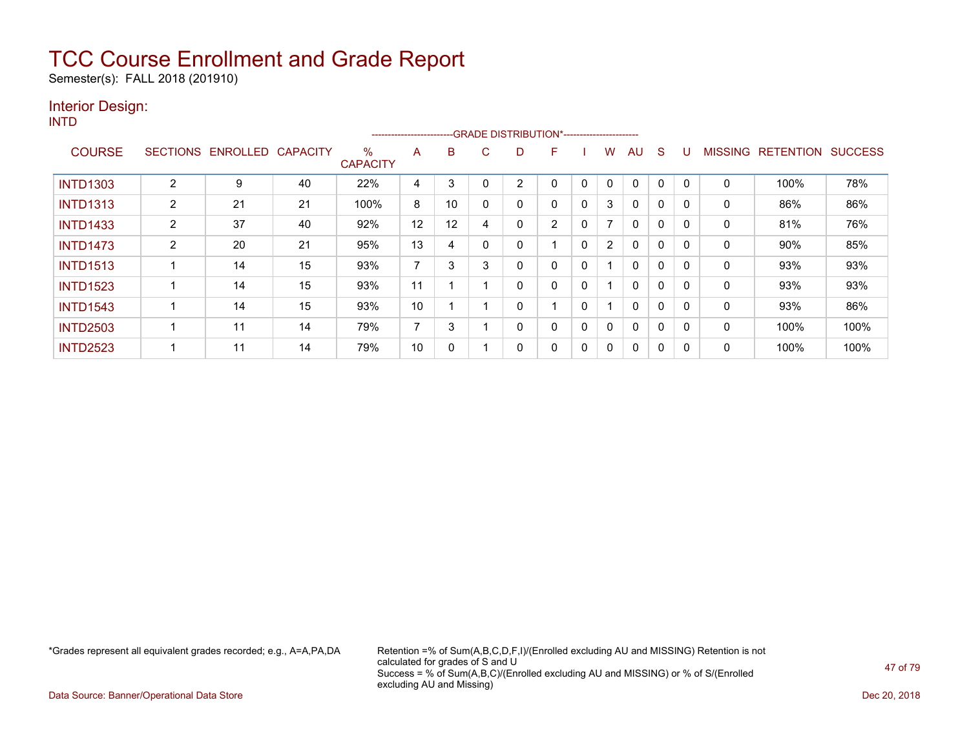Semester(s): FALL 2018 (201910)

### Interior Design:

INTD

|                 |                 |          |                 |                      | ----------------------- |    |   | --GRADE DISTRIBUTION*---------------------- |                |              |                |              |             |          |                |                  |                |
|-----------------|-----------------|----------|-----------------|----------------------|-------------------------|----|---|---------------------------------------------|----------------|--------------|----------------|--------------|-------------|----------|----------------|------------------|----------------|
| <b>COURSE</b>   | <b>SECTIONS</b> | ENROLLED | <b>CAPACITY</b> | %<br><b>CAPACITY</b> | A                       | B  | C | D                                           | F              |              | W              | AU           | S           |          | <b>MISSING</b> | <b>RETENTION</b> | <b>SUCCESS</b> |
| <b>INTD1303</b> | $\overline{2}$  | 9        | 40              | 22%                  | 4                       | 3  |   | 2                                           | 0              | $\Omega$     | $\mathbf{0}$   | 0            | 0           |          | 0              | 100%             | 78%            |
| <b>INTD1313</b> | 2               | 21       | 21              | 100%                 | 8                       | 10 |   | 0                                           | 0              | 0            | 3              | 0            | 0           |          | 0              | 86%              | 86%            |
| <b>INTD1433</b> | $\overline{2}$  | 37       | 40              | 92%                  | 12                      | 12 | 4 | 0                                           | $\overline{2}$ | $\mathbf{0}$ | 7              | $\mathbf{0}$ | $\mathbf 0$ | $\Omega$ | 0              | 81%              | 76%            |
| <b>INTD1473</b> | $\overline{2}$  | 20       | 21              | 95%                  | 13                      | 4  |   | 0                                           |                | $\Omega$     | $\overline{2}$ | 0            | 0           | $\Omega$ | 0              | $90\%$           | 85%            |
| <b>INTD1513</b> |                 | 14       | 15              | 93%                  | 7                       | 3  | 3 | 0                                           | 0              | 0            |                | $\mathbf{0}$ | $\mathbf 0$ |          | 0              | 93%              | 93%            |
| <b>INTD1523</b> |                 | 14       | 15              | 93%                  | 11                      |    |   | 0                                           | 0              | $\Omega$     |                | $\mathbf{0}$ | 0           | $\Omega$ | 0              | 93%              | 93%            |
| <b>INTD1543</b> |                 | 14       | 15              | 93%                  | 10                      |    |   | 0                                           |                | 0            |                | $\mathbf{0}$ | $\mathbf 0$ | $\Omega$ | 0              | 93%              | 86%            |
| <b>INTD2503</b> |                 | 11       | 14              | 79%                  | 7                       | 3  |   | 0                                           | 0              | 0            | 0              | $\mathbf{0}$ | 0           |          | 0              | 100%             | 100%           |
| <b>INTD2523</b> |                 | 11       | 14              | 79%                  | 10                      | 0  |   | 0                                           | 0              | 0            | 0              | $\mathbf{0}$ | 0           |          | 0              | 100%             | 100%           |

\*Grades represent all equivalent grades recorded; e.g., A=A,PA,DA Retention =% of Sum(A,B,C,D,F,I)/(Enrolled excluding AU and MISSING) Retention is not calculated for grades of S and U Success = % of Sum(A,B,C)/(Enrolled excluding AU and MISSING) or % of S/(Enrolled excluding AU and Missing)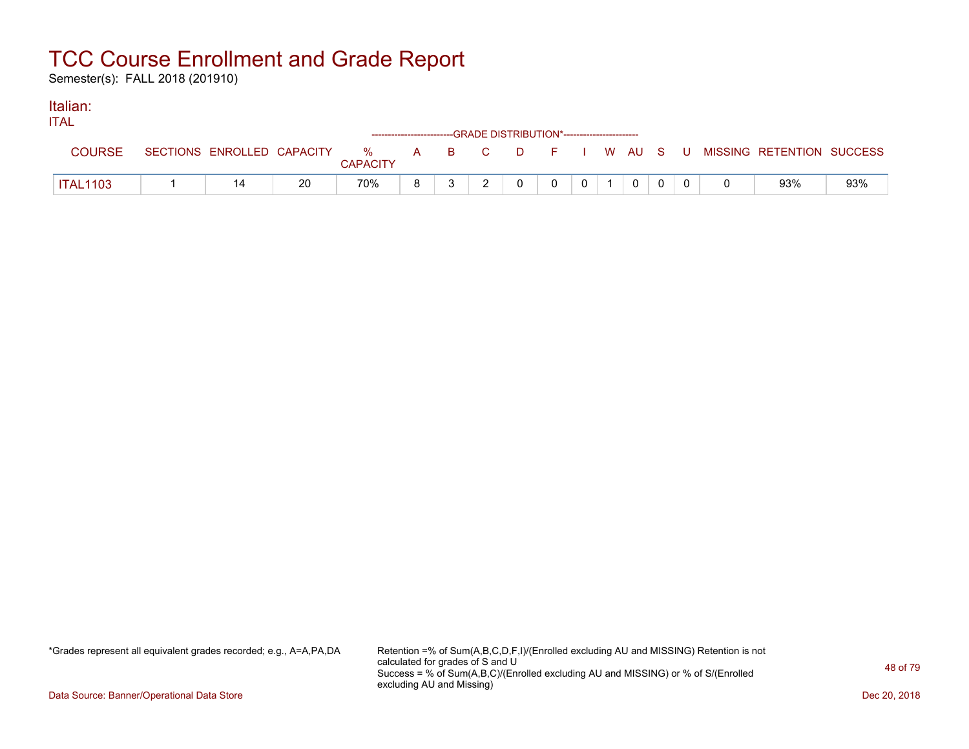Semester(s): FALL 2018 (201910)

#### Italian: ITAL

| IIAL            |                            |    |                      |   | ------------------------GRADE DISTRIBUTION*----------------------- |  |              |              |             |  |                                          |     |
|-----------------|----------------------------|----|----------------------|---|--------------------------------------------------------------------|--|--------------|--------------|-------------|--|------------------------------------------|-----|
| COURSE          | SECTIONS ENROLLED CAPACITY |    | %<br><b>CAPACITY</b> |   | A B C                                                              |  |              |              |             |  | D F I W AU S U MISSING RETENTION SUCCESS |     |
| <b>ITAL1103</b> |                            | 20 | 70%                  | 8 |                                                                    |  | $\mathbf{0}$ | $\mathbf{0}$ | $\mathbf 0$ |  | 93%                                      | 93% |

\*Grades represent all equivalent grades recorded; e.g., A=A,PA,DA Retention =% of Sum(A,B,C,D,F,I)/(Enrolled excluding AU and MISSING) Retention is not calculated for grades of S and U Success = % of Sum(A,B,C)/(Enrolled excluding AU and MISSING) or % of S/(Enrolled excluding AU and Missing)

Data Source: Banner/Operational Data Store Dec 20, 2018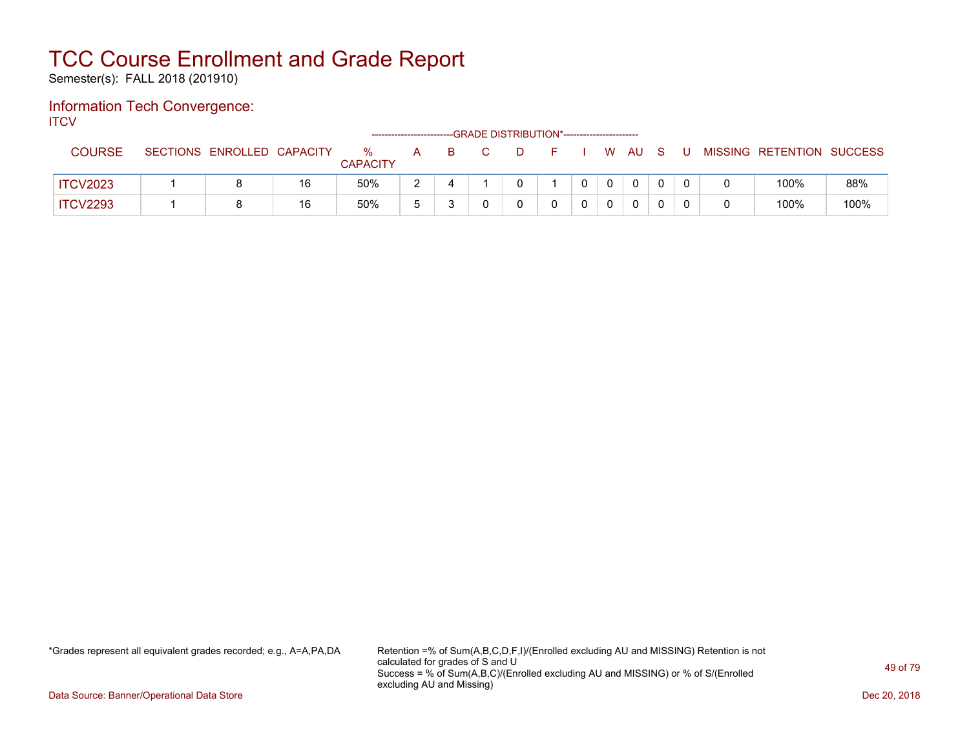Semester(s): FALL 2018 (201910)

#### Information Tech Convergence: **ITCV**

--GRADE DISTRIBUTION\*------------------------COURSE SECTIONS ENROLLED CAPACITY % **CAPACITY** A B C D F I W AU S U MISSING RETENTION SUCCESS ITCV2023 1 8 16 50% 2 4 1 0 1 | 0 | 0 | 0 | 0 | 0 | 0 100% 88% ITCV2293 | 1 | 8 | 16 | 50% | 5 | 3 | 0 | 0 | 0 | 0 | 0 | 0 | 0 | 0 | 100% | 100%

\*Grades represent all equivalent grades recorded; e.g., A=A,PA,DA Retention =% of Sum(A,B,C,D,F,I)/(Enrolled excluding AU and MISSING) Retention is not calculated for grades of S and U Success = % of Sum(A,B,C)/(Enrolled excluding AU and MISSING) or % of S/(Enrolled excluding AU and Missing)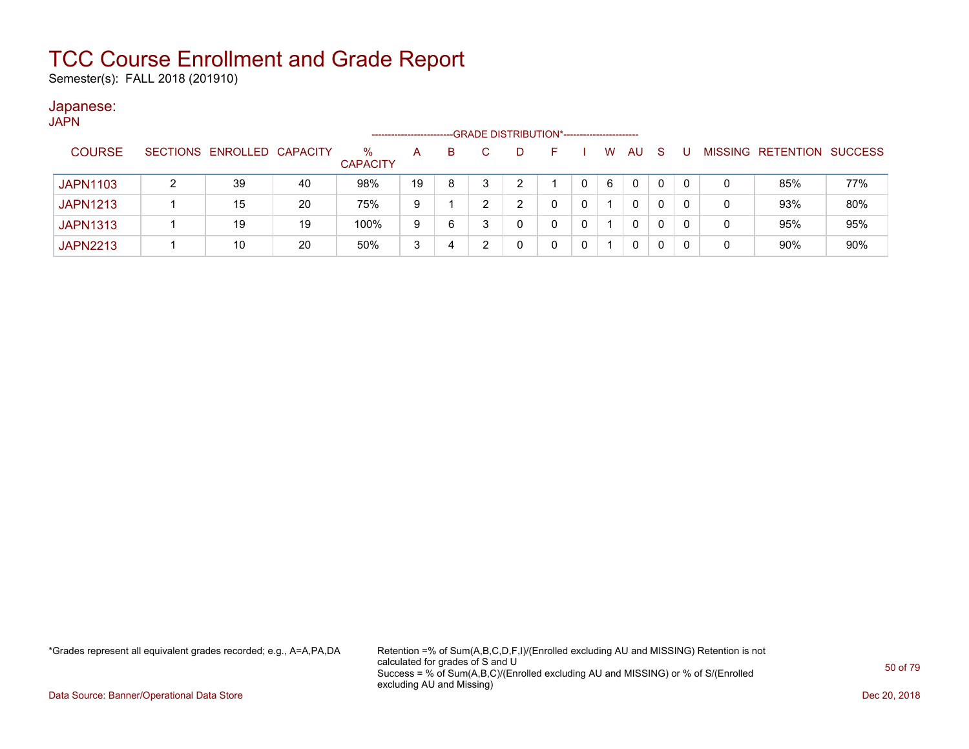Semester(s): FALL 2018 (201910)

#### Japanese: JAPN

| יורש            |                            |    |                      | --------------------- |    |    | --GRADE DISTRIBUTION*----------------------- |   |              |   |           |              |   |                   |                |
|-----------------|----------------------------|----|----------------------|-----------------------|----|----|----------------------------------------------|---|--------------|---|-----------|--------------|---|-------------------|----------------|
| <b>COURSE</b>   | SECTIONS ENROLLED CAPACITY |    | %<br><b>CAPACITY</b> | $\mathsf{A}$          | B. | C. | D                                            |   |              | W | <b>AU</b> | <sub>S</sub> |   | MISSING RETENTION | <b>SUCCESS</b> |
| <b>JAPN1103</b> | 39                         | 40 | 98%                  | 19                    | 8  |    | ົ                                            |   |              | 6 | 0         | 0            | 0 | 85%               | 77%            |
| <b>JAPN1213</b> | 15                         | 20 | 75%                  | 9                     |    |    | ົ                                            |   |              |   | 0         | 0            | 0 | 93%               | 80%            |
| <b>JAPN1313</b> | 19                         | 19 | 100%                 | 9                     | 6  |    | 0                                            | 0 | 0            |   | 0         | 0            | 0 | 95%               | 95%            |
| <b>JAPN2213</b> | 10                         | 20 | 50%                  | 3                     | 4  |    | 0                                            |   | $\mathbf{0}$ |   | 0         | 0            | 0 | 90%               | 90%            |

\*Grades represent all equivalent grades recorded; e.g., A=A,PA,DA Retention =% of Sum(A,B,C,D,F,I)/(Enrolled excluding AU and MISSING) Retention is not calculated for grades of S and U Success = % of Sum(A,B,C)/(Enrolled excluding AU and MISSING) or % of S/(Enrolled excluding AU and Missing)

Data Source: Banner/Operational Data Store Dec 20, 2018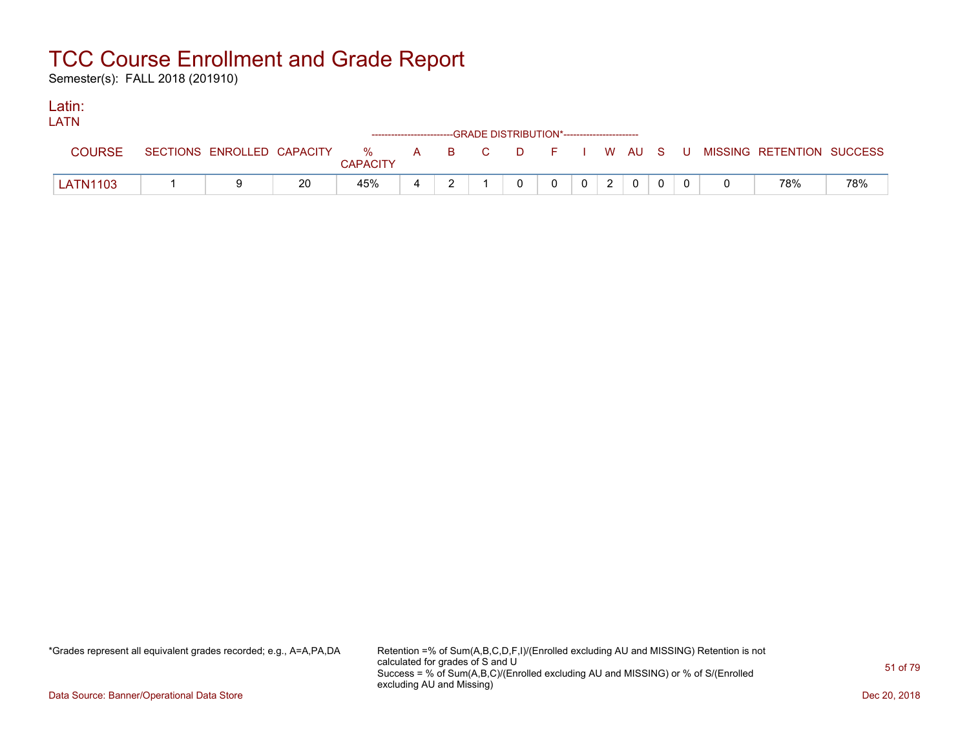Semester(s): FALL 2018 (201910)

#### Latin: LATNE

| LAIN            |                            |    |                 |   | ------------------------GRADE DISTRIBUTION*----------------------- |   |          |                |   |                |  |                                                  |     |
|-----------------|----------------------------|----|-----------------|---|--------------------------------------------------------------------|---|----------|----------------|---|----------------|--|--------------------------------------------------|-----|
| <b>COURSE</b>   | SECTIONS ENROLLED CAPACITY |    | <b>CAPACITY</b> |   |                                                                    |   |          |                |   |                |  | % A B C D F I W AU S U MISSING RETENTION SUCCESS |     |
| <b>LATN1103</b> |                            | 20 | 45%             | 4 |                                                                    | 0 | $\Omega$ | 0 <sup>1</sup> | 2 | $\overline{0}$ |  | 78%                                              | 78% |

\*Grades represent all equivalent grades recorded; e.g., A=A,PA,DA Retention =% of Sum(A,B,C,D,F,I)/(Enrolled excluding AU and MISSING) Retention is not calculated for grades of S and U Success = % of Sum(A,B,C)/(Enrolled excluding AU and MISSING) or % of S/(Enrolled excluding AU and Missing)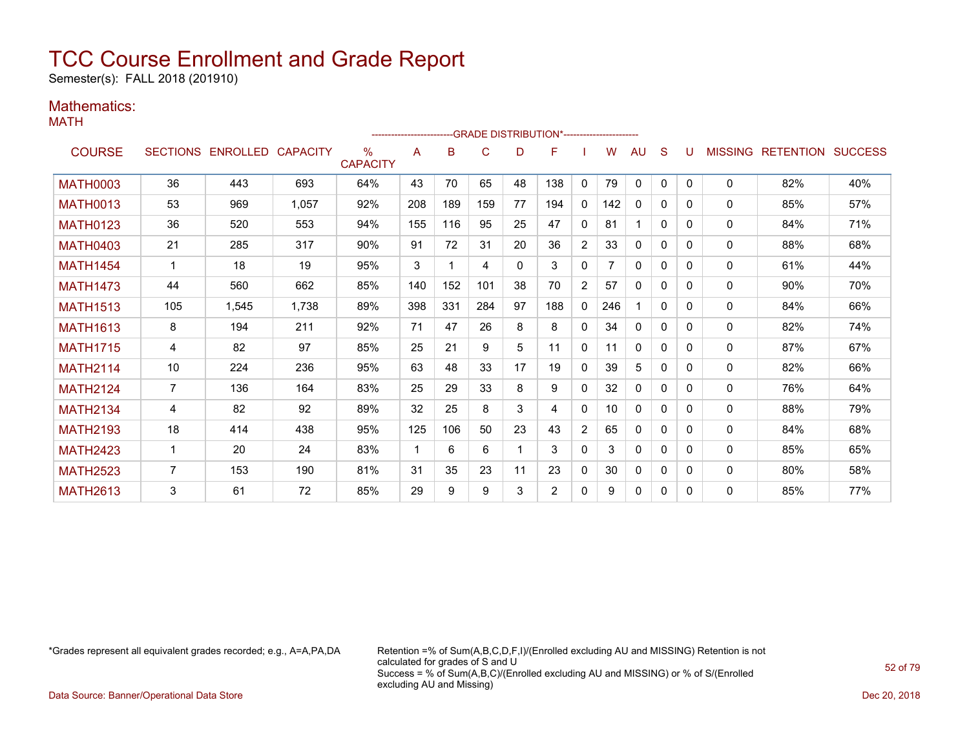Semester(s): FALL 2018 (201910)

### Mathematics:

MATH

|                 |                |                            |       |                      | -------------------------GRADE DISTRIBUTION*---------------------- |     |     |          |                |                |     |              |              |              |                |                          |     |
|-----------------|----------------|----------------------------|-------|----------------------|--------------------------------------------------------------------|-----|-----|----------|----------------|----------------|-----|--------------|--------------|--------------|----------------|--------------------------|-----|
| <b>COURSE</b>   |                | SECTIONS ENROLLED CAPACITY |       | ℅<br><b>CAPACITY</b> | A                                                                  | в   | C   | D        | F              |                | w   | AU           | S            | U            | <b>MISSING</b> | <b>RETENTION SUCCESS</b> |     |
| <b>MATH0003</b> | 36             | 443                        | 693   | 64%                  | 43                                                                 | 70  | 65  | 48       | 138            | 0              | 79  | 0            | 0            | $\mathbf{0}$ | $\mathbf{0}$   | 82%                      | 40% |
| <b>MATH0013</b> | 53             | 969                        | 1,057 | 92%                  | 208                                                                | 189 | 159 | 77       | 194            | 0              | 142 | 0            | $\mathbf{0}$ | 0            | 0              | 85%                      | 57% |
| <b>MATH0123</b> | 36             | 520                        | 553   | 94%                  | 155                                                                | 116 | 95  | 25       | 47             | $\Omega$       | 81  |              | $\Omega$     | 0            | 0              | 84%                      | 71% |
| <b>MATH0403</b> | 21             | 285                        | 317   | 90%                  | 91                                                                 | 72  | 31  | 20       | 36             | $\overline{2}$ | 33  | $\mathbf{0}$ | $\Omega$     | 0            | 0              | 88%                      | 68% |
| <b>MATH1454</b> |                | 18                         | 19    | 95%                  | 3                                                                  |     | 4   | $\Omega$ | 3              | $\Omega$       |     | $\mathbf{0}$ | $\Omega$     | 0            | 0              | 61%                      | 44% |
| <b>MATH1473</b> | 44             | 560                        | 662   | 85%                  | 140                                                                | 152 | 101 | 38       | 70             | $\overline{2}$ | 57  | $\mathbf{0}$ | $\Omega$     | 0            | 0              | 90%                      | 70% |
| <b>MATH1513</b> | 105            | 1,545                      | 1,738 | 89%                  | 398                                                                | 331 | 284 | 97       | 188            | 0              | 246 |              | $\mathbf{0}$ | 0            | 0              | 84%                      | 66% |
| <b>MATH1613</b> | 8              | 194                        | 211   | 92%                  | 71                                                                 | 47  | 26  | 8        | 8              | $\mathbf{0}$   | 34  | $\mathbf{0}$ | $\mathbf{0}$ | 0            | 0              | 82%                      | 74% |
| <b>MATH1715</b> | 4              | 82                         | 97    | 85%                  | 25                                                                 | 21  | 9   | 5        | 11             | $\mathbf{0}$   | 11  | $\mathbf{0}$ | $\mathbf{0}$ | 0            | $\Omega$       | 87%                      | 67% |
| <b>MATH2114</b> | 10             | 224                        | 236   | 95%                  | 63                                                                 | 48  | 33  | 17       | 19             | $\mathbf{0}$   | 39  | 5            | $\Omega$     | 0            | $\mathbf{0}$   | 82%                      | 66% |
| <b>MATH2124</b> | $\overline{7}$ | 136                        | 164   | 83%                  | 25                                                                 | 29  | 33  | 8        | 9              | $\Omega$       | 32  | $\mathbf{0}$ | $\Omega$     | 0            | 0              | 76%                      | 64% |
| <b>MATH2134</b> | 4              | 82                         | 92    | 89%                  | 32                                                                 | 25  | 8   | 3        | 4              | $\mathbf{0}$   | 10  | $\mathbf{0}$ | $\mathbf{0}$ | 0            | $\mathbf{0}$   | 88%                      | 79% |
| <b>MATH2193</b> | 18             | 414                        | 438   | 95%                  | 125                                                                | 106 | 50  | 23       | 43             | 2              | 65  | $\mathbf{0}$ | 0            | 0            | $\mathbf{0}$   | 84%                      | 68% |
| <b>MATH2423</b> | $\mathbf{1}$   | 20                         | 24    | 83%                  | 1                                                                  | 6   | 6   |          | 3              | $\mathbf{0}$   | 3   | $\mathbf{0}$ | $\mathbf{0}$ | 0            | $\mathbf{0}$   | 85%                      | 65% |
| <b>MATH2523</b> | $\overline{7}$ | 153                        | 190   | 81%                  | 31                                                                 | 35  | 23  | 11       | 23             | 0              | 30  | 0            | $\mathbf{0}$ | 0            | 0              | 80%                      | 58% |
| <b>MATH2613</b> | 3              | 61                         | 72    | 85%                  | 29                                                                 | 9   | 9   | 3        | $\overline{2}$ | $\Omega$       | 9   | 0            | $\mathbf{0}$ | 0            | 0              | 85%                      | 77% |

\*Grades represent all equivalent grades recorded; e.g., A=A,PA,DA Retention =% of Sum(A,B,C,D,F,I)/(Enrolled excluding AU and MISSING) Retention is not calculated for grades of S and U Success = % of Sum(A,B,C)/(Enrolled excluding AU and MISSING) or % of S/(Enrolled excluding AU and Missing)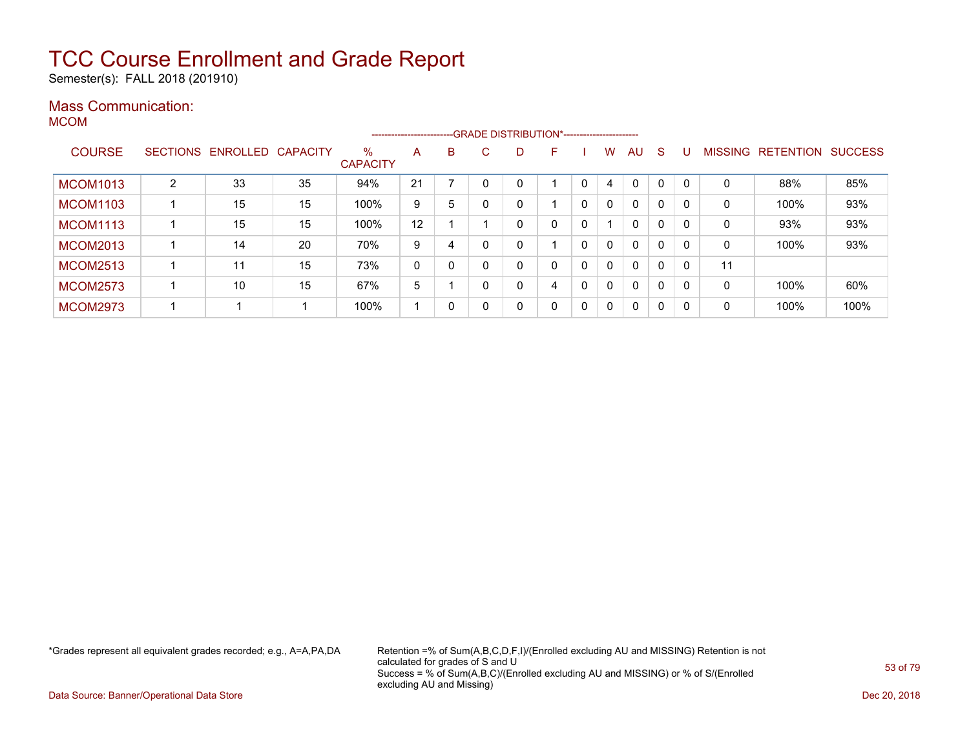Semester(s): FALL 2018 (201910)

### Mass Communication:

MCOM

|                 |   |                            |    |                         |    |   |    |    | --------------------------GRADE DISTRIBUTION*---------------------- |             |              |              |              |          |                |                  |                |
|-----------------|---|----------------------------|----|-------------------------|----|---|----|----|---------------------------------------------------------------------|-------------|--------------|--------------|--------------|----------|----------------|------------------|----------------|
| <b>COURSE</b>   |   | SECTIONS ENROLLED CAPACITY |    | $\%$<br><b>CAPACITY</b> | A  | B | C. | D. | F                                                                   |             | w            | AU           | <sub>S</sub> |          | <b>MISSING</b> | <b>RETENTION</b> | <b>SUCCESS</b> |
| <b>MCOM1013</b> | 2 | 33                         | 35 | 94%                     | 21 |   |    |    |                                                                     | 0           | 4            | $\Omega$     | $\Omega$     |          | 0              | 88%              | 85%            |
| <b>MCOM1103</b> |   | 15                         | 15 | 100%                    | 9  | 5 |    | 0  |                                                                     | 0           | $\mathbf{0}$ | $\mathbf{0}$ | 0            |          | 0              | 100%             | 93%            |
| <b>MCOM1113</b> |   | 15                         | 15 | 100%                    | 12 |   |    |    | 0                                                                   | 0           |              | $\mathbf{0}$ | $\mathbf{0}$ |          | 0              | 93%              | 93%            |
| <b>MCOM2013</b> |   | 14                         | 20 | 70%                     | 9  | 4 |    |    |                                                                     | 0           | $\mathbf{0}$ | $\mathbf{0}$ | $\mathbf{0}$ |          | 0              | 100%             | 93%            |
| <b>MCOM2513</b> |   | 11                         | 15 | 73%                     | 0  | 0 |    | 0  | 0                                                                   | 0           | $\mathbf{0}$ | $\mathbf{0}$ | 0            |          | 11             |                  |                |
| <b>MCOM2573</b> |   | 10                         | 15 | 67%                     | 5  |   |    | 0  | 4                                                                   | $\mathbf 0$ | $\mathbf{0}$ | $\mathbf{0}$ | 0            | $\Omega$ | 0              | 100%             | 60%            |
| <b>MCOM2973</b> |   |                            |    | 100%                    |    | 0 |    | 0  | 0                                                                   | 0           | $\mathbf 0$  | 0            | 0            | $\Omega$ | 0              | 100%             | 100%           |

\*Grades represent all equivalent grades recorded; e.g., A=A,PA,DA Retention =% of Sum(A,B,C,D,F,I)/(Enrolled excluding AU and MISSING) Retention is not calculated for grades of S and U Success = % of Sum(A,B,C)/(Enrolled excluding AU and MISSING) or % of S/(Enrolled excluding AU and Missing)

Data Source: Banner/Operational Data Store Dec 20, 2018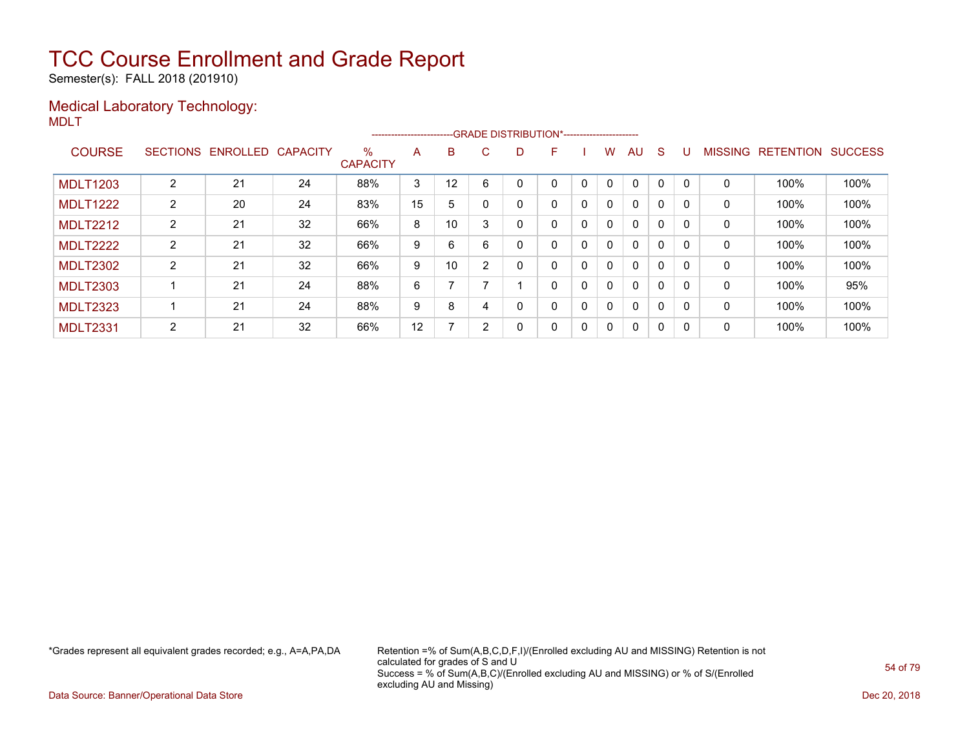Semester(s): FALL 2018 (201910)

### Medical Laboratory Technology: MDLT

|                 |                 |                   |    |                         | ----------------------- |    |    | --GRADE DISTRIBUTION*----------------------- |   |   |              |              |   |          |                |                  |                |
|-----------------|-----------------|-------------------|----|-------------------------|-------------------------|----|----|----------------------------------------------|---|---|--------------|--------------|---|----------|----------------|------------------|----------------|
| <b>COURSE</b>   | <b>SECTIONS</b> | ENROLLED CAPACITY |    | $\%$<br><b>CAPACITY</b> | A                       | B  | C. | D                                            | F |   | w            | AU           | S |          | <b>MISSING</b> | <b>RETENTION</b> | <b>SUCCESS</b> |
|                 |                 |                   |    |                         |                         |    |    |                                              |   |   |              |              |   |          |                |                  |                |
| <b>MDLT1203</b> | $\overline{2}$  | 21                | 24 | 88%                     | 3                       | 12 | 6  |                                              |   |   |              | $\Omega$     | 0 |          | 0              | 100%             | 100%           |
| <b>MDLT1222</b> | $\overline{2}$  | 20                | 24 | 83%                     | 15                      | 5  |    |                                              | 0 | 0 | 0            | $\mathbf{0}$ | 0 | $\Omega$ | 0              | 100%             | 100%           |
| <b>MDLT2212</b> | $\overline{2}$  | 21                | 32 | 66%                     | 8                       | 10 | 3  |                                              | 0 | 0 | 0            | $\mathbf{0}$ | 0 | $\Omega$ | $\mathbf 0$    | 100%             | 100%           |
| <b>MDLT2222</b> | $\overline{2}$  | 21                | 32 | 66%                     | 9                       | 6  | 6  |                                              | 0 | 0 | 0            | $\mathbf{0}$ | 0 |          | 0              | 100%             | 100%           |
| <b>MDLT2302</b> | $\overline{2}$  | 21                | 32 | 66%                     | 9                       | 10 | 2  |                                              | 0 | 0 | $\mathbf{0}$ | $\mathbf{0}$ | 0 |          | 0              | 100%             | 100%           |
| <b>MDLT2303</b> |                 | 21                | 24 | 88%                     | 6                       |    |    |                                              | 0 | 0 | $\mathbf{0}$ | $\mathbf{0}$ | 0 |          | 0              | 100%             | 95%            |
| <b>MDLT2323</b> |                 | 21                | 24 | 88%                     | 9                       | 8  | 4  |                                              | 0 | 0 | 0            | $\mathbf{0}$ | 0 | $\Omega$ | 0              | 100%             | 100%           |
| <b>MDLT2331</b> | $\overline{2}$  | 21                | 32 | 66%                     | 12                      | 7  | 2  |                                              | 0 | 0 | 0            | $\mathbf{0}$ | 0 | 0        | 0              | 100%             | 100%           |

\*Grades represent all equivalent grades recorded; e.g., A=A,PA,DA Retention =% of Sum(A,B,C,D,F,I)/(Enrolled excluding AU and MISSING) Retention is not calculated for grades of S and U Success = % of Sum(A,B,C)/(Enrolled excluding AU and MISSING) or % of S/(Enrolled excluding AU and Missing)

Data Source: Banner/Operational Data Store Dec 20, 2018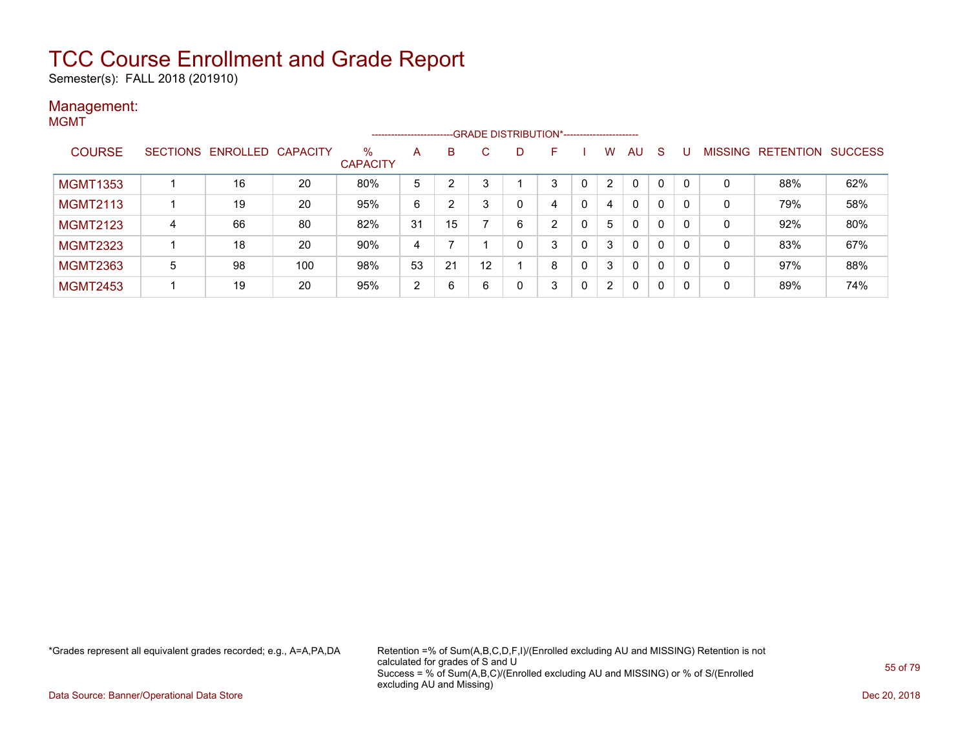Semester(s): FALL 2018 (201910)

#### Management: MGMT

|                 |                 |          |                 |                         | ----------------------- |    |    |   | --GRADE DISTRIBUTION*----------------------- |   |                      |              |              |                |                  |                |
|-----------------|-----------------|----------|-----------------|-------------------------|-------------------------|----|----|---|----------------------------------------------|---|----------------------|--------------|--------------|----------------|------------------|----------------|
| <b>COURSE</b>   | <b>SECTIONS</b> | ENROLLED | <b>CAPACITY</b> | $\%$<br><b>CAPACITY</b> | A                       | B  | C. | D | F                                            |   | W                    | AU           | S            | <b>MISSING</b> | <b>RETENTION</b> | <b>SUCCESS</b> |
| <b>MGMT1353</b> |                 | 16       | 20              | 80%                     | 5                       | າ  |    |   | 3                                            | 0 | 2                    | $\Omega$     | 0            | 0              | 88%              | 62%            |
| <b>MGMT2113</b> |                 | 19       | 20              | 95%                     | 6                       | 2  |    |   | 4                                            | 0 | 4                    | $\mathbf{0}$ | $\mathbf{0}$ | $\mathbf 0$    | 79%              | 58%            |
| <b>MGMT2123</b> | $\overline{4}$  | 66       | 80              | 82%                     | 31                      | 15 |    | 6 | $\overline{2}$                               |   | 5                    | $\mathbf{0}$ | $\mathbf{0}$ | 0              | 92%              | 80%            |
| <b>MGMT2323</b> |                 | 18       | 20              | 90%                     | 4                       |    |    |   | 3                                            |   | 3                    | $\mathbf{0}$ | $\mathbf{0}$ | 0              | 83%              | 67%            |
| <b>MGMT2363</b> | 5               | 98       | 100             | 98%                     | 53                      | 21 | 12 |   | 8                                            | 0 | 3                    | $\mathbf{0}$ | 0            | 0              | 97%              | 88%            |
| <b>MGMT2453</b> |                 | 19       | 20              | 95%                     | 2                       | 6  | 6  |   | 3                                            | 0 | $\mathbf{2}^{\circ}$ | $\Omega$     | 0            | 0              | 89%              | 74%            |

\*Grades represent all equivalent grades recorded; e.g., A=A,PA,DA Retention =% of Sum(A,B,C,D,F,I)/(Enrolled excluding AU and MISSING) Retention is not calculated for grades of S and U Success = % of Sum(A,B,C)/(Enrolled excluding AU and MISSING) or % of S/(Enrolled excluding AU and Missing)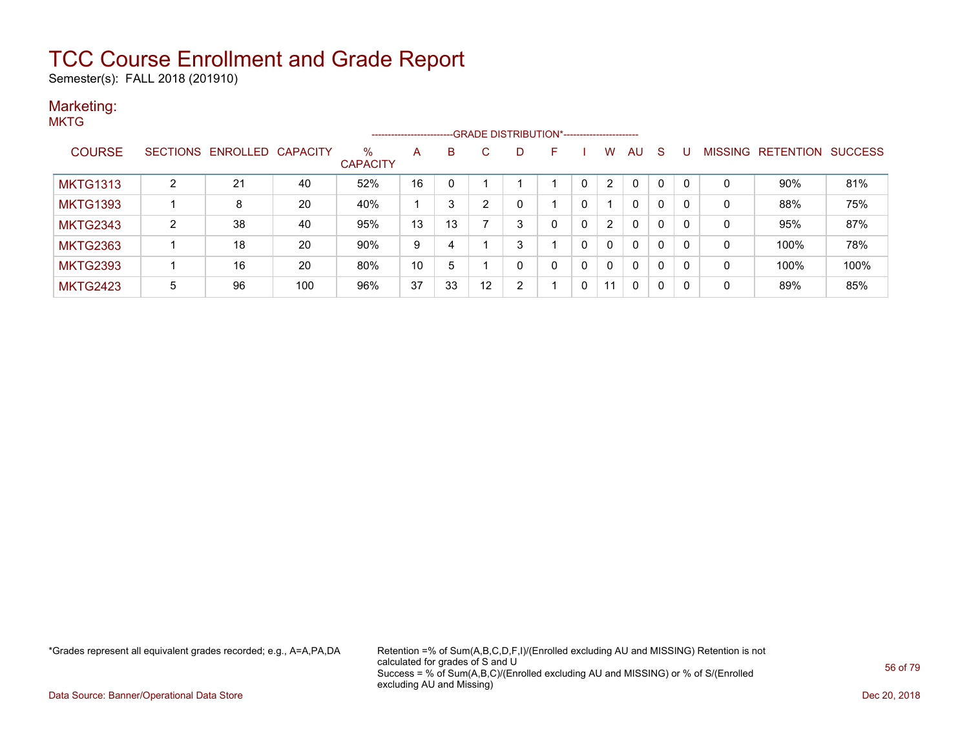Semester(s): FALL 2018 (201910)

#### Marketing: **MKTG**

|                 |                |                            |     |                      | ------------------------ |    |    |               | --GRADE DISTRIBUTION*----------------------- |              |              |              |              |   |                |           |                |
|-----------------|----------------|----------------------------|-----|----------------------|--------------------------|----|----|---------------|----------------------------------------------|--------------|--------------|--------------|--------------|---|----------------|-----------|----------------|
| <b>COURSE</b>   |                | SECTIONS ENROLLED CAPACITY |     | %<br><b>CAPACITY</b> | А                        | B  | C. |               | E                                            |              | w            | AU           | S.           | U | <b>MISSING</b> | RETENTION | <b>SUCCESS</b> |
| <b>MKTG1313</b> | 2              | 21                         | 40  | 52%                  | 16                       | 0  |    |               |                                              | 0            | 2            | 0            | $\mathbf{0}$ | 0 | 0              | 90%       | 81%            |
| <b>MKTG1393</b> |                | 8                          | 20  | 40%                  |                          | 3  | 2  |               |                                              | 0            |              | $\mathbf{0}$ | 0            | 0 | 0              | 88%       | 75%            |
| <b>MKTG2343</b> | $\overline{2}$ | 38                         | 40  | 95%                  | 13                       | 13 |    | 3             |                                              | $\mathbf{0}$ | 2            | $\mathbf{0}$ | $\mathbf{0}$ | 0 | 0              | 95%       | 87%            |
| <b>MKTG2363</b> |                | 18                         | 20  | 90%                  | 9                        | 4  |    | 3             |                                              | 0            | $\mathsf{C}$ | $\mathbf{0}$ | $\mathbf 0$  | 0 | 0              | 100%      | 78%            |
| <b>MKTG2393</b> |                | 16                         | 20  | 80%                  | 10                       | 5  |    |               | 0                                            | 0            | $\mathsf{C}$ | $\mathbf{0}$ | 0            | 0 | 0              | 100%      | 100%           |
| <b>MKTG2423</b> | 5              | 96                         | 100 | 96%                  | 37                       | 33 | 12 | $\mathcal{D}$ |                                              | 0            | 11           | $\mathbf{0}$ | $\Omega$     | 0 | 0              | 89%       | 85%            |

\*Grades represent all equivalent grades recorded; e.g., A=A,PA,DA Retention =% of Sum(A,B,C,D,F,I)/(Enrolled excluding AU and MISSING) Retention is not calculated for grades of S and U Success = % of Sum(A,B,C)/(Enrolled excluding AU and MISSING) or % of S/(Enrolled excluding AU and Missing)

Data Source: Banner/Operational Data Store Dec 20, 2018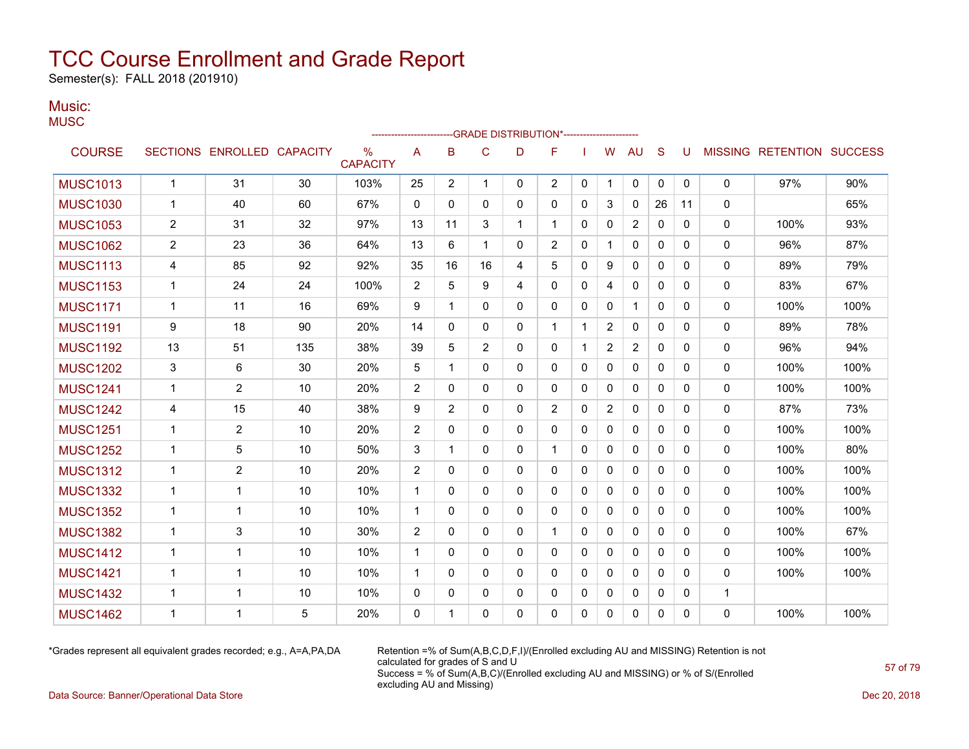Semester(s): FALL 2018 (201910)

#### Music: **MUSC**

|                 |                |                   |                 |                      |                | -----------------------GRADE                DISTRIBUTION*----------------------- |              |              |                |              |                |                |              |          |              |                           |      |
|-----------------|----------------|-------------------|-----------------|----------------------|----------------|----------------------------------------------------------------------------------|--------------|--------------|----------------|--------------|----------------|----------------|--------------|----------|--------------|---------------------------|------|
| <b>COURSE</b>   |                | SECTIONS ENROLLED | <b>CAPACITY</b> | %<br><b>CAPACITY</b> | A              | B                                                                                | $\mathsf{C}$ | D            | F              |              | W              | AU             | S            | U        |              | MISSING RETENTION SUCCESS |      |
| <b>MUSC1013</b> | $\mathbf{1}$   | 31                | 30              | 103%                 | 25             | $\overline{2}$                                                                   | $\mathbf{1}$ | 0            | $\overline{2}$ | 0            | 1              | 0              | 0            | 0        | 0            | 97%                       | 90%  |
| <b>MUSC1030</b> | $\mathbf{1}$   | 40                | 60              | 67%                  | 0              | 0                                                                                | $\Omega$     | $\mathbf{0}$ | 0              | 0            | 3              | 0              | 26           | 11       | $\mathbf{0}$ |                           | 65%  |
| <b>MUSC1053</b> | $\overline{c}$ | 31                | 32              | 97%                  | 13             | 11                                                                               | 3            | 1            | 1              | 0            | 0              | 2              | $\mathbf 0$  | 0        | 0            | 100%                      | 93%  |
| <b>MUSC1062</b> | $\overline{2}$ | 23                | 36              | 64%                  | 13             | 6                                                                                | 1            | 0            | $\overline{2}$ | 0            | 1              | 0              | 0            | 0        | 0            | 96%                       | 87%  |
| <b>MUSC1113</b> | 4              | 85                | 92              | 92%                  | 35             | 16                                                                               | 16           | 4            | 5              | 0            | 9              | 0              | 0            | 0        | 0            | 89%                       | 79%  |
| <b>MUSC1153</b> | $\mathbf{1}$   | 24                | 24              | 100%                 | $\overline{2}$ | 5                                                                                | 9            | 4            | 0              | $\Omega$     | 4              | $\mathbf{0}$   | $\mathbf{0}$ | $\Omega$ | 0            | 83%                       | 67%  |
| <b>MUSC1171</b> | $\mathbf{1}$   | 11                | 16              | 69%                  | 9              | 1                                                                                | 0            | $\mathbf{0}$ | 0              | 0            | 0              | $\mathbf{1}$   | $\mathbf{0}$ | 0        | 0            | 100%                      | 100% |
| <b>MUSC1191</b> | 9              | 18                | 90              | 20%                  | 14             | $\mathbf{0}$                                                                     | 0            | $\mathbf{0}$ | 1              | 1            | $\overline{2}$ | 0              | $\mathbf{0}$ | 0        | 0            | 89%                       | 78%  |
| <b>MUSC1192</b> | 13             | 51                | 135             | 38%                  | 39             | 5                                                                                | 2            | $\mathbf{0}$ | $\Omega$       | $\mathbf 1$  | $\overline{2}$ | $\overline{2}$ | $\Omega$     | $\Omega$ | 0            | 96%                       | 94%  |
| <b>MUSC1202</b> | 3              | 6                 | 30              | 20%                  | 5              | $\mathbf 1$                                                                      | $\Omega$     | $\mathbf{0}$ | $\mathbf{0}$   | 0            | 0              | 0              | $\mathbf{0}$ | $\Omega$ | 0            | 100%                      | 100% |
| <b>MUSC1241</b> | 1              | $\overline{2}$    | 10              | 20%                  | $\overline{c}$ | 0                                                                                | 0            | $\mathbf{0}$ | 0              | 0            | 0              | 0              | $\mathbf{0}$ | 0        | 0            | 100%                      | 100% |
| <b>MUSC1242</b> | 4              | 15                | 40              | 38%                  | 9              | 2                                                                                | $\mathbf{0}$ | $\mathbf{0}$ | $\overline{2}$ | 0            | $\overline{2}$ | $\mathbf{0}$   | $\mathbf{0}$ | 0        | 0            | 87%                       | 73%  |
| <b>MUSC1251</b> | $\mathbf{1}$   | $\overline{2}$    | 10              | 20%                  | $\overline{c}$ | $\mathbf{0}$                                                                     | $\Omega$     | $\mathbf{0}$ | $\Omega$       | $\mathbf 0$  | 0              | 0              | $\mathbf{0}$ | 0        | 0            | 100%                      | 100% |
| <b>MUSC1252</b> | $\mathbf{1}$   | 5                 | 10              | 50%                  | 3              | 1                                                                                | $\Omega$     | $\mathbf{0}$ | $\mathbf{1}$   | 0            | 0              | 0              | $\mathbf{0}$ | 0        | 0            | 100%                      | 80%  |
| <b>MUSC1312</b> | $\mathbf{1}$   | $\overline{2}$    | 10              | 20%                  | $\overline{2}$ | 0                                                                                | $\mathbf 0$  | $\mathbf{0}$ | 0              | $\Omega$     | 0              | 0              | $\mathbf{0}$ | 0        | 0            | 100%                      | 100% |
| <b>MUSC1332</b> | $\mathbf{1}$   | 1                 | 10              | 10%                  | $\mathbf{1}$   | 0                                                                                | $\Omega$     | $\mathbf{0}$ | 0              | 0            | 0              | $\mathbf{0}$   | $\mathbf{0}$ | $\Omega$ | 0            | 100%                      | 100% |
| <b>MUSC1352</b> | $\mathbf{1}$   | $\mathbf{1}$      | 10              | 10%                  | $\mathbf{1}$   | 0                                                                                | $\Omega$     | $\mathbf{0}$ | $\Omega$       | $\Omega$     | $\Omega$       | 0              | $\mathbf{0}$ | $\Omega$ | 0            | 100%                      | 100% |
| <b>MUSC1382</b> | 1              | 3                 | 10              | 30%                  | $\overline{c}$ | 0                                                                                | 0            | 0            | $\mathbf{1}$   | $\mathbf{0}$ | 0              | 0              | $\mathbf{0}$ | 0        | 0            | 100%                      | 67%  |
| <b>MUSC1412</b> | $\mathbf{1}$   | $\mathbf 1$       | 10              | 10%                  | 1              | $\mathbf{0}$                                                                     | $\mathbf{0}$ | $\mathbf{0}$ | $\mathbf{0}$   | 0            | 0              | 0              | $\mathbf{0}$ | 0        | 0            | 100%                      | 100% |
| <b>MUSC1421</b> | $\mathbf{1}$   | 1                 | 10              | 10%                  | 1              | $\mathbf{0}$                                                                     | $\mathbf{0}$ | 0            | 0              | 0            | 0              | 0              | $\mathbf{0}$ | 0        | 0            | 100%                      | 100% |
| <b>MUSC1432</b> | $\mathbf{1}$   | 1                 | 10              | 10%                  | 0              | 0                                                                                | 0            | 0            | 0              | 0            | 0              | 0              | 0            | 0        | $\mathbf 1$  |                           |      |
| <b>MUSC1462</b> | $\mathbf 1$    | 1                 | 5               | 20%                  | 0              | 1                                                                                | $\mathbf 0$  | 0            | 0              | 0            | 0              | 0              | 0            | 0        | 0            | 100%                      | 100% |

\*Grades represent all equivalent grades recorded; e.g., A=A,PA,DA Retention =% of Sum(A,B,C,D,F,I)/(Enrolled excluding AU and MISSING) Retention is not calculated for grades of S and U Success = % of Sum(A,B,C)/(Enrolled excluding AU and MISSING) or % of S/(Enrolled excluding AU and Missing)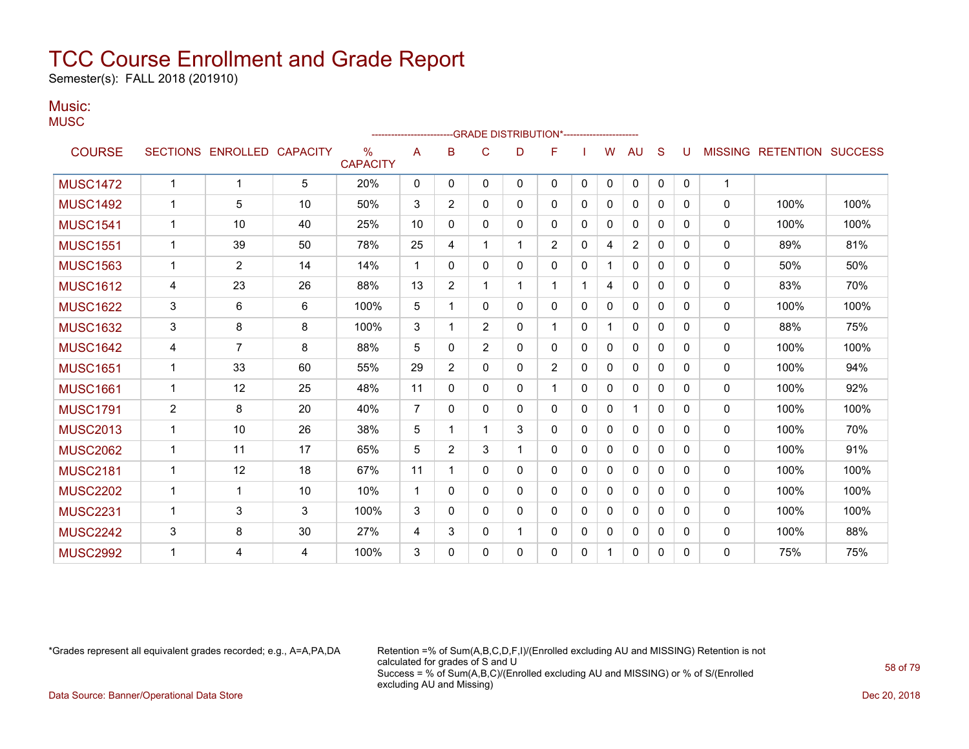Semester(s): FALL 2018 (201910)

### Music:

**MUSC** 

|                 |                |                   |                 |                                  | ---------------------- |                |                | -- GRADE DISTRIBUTION*----------------------- |                |              |              |              |              |          |                |                          |      |
|-----------------|----------------|-------------------|-----------------|----------------------------------|------------------------|----------------|----------------|-----------------------------------------------|----------------|--------------|--------------|--------------|--------------|----------|----------------|--------------------------|------|
| <b>COURSE</b>   |                | SECTIONS ENROLLED | <b>CAPACITY</b> | $\frac{0}{0}$<br><b>CAPACITY</b> | A                      | B              | C              | D                                             | F              |              | w            | AU           | S            | U        | <b>MISSING</b> | <b>RETENTION SUCCESS</b> |      |
| <b>MUSC1472</b> | $\mathbf 1$    | 1                 | 5               | 20%                              | $\mathbf{0}$           | 0              | 0              | 0                                             | 0              | $\mathbf{0}$ | $\mathbf{0}$ | $\mathbf{0}$ | $\Omega$     | $\Omega$ | $\mathbf{1}$   |                          |      |
| <b>MUSC1492</b> | $\mathbf 1$    | 5                 | 10              | 50%                              | 3                      | $\overline{2}$ | 0              | 0                                             | 0              | 0            | 0            | $\mathbf{0}$ | $\mathbf{0}$ | 0        | 0              | 100%                     | 100% |
| <b>MUSC1541</b> | 1              | 10                | 40              | 25%                              | 10                     | $\Omega$       | $\Omega$       | 0                                             | 0              | $\Omega$     | $\mathbf{0}$ | $\mathbf{0}$ | $\Omega$     | $\Omega$ | $\mathbf{0}$   | 100%                     | 100% |
| <b>MUSC1551</b> | 1              | 39                | 50              | 78%                              | 25                     | 4              |                | 1                                             | $\overline{2}$ | $\mathbf{0}$ | 4            | 2            | $\mathbf{0}$ | $\Omega$ | 0              | 89%                      | 81%  |
| <b>MUSC1563</b> | 1              | $\overline{2}$    | 14              | 14%                              | 1                      | $\Omega$       | 0              | 0                                             | 0              | $\mathbf{0}$ |              | $\mathbf{0}$ | $\Omega$     | $\Omega$ | 0              | 50%                      | 50%  |
| <b>MUSC1612</b> | 4              | 23                | 26              | 88%                              | 13                     | $\overline{2}$ |                | 1                                             | 1              |              | 4            | $\mathbf{0}$ | $\mathbf{0}$ | $\Omega$ | $\mathbf{0}$   | 83%                      | 70%  |
| <b>MUSC1622</b> | 3              | 6                 | 6               | 100%                             | 5                      | 1              | 0              | $\Omega$                                      | 0              | $\mathbf{0}$ | $\Omega$     | 0            | $\Omega$     | $\Omega$ | 0              | 100%                     | 100% |
| <b>MUSC1632</b> | 3              | 8                 | 8               | 100%                             | 3                      |                | $\overline{2}$ | 0                                             | 1              | $\mathbf{0}$ |              | $\Omega$     | $\Omega$     | $\Omega$ | 0              | 88%                      | 75%  |
| <b>MUSC1642</b> | 4              | $\overline{7}$    | 8               | 88%                              | 5                      | 0              | $\overline{2}$ | 0                                             | 0              | $\mathbf{0}$ | $\mathbf{0}$ | $\Omega$     | $\mathbf{0}$ | $\Omega$ | 0              | 100%                     | 100% |
| <b>MUSC1651</b> | 1              | 33                | 60              | 55%                              | 29                     | $\overline{2}$ | $\Omega$       | 0                                             | $\overline{2}$ | $\Omega$     | $\mathbf{0}$ | $\mathbf{0}$ | $\Omega$     | $\Omega$ | 0              | 100%                     | 94%  |
| <b>MUSC1661</b> | $\mathbf 1$    | 12                | 25              | 48%                              | 11                     | 0              | 0              | 0                                             | $\mathbf{1}$   | $\mathbf{0}$ | $\Omega$     | $\mathbf{0}$ | $\mathbf{0}$ | $\Omega$ | 0              | 100%                     | 92%  |
| <b>MUSC1791</b> | $\overline{2}$ | 8                 | 20              | 40%                              | $\overline{7}$         | $\Omega$       | 0              | 0                                             | 0              | $\Omega$     | $\Omega$     | 1            | $\Omega$     | $\Omega$ | 0              | 100%                     | 100% |
| <b>MUSC2013</b> | $\mathbf 1$    | 10                | 26              | 38%                              | 5                      | 1              | 1              | 3                                             | 0              | $\mathbf{0}$ | 0            | $\mathbf{0}$ | $\mathbf{0}$ | $\Omega$ | $\Omega$       | 100%                     | 70%  |
| <b>MUSC2062</b> | $\mathbf{1}$   | 11                | 17              | 65%                              | 5                      | $\overline{2}$ | 3              | 1                                             | 0              | $\mathbf{0}$ | $\Omega$     | 0            | 0            | $\Omega$ | $\mathbf{0}$   | 100%                     | 91%  |
| <b>MUSC2181</b> | $\mathbf 1$    | 12                | 18              | 67%                              | 11                     |                | $\Omega$       | $\Omega$                                      | 0              | $\Omega$     | $\mathbf{0}$ | $\Omega$     | $\Omega$     | $\Omega$ | $\mathbf{0}$   | 100%                     | 100% |
| <b>MUSC2202</b> | $\mathbf{1}$   | 1                 | 10              | 10%                              | $\overline{1}$         | 0              | 0              | 0                                             | 0              | $\mathbf{0}$ | $\Omega$     | $\mathbf{0}$ | $\mathbf{0}$ | $\Omega$ | $\mathbf 0$    | 100%                     | 100% |
| <b>MUSC2231</b> | 1              | 3                 | 3               | 100%                             | 3                      | $\Omega$       | $\Omega$       | 0                                             | 0              | $\Omega$     | 0            | $\mathbf{0}$ | $\Omega$     | $\Omega$ | $\mathbf{0}$   | 100%                     | 100% |
| <b>MUSC2242</b> | 3              | 8                 | 30              | 27%                              | 4                      | 3              | 0              |                                               | 0              | $\mathbf{0}$ | $\mathbf{0}$ | 0            | $\mathbf{0}$ | $\Omega$ | 0              | 100%                     | 88%  |
| <b>MUSC2992</b> |                | 4                 | 4               | 100%                             | 3                      | $\Omega$       | 0              | 0                                             | $\Omega$       | 0            |              | 0            | 0            | $\Omega$ | $\mathbf{0}$   | 75%                      | 75%  |

\*Grades represent all equivalent grades recorded; e.g., A=A,PA,DA Retention =% of Sum(A,B,C,D,F,I)/(Enrolled excluding AU and MISSING) Retention is not calculated for grades of S and U Success = % of Sum(A,B,C)/(Enrolled excluding AU and MISSING) or % of S/(Enrolled excluding AU and Missing)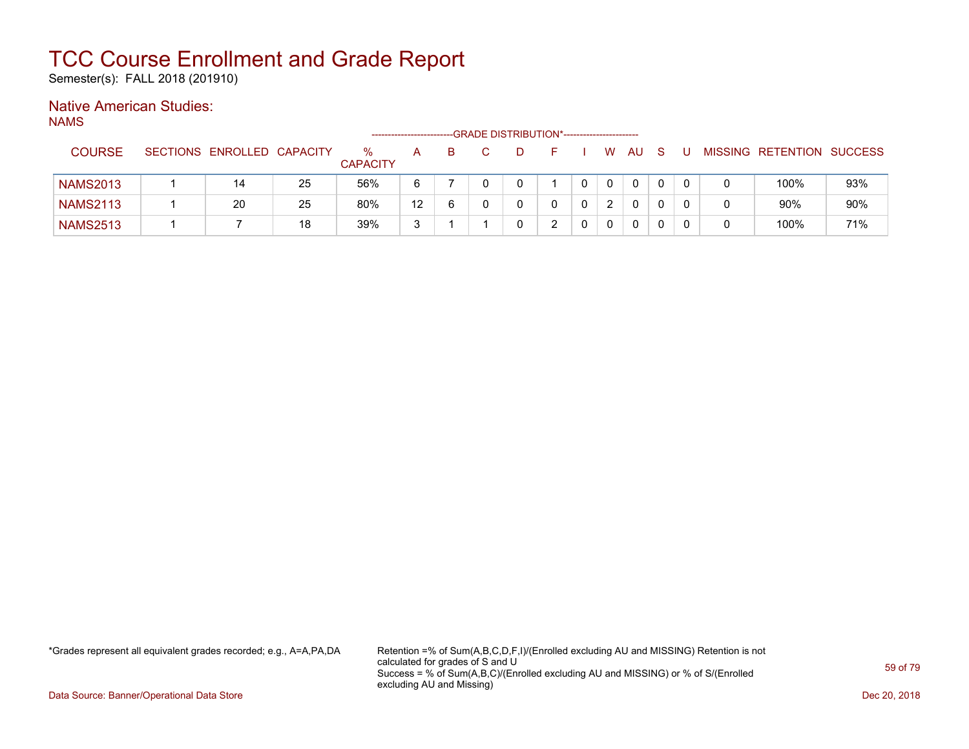Semester(s): FALL 2018 (201910)

### Native American Studies:

NAMS

|                 |                            |    |                      |    |   | --GRADE DISTRIBUTION*---------------------- |  |    |              |   |       |                           |     |
|-----------------|----------------------------|----|----------------------|----|---|---------------------------------------------|--|----|--------------|---|-------|---------------------------|-----|
| <b>COURSE</b>   | SECTIONS ENROLLED CAPACITY |    | %<br><b>CAPACITY</b> | A  | в | -10                                         |  | W. | AU.          |   | - U - | MISSING RETENTION SUCCESS |     |
| <b>NAMS2013</b> | 14                         | 25 | 56%                  | 6  |   |                                             |  |    | $\mathbf{0}$ |   |       | 100%                      | 93% |
| <b>NAMS2113</b> | 20                         | 25 | 80%                  | 12 | 6 |                                             |  |    | 0            |   |       | $90\%$                    | 90% |
| <b>NAMS2513</b> |                            | 18 | 39%                  | 3  |   |                                             |  |    | 0            | 0 |       | 100%                      | 71% |

\*Grades represent all equivalent grades recorded; e.g., A=A,PA,DA Retention =% of Sum(A,B,C,D,F,I)/(Enrolled excluding AU and MISSING) Retention is not calculated for grades of S and U Success = % of Sum(A,B,C)/(Enrolled excluding AU and MISSING) or % of S/(Enrolled excluding AU and Missing)

Data Source: Banner/Operational Data Store Dec 20, 2018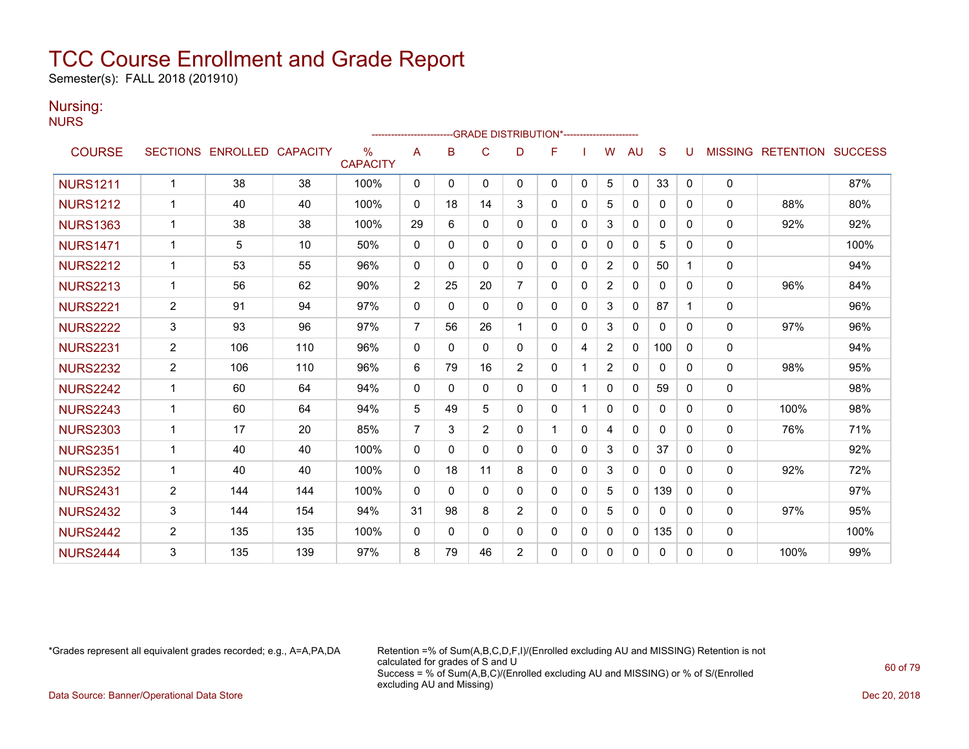Semester(s): FALL 2018 (201910)

### Nursing:

**NURS** 

|                 |                       |                            |     |                      | ----------------------- |              | -GRADE DISTRIBUTION*---------------------- |                |              |              |                |              |              |              |                |                          |      |
|-----------------|-----------------------|----------------------------|-----|----------------------|-------------------------|--------------|--------------------------------------------|----------------|--------------|--------------|----------------|--------------|--------------|--------------|----------------|--------------------------|------|
| <b>COURSE</b>   |                       | SECTIONS ENROLLED CAPACITY |     | %<br><b>CAPACITY</b> | A                       | B            | C                                          | D              | F            |              | w              | <b>AU</b>    | S            | U            | <b>MISSING</b> | <b>RETENTION SUCCESS</b> |      |
| <b>NURS1211</b> | $\mathbf{1}$          | 38                         | 38  | 100%                 | 0                       | $\mathbf{0}$ | $\mathbf{0}$                               | $\mathbf{0}$   | $\Omega$     | 0            | 5              | $\mathbf 0$  | 33           | $\mathbf{0}$ | 0              |                          | 87%  |
| <b>NURS1212</b> | $\mathbf{1}$          | 40                         | 40  | 100%                 | 0                       | 18           | 14                                         | 3              | 0            | 0            | 5              | $\mathbf{0}$ | $\mathbf{0}$ | 0            | 0              | 88%                      | 80%  |
| <b>NURS1363</b> | $\mathbf 1$           | 38                         | 38  | 100%                 | 29                      | 6            | $\Omega$                                   | $\mathbf{0}$   | 0            | $\Omega$     | 3              | $\mathbf{0}$ | $\mathbf{0}$ | 0            | 0              | 92%                      | 92%  |
| <b>NURS1471</b> | $\mathbf{1}$          | 5                          | 10  | 50%                  | $\Omega$                | $\Omega$     | $\Omega$                                   | $\Omega$       | $\Omega$     | $\mathbf{0}$ | $\Omega$       | $\mathbf{0}$ | 5            | 0            | $\mathbf 0$    |                          | 100% |
| <b>NURS2212</b> | $\mathbf{1}$          | 53                         | 55  | 96%                  | $\mathbf{0}$            | $\Omega$     | $\Omega$                                   | $\mathbf{0}$   | 0            | $\mathbf{0}$ | 2              | $\mathbf{0}$ | 50           | 1            | 0              |                          | 94%  |
| <b>NURS2213</b> | $\mathbf{1}$          | 56                         | 62  | 90%                  | $\overline{2}$          | 25           | 20                                         | $\overline{7}$ | 0            | $\Omega$     | $\overline{2}$ | $\mathbf{0}$ | $\mathbf{0}$ | 0            | $\Omega$       | 96%                      | 84%  |
| <b>NURS2221</b> | $\overline{2}$        | 91                         | 94  | 97%                  | $\Omega$                | $\Omega$     | $\Omega$                                   | 0              | 0            | $\mathbf{0}$ | 3              | $\Omega$     | 87           | 1            | 0              |                          | 96%  |
| <b>NURS2222</b> | 3                     | 93                         | 96  | 97%                  | $\overline{7}$          | 56           | 26                                         | 1              | $\Omega$     | $\mathbf{0}$ | 3              | 0            | $\Omega$     | $\Omega$     | 0              | 97%                      | 96%  |
| <b>NURS2231</b> | $\mathbf{2}^{\prime}$ | 106                        | 110 | 96%                  | $\Omega$                | $\Omega$     | $\mathbf{0}$                               | $\Omega$       | $\Omega$     | 4            | 2              | $\Omega$     | 100          | $\Omega$     | 0              |                          | 94%  |
| <b>NURS2232</b> | 2                     | 106                        | 110 | 96%                  | 6                       | 79           | 16                                         | $\overline{2}$ | $\Omega$     |              | 2              | $\Omega$     | $\Omega$     | $\Omega$     | $\mathbf{0}$   | 98%                      | 95%  |
| <b>NURS2242</b> | $\mathbf{1}$          | 60                         | 64  | 94%                  | $\mathbf 0$             | 0            | $\mathbf{0}$                               | $\Omega$       | 0            |              | $\Omega$       | $\Omega$     | 59           | 0            | $\mathbf 0$    |                          | 98%  |
| <b>NURS2243</b> | $\mathbf 1$           | 60                         | 64  | 94%                  | 5                       | 49           | 5                                          | $\mathbf{0}$   | 0            |              | $\Omega$       | $\mathbf{0}$ | $\mathbf{0}$ | 0            | 0              | 100%                     | 98%  |
| <b>NURS2303</b> | $\mathbf{1}$          | 17                         | 20  | 85%                  | $\overline{7}$          | 3            | 2                                          | $\mathbf{0}$   | 1            | $\mathbf{0}$ | 4              | $\mathbf{0}$ | $\mathbf{0}$ | 0            | $\mathbf{0}$   | 76%                      | 71%  |
| <b>NURS2351</b> | $\mathbf{1}$          | 40                         | 40  | 100%                 | $\Omega$                | $\Omega$     | $\Omega$                                   | $\Omega$       | $\Omega$     | $\mathbf{0}$ | 3              | $\Omega$     | 37           | 0            | $\mathbf 0$    |                          | 92%  |
| <b>NURS2352</b> | $\mathbf{1}$          | 40                         | 40  | 100%                 | 0                       | 18           | 11                                         | 8              | $\mathbf{0}$ | $\mathbf{0}$ | 3              | $\mathbf{0}$ | $\mathbf{0}$ | 0            | $\mathbf{0}$   | 92%                      | 72%  |
| <b>NURS2431</b> | 2                     | 144                        | 144 | 100%                 | $\Omega$                | $\Omega$     | $\Omega$                                   | $\mathbf{0}$   | 0            | $\mathbf{0}$ | 5              | $\Omega$     | 139          | 0            | $\mathbf 0$    |                          | 97%  |
| <b>NURS2432</b> | 3                     | 144                        | 154 | 94%                  | 31                      | 98           | 8                                          | $\overline{2}$ | $\mathbf{0}$ | $\mathbf{0}$ | 5              | 0            | 0            | $\Omega$     | 0              | 97%                      | 95%  |
| <b>NURS2442</b> | 2                     | 135                        | 135 | 100%                 | 0                       | 0            | 0                                          | $\mathbf{0}$   | 0            | 0            | $\Omega$       | $\Omega$     | 135          | 0            | 0              |                          | 100% |
| <b>NURS2444</b> | 3                     | 135                        | 139 | 97%                  | 8                       | 79           | 46                                         | $\overline{2}$ | 0            | $\Omega$     | $\Omega$       | $\Omega$     | 0            | 0            | 0              | 100%                     | 99%  |

\*Grades represent all equivalent grades recorded; e.g., A=A,PA,DA Retention =% of Sum(A,B,C,D,F,I)/(Enrolled excluding AU and MISSING) Retention is not calculated for grades of S and U Success = % of Sum(A,B,C)/(Enrolled excluding AU and MISSING) or % of S/(Enrolled excluding AU and Missing)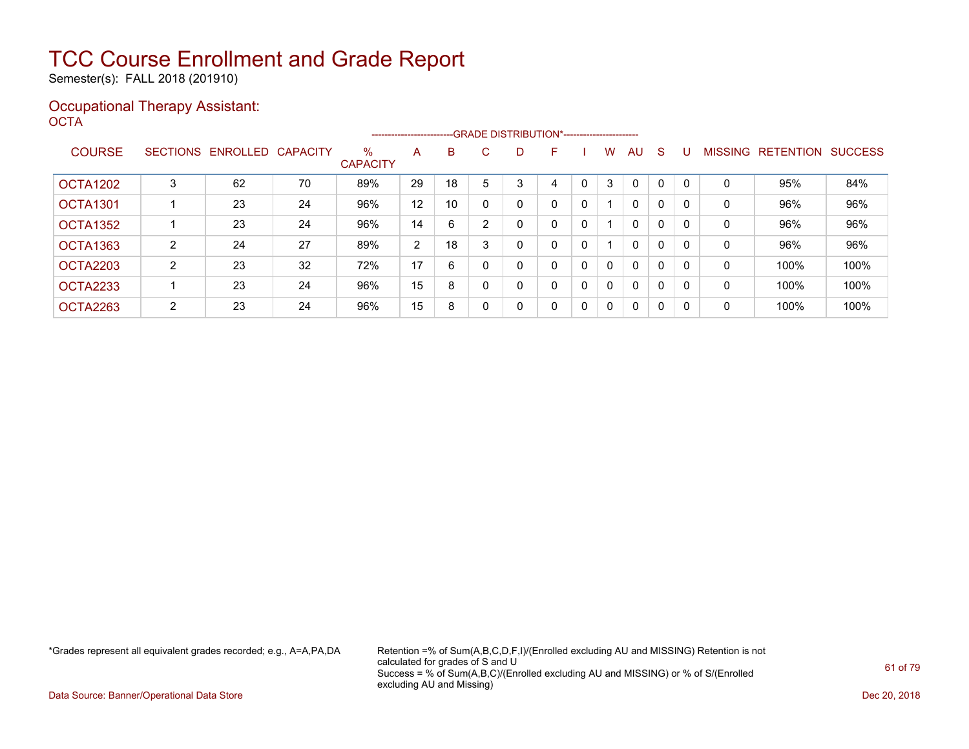Semester(s): FALL 2018 (201910)

### Occupational Therapy Assistant: OCTA<sup>'</sup>

|                 |                |                            |    |                         | ----------------------- |    |   | --GRADE DISTRIBUTION*----------------------- |   |   |              |              |              |              |                |                  |                |
|-----------------|----------------|----------------------------|----|-------------------------|-------------------------|----|---|----------------------------------------------|---|---|--------------|--------------|--------------|--------------|----------------|------------------|----------------|
| <b>COURSE</b>   |                | SECTIONS ENROLLED CAPACITY |    | $\%$<br><b>CAPACITY</b> | A                       | B  | C | D                                            | F |   | W            | AU           | <sub>S</sub> |              | <b>MISSING</b> | <b>RETENTION</b> | <b>SUCCESS</b> |
| <b>OCTA1202</b> | 3              | 62                         | 70 | 89%                     | 29                      | 18 | 5 | 3                                            | 4 | 0 | 3            | $\mathbf 0$  | $\Omega$     |              | 0              | 95%              | 84%            |
| <b>OCTA1301</b> |                | 23                         | 24 | 96%                     | 12                      | 10 | 0 | 0                                            | 0 | 0 |              | $\mathbf{0}$ | 0            | 0            | 0              | 96%              | 96%            |
| OCTA1352        |                | 23                         | 24 | 96%                     | 14                      | 6  | 2 | 0                                            | 0 | 0 |              | $\mathbf{0}$ | 0            | 0            | 0              | 96%              | 96%            |
| <b>OCTA1363</b> | 2              | 24                         | 27 | 89%                     | 2                       | 18 |   | 0                                            | 0 | 0 |              | $\mathbf{0}$ | 0            | 0            | 0              | 96%              | 96%            |
| OCTA2203        | 2              | 23                         | 32 | 72%                     | 17                      | 6  | 0 | 0                                            | 0 | 0 | $\Omega$     | $\mathbf{0}$ | $\Omega$     | <sup>0</sup> | 0              | 100%             | 100%           |
| <b>OCTA2233</b> |                | 23                         | 24 | 96%                     | 15                      | 8  |   | 0                                            | 0 | 0 | $\Omega$     | $\mathbf{0}$ | $\Omega$     | <sup>0</sup> | 0              | 100%             | 100%           |
| OCTA2263        | $\overline{2}$ | 23                         | 24 | 96%                     | 15                      | 8  | 0 | 0                                            | 0 | 0 | $\mathbf{0}$ | $\mathbf{0}$ | 0            | $\Omega$     | 0              | 100%             | 100%           |

\*Grades represent all equivalent grades recorded; e.g., A=A,PA,DA Retention =% of Sum(A,B,C,D,F,I)/(Enrolled excluding AU and MISSING) Retention is not calculated for grades of S and U Success = % of Sum(A,B,C)/(Enrolled excluding AU and MISSING) or % of S/(Enrolled excluding AU and Missing)

Data Source: Banner/Operational Data Store Dec 20, 2018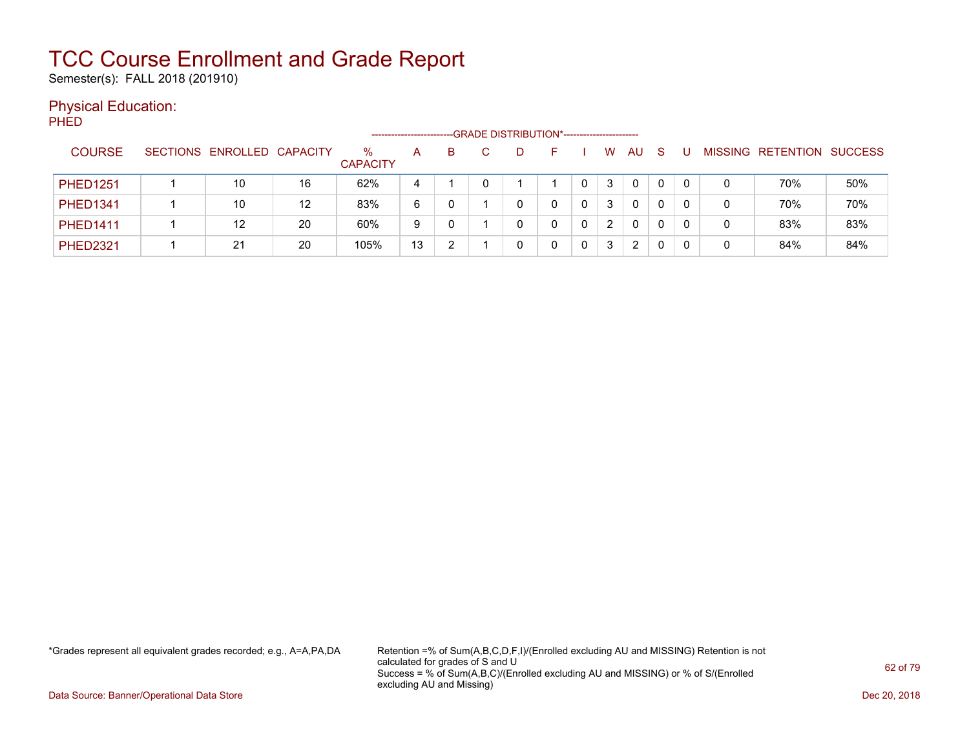Semester(s): FALL 2018 (201910)

### Physical Education:

PHED

|                 |                            |    | -------------------     |    |   | --GRADE DISTRIBUTION*----------------------- |    |   |    |              |         |                   |     |
|-----------------|----------------------------|----|-------------------------|----|---|----------------------------------------------|----|---|----|--------------|---------|-------------------|-----|
| <b>COURSE</b>   | SECTIONS ENROLLED CAPACITY |    | $\%$<br><b>CAPACITY</b> | A  | B | D.                                           | н. | W | AU | <sub>S</sub> | MISSING | RETENTION SUCCESS |     |
| <b>PHED1251</b> | 10                         | 16 | 62%                     | 4  |   |                                              |    | 3 | 0  | 0            |         | 70%               | 50% |
| <b>PHED1341</b> | 10                         | 12 | 83%                     | 6  |   |                                              |    | 3 | 0  | 0            |         | 70%               | 70% |
| <b>PHED1411</b> | 12                         | 20 | 60%                     | 9  |   |                                              |    | 2 | 0  | 0            | 0       | 83%               | 83% |
| <b>PHED2321</b> | 21                         | 20 | 105%                    | 13 | າ |                                              |    | 3 | 2  | 0            | 0       | 84%               | 84% |

\*Grades represent all equivalent grades recorded; e.g., A=A,PA,DA Retention =% of Sum(A,B,C,D,F,I)/(Enrolled excluding AU and MISSING) Retention is not calculated for grades of S and U Success = % of Sum(A,B,C)/(Enrolled excluding AU and MISSING) or % of S/(Enrolled excluding AU and Missing)

Data Source: Banner/Operational Data Store Dec 20, 2018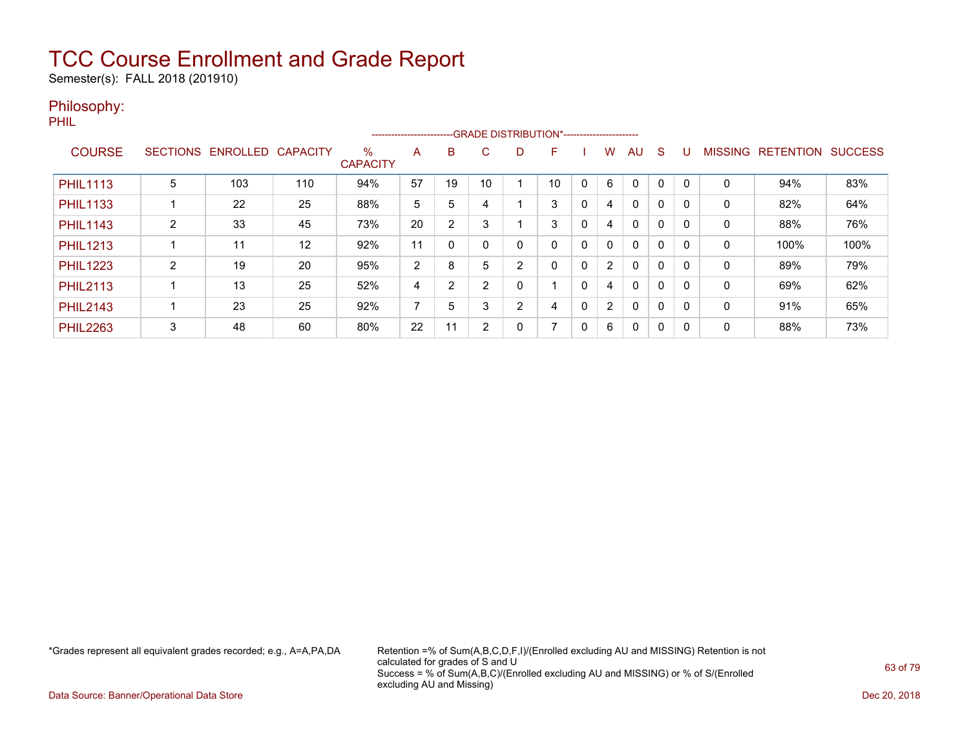Semester(s): FALL 2018 (201910)

### Philosophy:

PHIL

|                 |                 |          |                 |                         | ------------------------ |                |    |   | --- GRADE DISTRIBUTION*------------------------ |   |                |              |              |              |                |                  |                |
|-----------------|-----------------|----------|-----------------|-------------------------|--------------------------|----------------|----|---|-------------------------------------------------|---|----------------|--------------|--------------|--------------|----------------|------------------|----------------|
| <b>COURSE</b>   | <b>SECTIONS</b> | ENROLLED | <b>CAPACITY</b> | $\%$<br><b>CAPACITY</b> | A                        | B              | C. | D | F                                               |   | w              | <b>AU</b>    | <sub>S</sub> |              | <b>MISSING</b> | <b>RETENTION</b> | <b>SUCCESS</b> |
|                 |                 |          |                 |                         |                          |                |    |   |                                                 |   |                |              |              |              |                |                  |                |
| <b>PHIL1113</b> | 5               | 103      | 110             | 94%                     | 57                       | 19             | 10 |   | 10                                              |   | 6              | $\mathbf 0$  | 0            |              | 0              | 94%              | 83%            |
| <b>PHIL1133</b> |                 | 22       | 25              | 88%                     | 5                        | 5              |    |   | 3                                               | 0 | 4              | $\mathbf{0}$ | 0            | <sup>0</sup> | 0              | 82%              | 64%            |
| <b>PHIL1143</b> | ົ               | 33       | 45              | 73%                     | 20                       | $\overline{2}$ | 3  |   | 3                                               | 0 | 4              | 0            | $\mathbf 0$  | -0           | $\mathbf{0}$   | 88%              | 76%            |
| <b>PHIL1213</b> |                 | 11       | 12              | 92%                     | 11                       | 0              |    | 0 | 0                                               | 0 | 0              | $\mathbf{0}$ | 0            |              | 0              | 100%             | 100%           |
| <b>PHIL1223</b> | 2               | 19       | 20              | 95%                     | 2                        | 8              | 5  | 2 | 0                                               | 0 | $\overline{2}$ | $\mathbf{0}$ | 0            | <sup>0</sup> | 0              | 89%              | 79%            |
| <b>PHIL2113</b> |                 | 13       | 25              | 52%                     | 4                        | 2              | ົ  | 0 |                                                 | 0 | 4              | 0            | $\mathbf 0$  | - 0          | 0              | 69%              | 62%            |
| <b>PHIL2143</b> |                 | 23       | 25              | 92%                     | 7                        | 5              | 3  | 2 | 4                                               | 0 | $\overline{2}$ | $\mathbf{0}$ | 0            | -0           | 0              | 91%              | 65%            |
| <b>PHIL2263</b> | 3               | 48       | 60              | 80%                     | 22                       | 11             | 2  | 0 | 7                                               | 0 | 6              | 0            | 0            | - 0          | 0              | 88%              | 73%            |

\*Grades represent all equivalent grades recorded; e.g., A=A,PA,DA Retention =% of Sum(A,B,C,D,F,I)/(Enrolled excluding AU and MISSING) Retention is not calculated for grades of S and U Success = % of Sum(A,B,C)/(Enrolled excluding AU and MISSING) or % of S/(Enrolled excluding AU and Missing)

Data Source: Banner/Operational Data Store Dec 20, 2018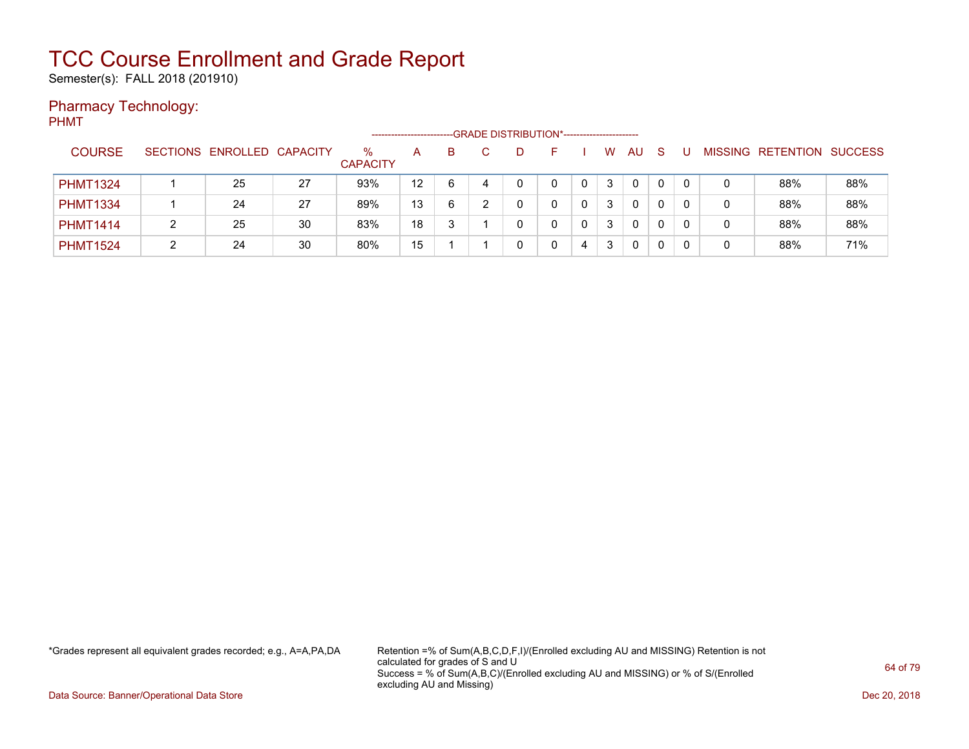Semester(s): FALL 2018 (201910)

### Pharmacy Technology:

PHMT

|                 |                            |    |                         |    |    |   | -GRADE DISTRIBUTION*----------------------- |   |   |              |    |          |              |                          |                |
|-----------------|----------------------------|----|-------------------------|----|----|---|---------------------------------------------|---|---|--------------|----|----------|--------------|--------------------------|----------------|
| <b>COURSE</b>   | SECTIONS ENROLLED CAPACITY |    | $\%$<br><b>CAPACITY</b> | A  | B. |   |                                             |   | W | <b>AU</b>    | -S |          |              | <b>MISSING RETENTION</b> | <b>SUCCESS</b> |
| <b>PHMT1324</b> | 25                         | 27 | 93%                     | 12 | 6  | 4 |                                             | 0 | 3 | $\mathbf{0}$ | 0  | $\Omega$ | 0            | 88%                      | 88%            |
| <b>PHMT1334</b> | 24                         | 27 | 89%                     | 13 | 6  |   |                                             | 0 | 3 | $\mathbf{0}$ | 0  |          | 0            | 88%                      | 88%            |
| <b>PHMT1414</b> | 25                         | 30 | 83%                     | 18 |    |   |                                             |   | 3 | 0            |    |          | 0            | 88%                      | 88%            |
| <b>PHMT1524</b> | 24                         | 30 | 80%                     | 15 |    |   |                                             | 4 | 3 | 0            | 0  |          | $\mathbf{0}$ | 88%                      | 71%            |

\*Grades represent all equivalent grades recorded; e.g., A=A,PA,DA Retention =% of Sum(A,B,C,D,F,I)/(Enrolled excluding AU and MISSING) Retention is not calculated for grades of S and U Success = % of Sum(A,B,C)/(Enrolled excluding AU and MISSING) or % of S/(Enrolled excluding AU and Missing)

Data Source: Banner/Operational Data Store Dec 20, 2018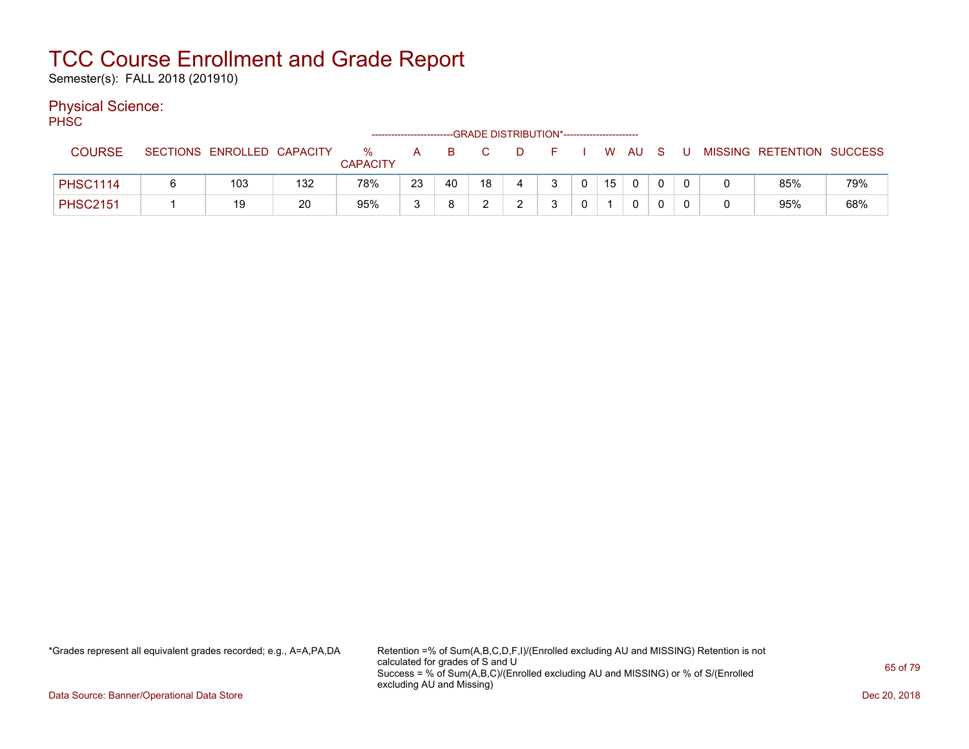Semester(s): FALL 2018 (201910)

### Physical Science:

PH<sub>SC</sub>

|                 |                            |     |                      | ---------------------- |    |    |    | -GRADE DISTRIBUTION*---------------------- |                |    |        |  |                           |     |
|-----------------|----------------------------|-----|----------------------|------------------------|----|----|----|--------------------------------------------|----------------|----|--------|--|---------------------------|-----|
| <b>COURSE</b>   | SECTIONS ENROLLED CAPACITY |     | %<br><b>CAPACITY</b> | A                      | B  |    | D. |                                            |                |    | W AU S |  | MISSING RETENTION SUCCESS |     |
| <b>PHSC1114</b> | 103                        | 132 | 78%                  | 23                     | 40 | 18 |    |                                            | $\overline{0}$ | 15 |        |  | 85%                       | 79% |
| <b>PHSC2151</b> | 19                         | 20  | 95%                  | 2                      |    |    |    |                                            |                |    |        |  | 95%                       | 68% |

\*Grades represent all equivalent grades recorded; e.g., A=A,PA,DA Retention =% of Sum(A,B,C,D,F,I)/(Enrolled excluding AU and MISSING) Retention is not calculated for grades of S and U Success = % of Sum(A,B,C)/(Enrolled excluding AU and MISSING) or % of S/(Enrolled excluding AU and Missing)

Data Source: Banner/Operational Data Store Dec 20, 2018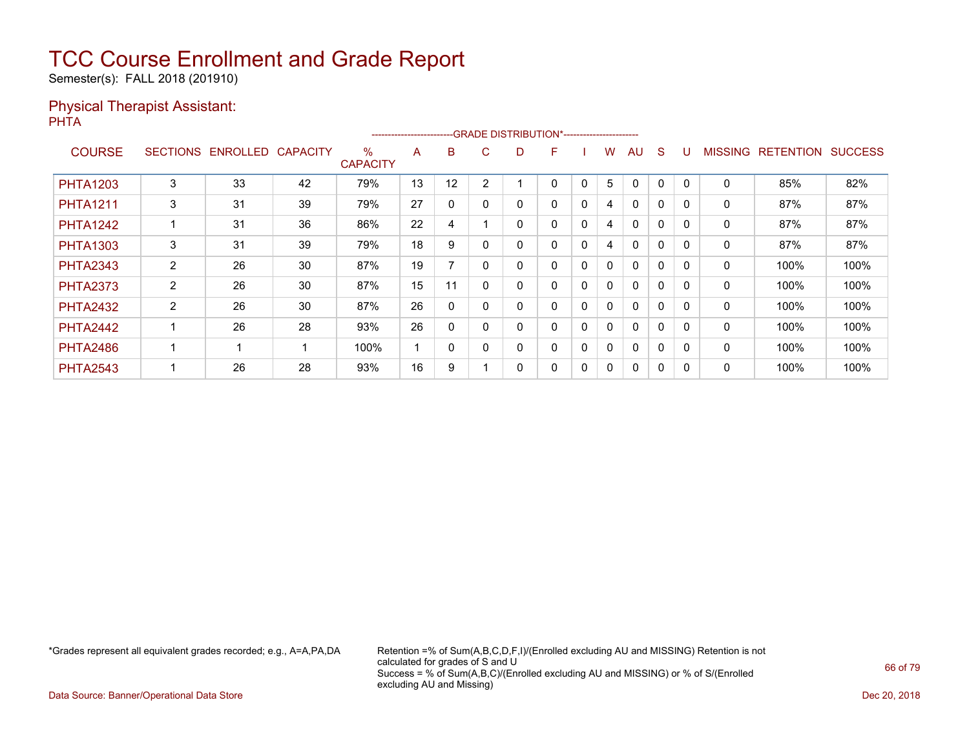Semester(s): FALL 2018 (201910)

### Physical Therapist Assistant: PHTA

|                 |   |                            |    |                         | ----------------------- |          |                |    | --GRADE DISTRIBUTION*----------------------- |          |   |              |          |          |                |                  |                |
|-----------------|---|----------------------------|----|-------------------------|-------------------------|----------|----------------|----|----------------------------------------------|----------|---|--------------|----------|----------|----------------|------------------|----------------|
| <b>COURSE</b>   |   | SECTIONS ENROLLED CAPACITY |    | $\%$<br><b>CAPACITY</b> | A                       | B.       | $\mathbf{C}$   | D. | F                                            |          | w | AU           | S        |          | <b>MISSING</b> | <b>RETENTION</b> | <b>SUCCESS</b> |
| <b>PHTA1203</b> | 3 | 33                         | 42 | 79%                     | 13                      | 12       | $\overline{2}$ |    | 0                                            | 0        | 5 | $\Omega$     | 0        |          | $\mathbf 0$    | 85%              | 82%            |
| <b>PHTA1211</b> | 3 | 31                         | 39 | 79%                     | 27                      | 0        | $\Omega$       |    | 0                                            | $\Omega$ | 4 | $\mathbf{0}$ | 0        | 0        | 0              | 87%              | 87%            |
| <b>PHTA1242</b> |   | 31                         | 36 | 86%                     | 22                      | 4        |                |    | 0                                            | 0        | 4 | $\Omega$     | 0        | $\Omega$ | 0              | 87%              | 87%            |
| <b>PHTA1303</b> | 3 | 31                         | 39 | 79%                     | 18                      | 9        | 0              |    | 0                                            | 0        | 4 | $\mathbf 0$  | 0        | $\Omega$ | 0              | 87%              | 87%            |
| <b>PHTA2343</b> | 2 | 26                         | 30 | 87%                     | 19                      |          | $\Omega$       |    | 0                                            | 0        | 0 | 0            | 0        | 0        | 0              | 100%             | 100%           |
| <b>PHTA2373</b> | 2 | 26                         | 30 | 87%                     | 15                      | 11       | $\mathbf{0}$   | 0  | 0                                            | $\Omega$ | 0 | $\mathbf{0}$ | 0        | $\Omega$ | 0              | 100%             | 100%           |
| <b>PHTA2432</b> | 2 | 26                         | 30 | 87%                     | 26                      | 0        | 0              |    | 0                                            | 0        | 0 | $\mathbf{0}$ | 0        | $\Omega$ | 0              | 100%             | 100%           |
| <b>PHTA2442</b> |   | 26                         | 28 | 93%                     | 26                      | $\Omega$ | $\Omega$       | 0  | 0                                            | $\Omega$ | 0 | $\mathbf{0}$ | $\Omega$ | $\Omega$ | 0              | 100%             | 100%           |
| <b>PHTA2486</b> |   | -1                         |    | 100%                    |                         | 0        | 0              | 0  | 0                                            | 0        | 0 | $\mathbf{0}$ | 0        | 0        | 0              | 100%             | 100%           |
| <b>PHTA2543</b> |   | 26                         | 28 | 93%                     | 16                      | 9        |                |    | 0                                            | 0        | 0 | $\mathbf{0}$ | 0        |          | 0              | 100%             | 100%           |

\*Grades represent all equivalent grades recorded; e.g., A=A,PA,DA Retention =% of Sum(A,B,C,D,F,I)/(Enrolled excluding AU and MISSING) Retention is not calculated for grades of S and U Success = % of Sum(A,B,C)/(Enrolled excluding AU and MISSING) or % of S/(Enrolled excluding AU and Missing)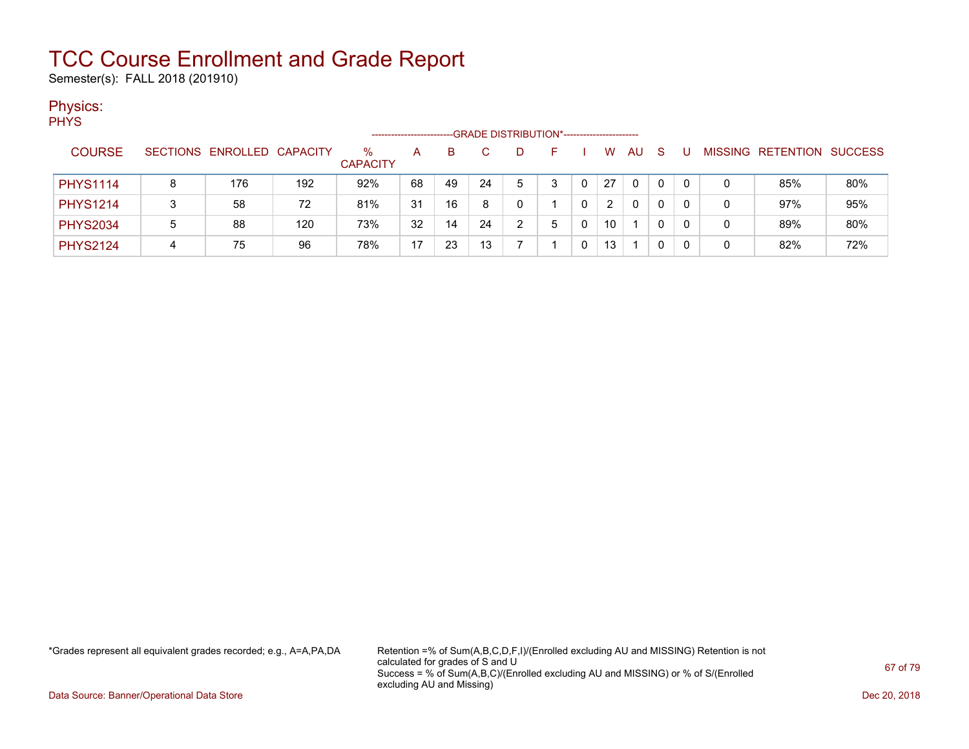Semester(s): FALL 2018 (201910)

### Physics:

| ۹<br>v. |
|---------|
|---------|

|                 |   |                            |     |                      | ------------------- |    |    |    | -GRADE DISTRIBUTION*----------------------- |   |    |          |   |   |   |                           |     |
|-----------------|---|----------------------------|-----|----------------------|---------------------|----|----|----|---------------------------------------------|---|----|----------|---|---|---|---------------------------|-----|
| <b>COURSE</b>   |   | SECTIONS ENROLLED CAPACITY |     | %<br><b>CAPACITY</b> | А                   | B  | C. |    |                                             |   | W  | AU       | S | U |   | MISSING RETENTION SUCCESS |     |
| <b>PHYS1114</b> | 8 | 176                        | 192 | 92%                  | 68                  | 49 | 24 | 5. |                                             | 0 | 27 | $\Omega$ | 0 |   | 0 | 85%                       | 80% |
| <b>PHYS1214</b> |   | 58                         | 72  | 81%                  | 31                  | 16 | 8  | 0  |                                             | 0 |    | $\Omega$ |   |   | 0 | 97%                       | 95% |
| <b>PHYS2034</b> | 5 | 88                         | 120 | 73%                  | 32                  | 14 | 24 |    |                                             | 0 | 10 |          |   |   | 0 | 89%                       | 80% |
| <b>PHYS2124</b> | 4 | 75                         | 96  | 78%                  | 17                  | 23 | 13 |    |                                             | 0 | 13 |          |   |   | 0 | 82%                       | 72% |

\*Grades represent all equivalent grades recorded; e.g., A=A,PA,DA Retention =% of Sum(A,B,C,D,F,I)/(Enrolled excluding AU and MISSING) Retention is not calculated for grades of S and U Success = % of Sum(A,B,C)/(Enrolled excluding AU and MISSING) or % of S/(Enrolled excluding AU and Missing)

Data Source: Banner/Operational Data Store Dec 20, 2018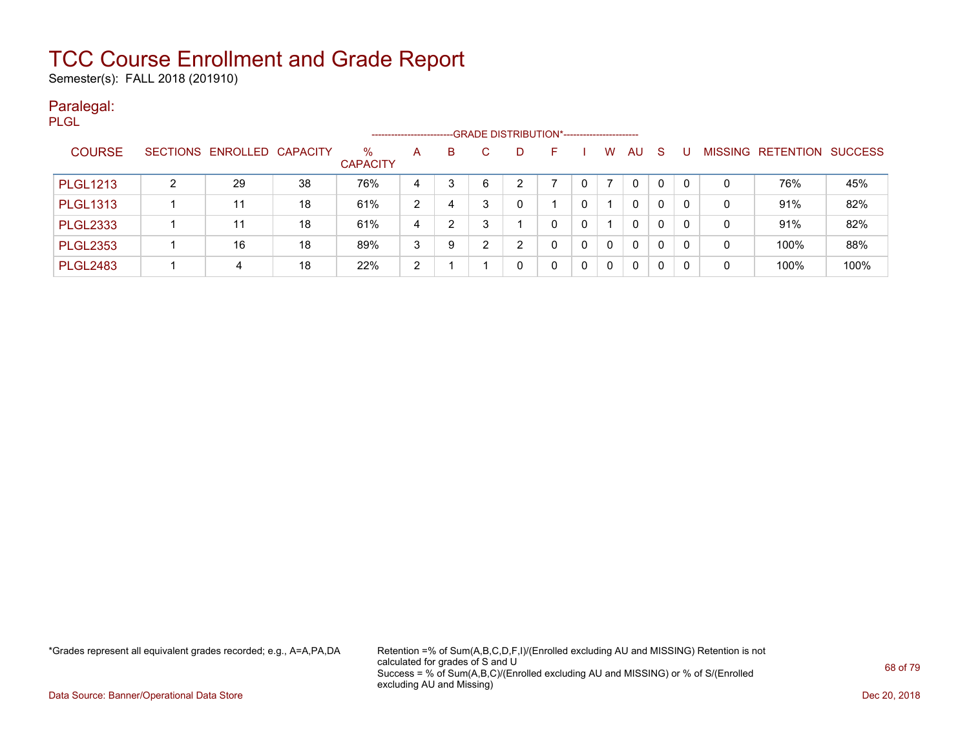Semester(s): FALL 2018 (201910)

### Paralegal: PLGL

|                 |   |                            |    |                         | ---------------------- |   |   | --GRADE DISTRIBUTION*------------------------ |    |          |   |    |             |   |              |                   |                |
|-----------------|---|----------------------------|----|-------------------------|------------------------|---|---|-----------------------------------------------|----|----------|---|----|-------------|---|--------------|-------------------|----------------|
| <b>COURSE</b>   |   | SECTIONS ENROLLED CAPACITY |    | $\%$<br><b>CAPACITY</b> | A                      | B |   | D.                                            | н. |          | W | AU | S           | U |              | MISSING RETENTION | <b>SUCCESS</b> |
| <b>PLGL1213</b> | າ | 29                         | 38 | 76%                     | 4                      | 3 | 6 |                                               |    |          |   | 0  | 0           | 0 | 0            | 76%               | 45%            |
| <b>PLGL1313</b> |   | 11                         | 18 | 61%                     | 2                      | 4 | 3 |                                               |    |          |   | 0  | 0           | 0 | $\mathbf{0}$ | 91%               | 82%            |
| <b>PLGL2333</b> |   | 11                         | 18 | 61%                     | 4                      | 2 | 3 |                                               |    |          |   | 0  | $\mathbf 0$ | 0 | 0            | 91%               | 82%            |
| <b>PLGL2353</b> |   | 16                         | 18 | 89%                     | 3                      | 9 | 2 | ົ                                             |    | $\Omega$ | 0 | 0  | $\Omega$    | 0 | $\mathbf{0}$ | 100%              | 88%            |
| <b>PLGL2483</b> |   | 4                          | 18 | 22%                     | 2                      |   |   |                                               |    |          |   | 0  | 0           | 0 | 0            | 100%              | 100%           |

\*Grades represent all equivalent grades recorded; e.g., A=A,PA,DA Retention =% of Sum(A,B,C,D,F,I)/(Enrolled excluding AU and MISSING) Retention is not calculated for grades of S and U Success = % of Sum(A,B,C)/(Enrolled excluding AU and MISSING) or % of S/(Enrolled excluding AU and Missing)

Data Source: Banner/Operational Data Store Dec 20, 2018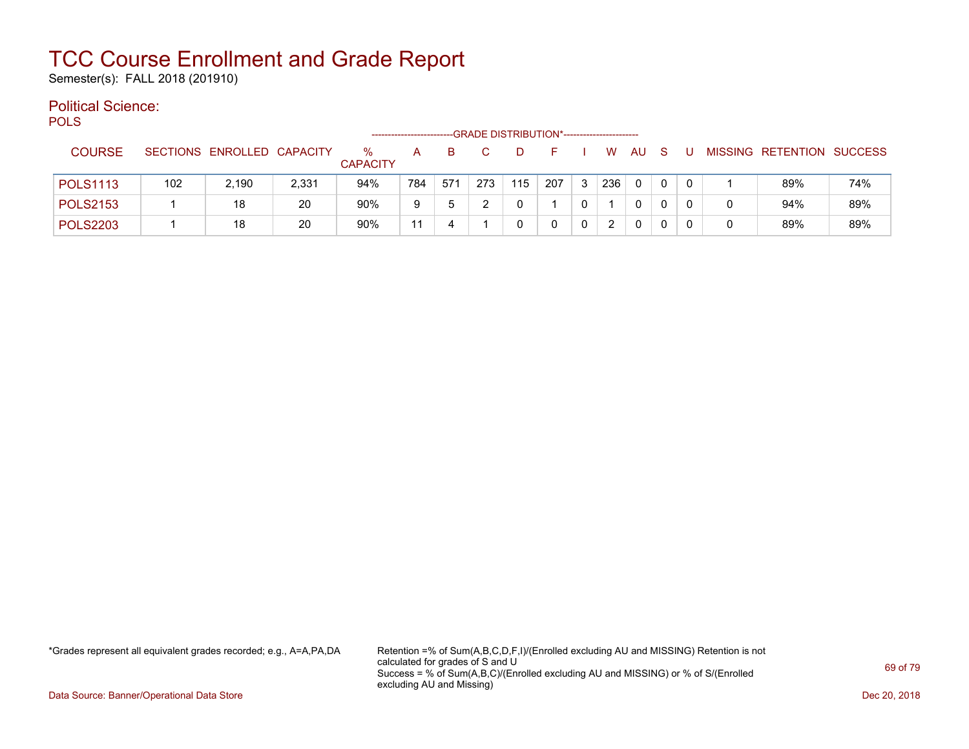Semester(s): FALL 2018 (201910)

#### Political Science: POLS

| PULO            |     |                            |       |                      | ------------------- |     |     | -GRADE DISTRIBUTION*----------------------- |     |             |     |     |              |   |   |                           |     |
|-----------------|-----|----------------------------|-------|----------------------|---------------------|-----|-----|---------------------------------------------|-----|-------------|-----|-----|--------------|---|---|---------------------------|-----|
| <b>COURSE</b>   |     | SECTIONS ENROLLED CAPACITY |       | ℅<br><b>CAPACITY</b> | А                   | в   |     |                                             |     |             | W   | AU. | S            |   |   | MISSING RETENTION SUCCESS |     |
| <b>POLS1113</b> | 102 | 2.190                      | 2,331 | 94%                  | 784                 | 571 | 273 | 115                                         | 207 | 3           | 236 | 0   | $\mathbf{0}$ | 0 |   | 89%                       | 74% |
| <b>POLS2153</b> |     | 18                         | 20    | 90%                  | 9                   | 5   |     |                                             |     |             |     | 0   | 0            |   | 0 | 94%                       | 89% |
| <b>POLS2203</b> |     | 18                         | 20    | 90%                  | 11                  | 4   |     |                                             | 0   | $\mathbf 0$ | 2   | 0   | 0            |   | 0 | 89%                       | 89% |

\*Grades represent all equivalent grades recorded; e.g., A=A,PA,DA Retention =% of Sum(A,B,C,D,F,I)/(Enrolled excluding AU and MISSING) Retention is not calculated for grades of S and U Success = % of Sum(A,B,C)/(Enrolled excluding AU and MISSING) or % of S/(Enrolled excluding AU and Missing)

Data Source: Banner/Operational Data Store Dec 20, 2018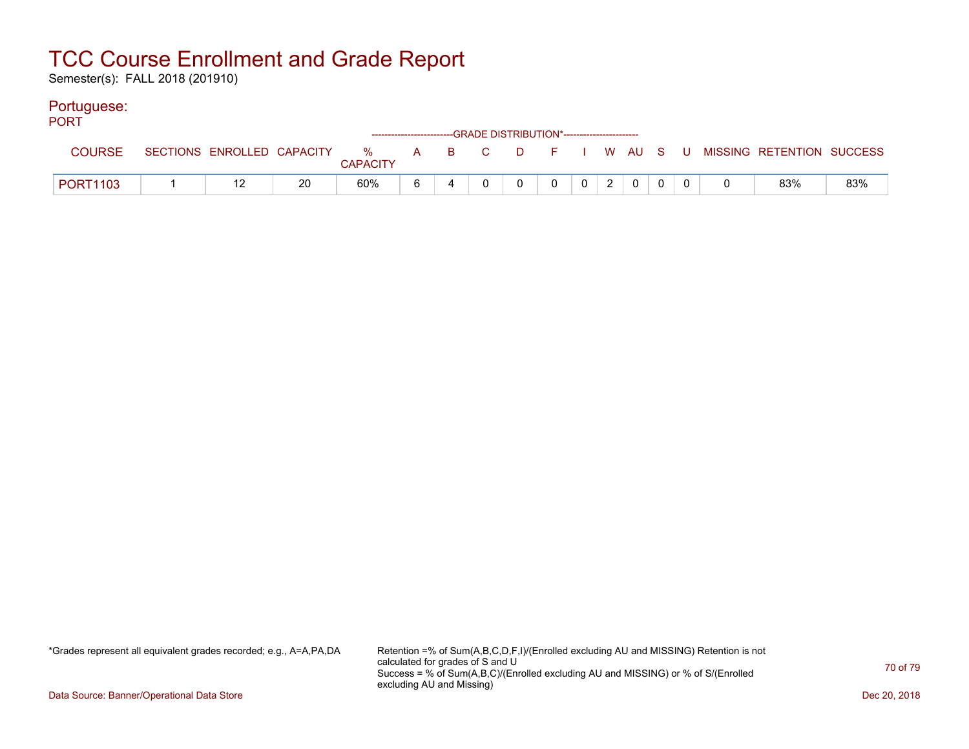Semester(s): FALL 2018 (201910)

### Portuguese:

| <b>PORT</b>   |  |    |                 |   |   | ------------------------GRADE DISTRIBUTION*----------------------- |          |                |            |          |  |                                                                             |     |
|---------------|--|----|-----------------|---|---|--------------------------------------------------------------------|----------|----------------|------------|----------|--|-----------------------------------------------------------------------------|-----|
| <b>COURSE</b> |  |    | <b>CAPACITY</b> |   |   |                                                                    |          |                |            |          |  | SECTIONS ENROLLED CAPACITY % A B C D F I W AU S U MISSING RETENTION SUCCESS |     |
| PORT1103      |  | 20 | 60%             | 6 | 4 |                                                                    | $\Omega$ | $\overline{0}$ | $0 \mid 2$ | $\Omega$ |  | 83%                                                                         | 83% |

\*Grades represent all equivalent grades recorded; e.g., A=A,PA,DA Retention =% of Sum(A,B,C,D,F,I)/(Enrolled excluding AU and MISSING) Retention is not calculated for grades of S and U Success = % of Sum(A,B,C)/(Enrolled excluding AU and MISSING) or % of S/(Enrolled excluding AU and Missing)

Data Source: Banner/Operational Data Store Dec 20, 2018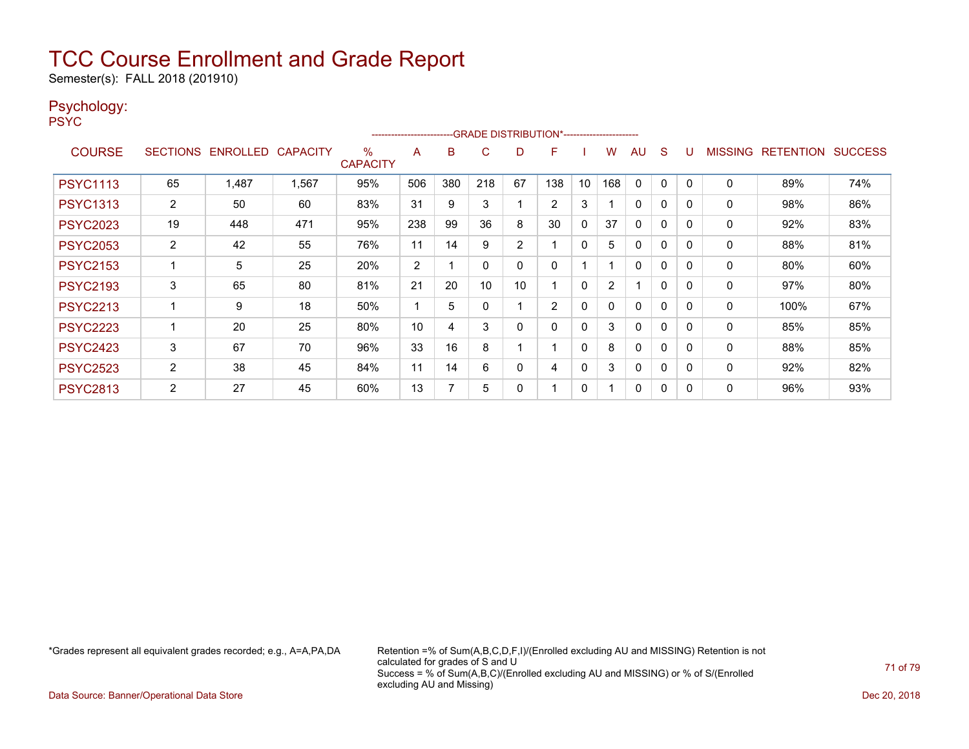Semester(s): FALL 2018 (201910)

### Psychology:

PSYC

|                 |                       | -- GRADE DISTRIBUTION*-------------------------<br>------------------------ |                 |                      |     |     |     |    |                |              |     |              |          |          |                |                  |                |
|-----------------|-----------------------|-----------------------------------------------------------------------------|-----------------|----------------------|-----|-----|-----|----|----------------|--------------|-----|--------------|----------|----------|----------------|------------------|----------------|
| <b>COURSE</b>   |                       | SECTIONS ENROLLED                                                           | <b>CAPACITY</b> | %<br><b>CAPACITY</b> | A   | B   | C   | D  | F              |              | w   | AU           | S        | υ        | <b>MISSING</b> | <b>RETENTION</b> | <b>SUCCESS</b> |
| <b>PSYC1113</b> | 65                    | 1,487                                                                       | 1,567           | 95%                  | 506 | 380 | 218 | 67 | 138            | 10           | 168 | $\Omega$     | 0        | $\Omega$ | $\mathbf 0$    | 89%              | 74%            |
| <b>PSYC1313</b> | $\overline{2}$        | 50                                                                          | 60              | 83%                  | 31  | 9   | 3   |    | $\overline{2}$ | 3            |     | $\Omega$     | 0        | 0        | 0              | 98%              | 86%            |
| <b>PSYC2023</b> | 19                    | 448                                                                         | 471             | 95%                  | 238 | 99  | 36  | 8  | 30             | $\Omega$     | 37  | $\Omega$     | $\Omega$ | $\Omega$ | 0              | 92%              | 83%            |
| <b>PSYC2053</b> | $\overline{2}$        | 42                                                                          | 55              | 76%                  | 11  | 14  | 9   | 2  |                | $\mathbf{0}$ | 5   | 0            | 0        | 0        | 0              | 88%              | 81%            |
| <b>PSYC2153</b> |                       | 5                                                                           | 25              | 20%                  | 2   |     | 0   | 0  | 0              |              |     | $\mathbf{0}$ | 0        | 0        | 0              | 80%              | 60%            |
| <b>PSYC2193</b> | 3                     | 65                                                                          | 80              | 81%                  | 21  | 20  | 10  | 10 |                | 0            | 2   | и            | 0        |          | 0              | 97%              | 80%            |
| <b>PSYC2213</b> |                       | 9                                                                           | 18              | 50%                  | ٠   | 5   | 0   |    | $\overline{2}$ | $\mathbf{0}$ | 0   | $\mathbf{0}$ | 0        | 0        | 0              | 100%             | 67%            |
| <b>PSYC2223</b> |                       | 20                                                                          | 25              | 80%                  | 10  | 4   | 3   | 0  |                | 0            | 3   | $\Omega$     | $\Omega$ | 0        | 0              | 85%              | 85%            |
| <b>PSYC2423</b> | 3                     | 67                                                                          | 70              | 96%                  | 33  | 16  | 8   |    |                | $\mathbf{0}$ | 8   | $\mathbf{0}$ | 0        | 0        | 0              | 88%              | 85%            |
| <b>PSYC2523</b> | $\mathbf{2}^{\prime}$ | 38                                                                          | 45              | 84%                  | 11  | 14  | 6   | 0  | 4              | $\mathbf{0}$ | 3   | $\mathbf{0}$ | $\Omega$ | 0        | 0              | 92%              | 82%            |
| <b>PSYC2813</b> | 2                     | 27                                                                          | 45              | 60%                  | 13  |     | 5   | 0  |                | 0            |     | $\mathbf{0}$ | 0        | 0        | $\mathbf{0}$   | 96%              | 93%            |

\*Grades represent all equivalent grades recorded; e.g., A=A,PA,DA Retention =% of Sum(A,B,C,D,F,I)/(Enrolled excluding AU and MISSING) Retention is not calculated for grades of S and U Success = % of Sum(A,B,C)/(Enrolled excluding AU and MISSING) or % of S/(Enrolled excluding AU and Missing)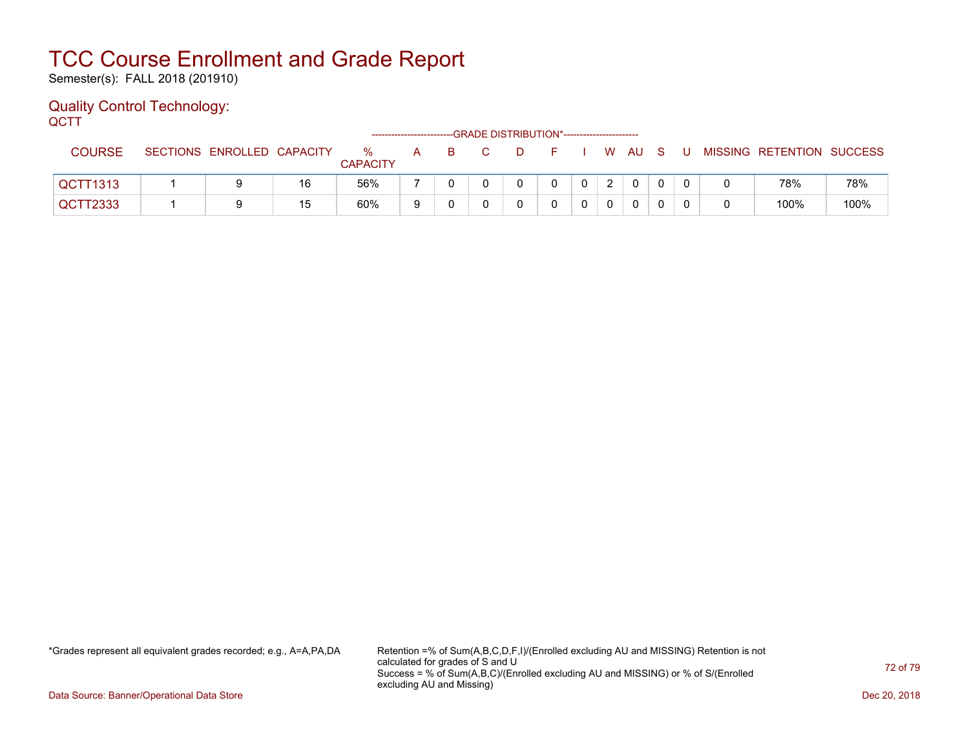Semester(s): FALL 2018 (201910)

#### Quality Control Technology: **OCTT**

| ---<br>--GRADE DISTRIBUTION*----------------------- |  |                            |    |                         |   |    |  |          |            |  |  |              |  |     |                           |      |
|-----------------------------------------------------|--|----------------------------|----|-------------------------|---|----|--|----------|------------|--|--|--------------|--|-----|---------------------------|------|
| <b>COURSE</b>                                       |  | SECTIONS ENROLLED CAPACITY |    | $\%$<br><b>CAPACITY</b> | A | B. |  | <b>D</b> | F I W AU S |  |  |              |  | . U | MISSING RETENTION SUCCESS |      |
| QCTT1313                                            |  |                            | 16 | 56%                     |   |    |  |          | 0          |  |  | $\Omega$     |  |     | 78%                       | 78%  |
| QCTT2333                                            |  |                            | 15 | 60%                     |   |    |  |          |            |  |  | $\mathbf{0}$ |  |     | 100%                      | 100% |

\*Grades represent all equivalent grades recorded; e.g., A=A,PA,DA Retention =% of Sum(A,B,C,D,F,I)/(Enrolled excluding AU and MISSING) Retention is not calculated for grades of S and U Success = % of Sum(A,B,C)/(Enrolled excluding AU and MISSING) or % of S/(Enrolled excluding AU and Missing)

Data Source: Banner/Operational Data Store Dec 20, 2018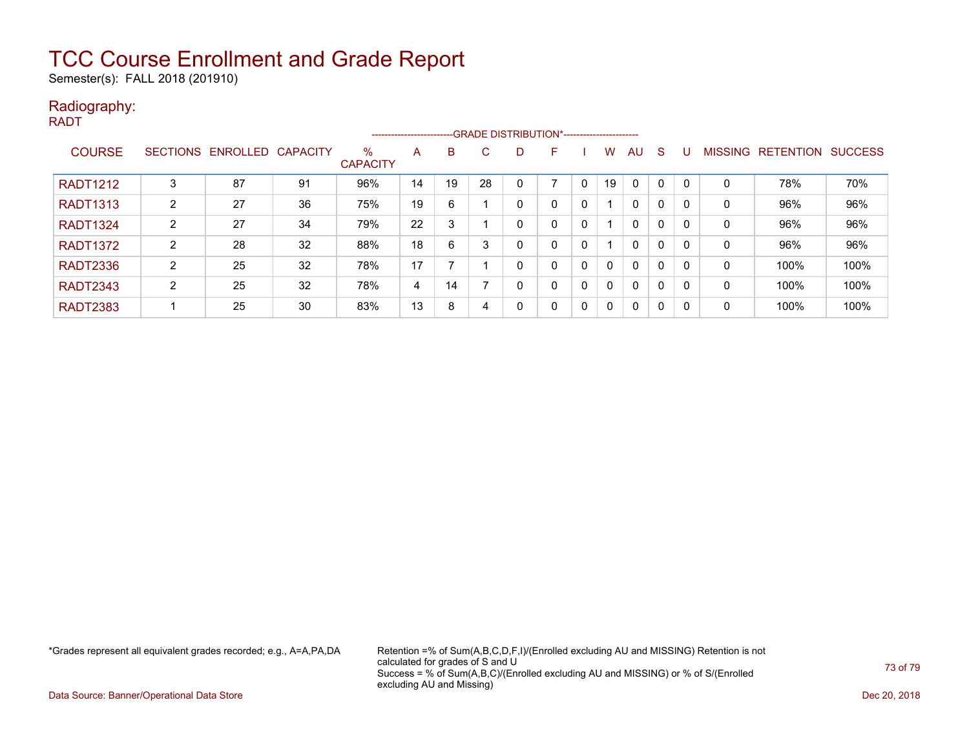Semester(s): FALL 2018 (201910)

### Radiography:

RADT

|                 |                 |                   |    |                         |    |    |    |   | --------------------------GRADE DISTRIBUTION*----------------------- |              |          |              |              |     |                |                  |                |
|-----------------|-----------------|-------------------|----|-------------------------|----|----|----|---|----------------------------------------------------------------------|--------------|----------|--------------|--------------|-----|----------------|------------------|----------------|
| <b>COURSE</b>   | <b>SECTIONS</b> | ENROLLED CAPACITY |    | $\%$<br><b>CAPACITY</b> | A  | B. | C. | D | F                                                                    |              | w        | AU           | <sub>S</sub> |     | <b>MISSING</b> | <b>RETENTION</b> | <b>SUCCESS</b> |
| <b>RADT1212</b> | 3               | 87                | 91 | 96%                     | 14 | 19 | 28 |   | ⇁                                                                    | $\mathbf{0}$ | 19       | $\mathbf 0$  | 0            |     | 0              | 78%              | 70%            |
| <b>RADT1313</b> | 2               | 27                | 36 | 75%                     | 19 | 6  |    | 0 | 0                                                                    | $\mathbf 0$  |          | $\mathbf{0}$ | 0            |     | 0              | 96%              | 96%            |
| <b>RADT1324</b> | 2               | 27                | 34 | 79%                     | 22 | 3  |    | 0 | 0                                                                    | 0            |          | $\mathbf{0}$ | 0            |     | 0              | 96%              | 96%            |
| <b>RADT1372</b> | C               | 28                | 32 | 88%                     | 18 | 6  |    | 0 | 0                                                                    | 0            |          | $\mathbf{0}$ | 0            |     | 0              | 96%              | 96%            |
| <b>RADT2336</b> | 2               | 25                | 32 | 78%                     | 17 |    |    | 0 | 0                                                                    | $\mathbf{0}$ | $\Omega$ | $\mathbf{0}$ | 0            |     | 0              | 100%             | 100%           |
| <b>RADT2343</b> | $\overline{2}$  | 25                | 32 | 78%                     | 4  | 14 |    | 0 | 0                                                                    | $\mathbf{0}$ | $\Omega$ | $\mathbf{0}$ | 0            |     | 0              | 100%             | 100%           |
| <b>RADT2383</b> |                 | 25                | 30 | 83%                     | 13 | 8  | 4  | 0 | 0                                                                    | $\mathbf{0}$ | $\Omega$ | $\mathbf{0}$ | $\mathbf{0}$ | - 0 | 0              | 100%             | 100%           |

\*Grades represent all equivalent grades recorded; e.g., A=A,PA,DA Retention =% of Sum(A,B,C,D,F,I)/(Enrolled excluding AU and MISSING) Retention is not calculated for grades of S and U Success = % of Sum(A,B,C)/(Enrolled excluding AU and MISSING) or % of S/(Enrolled excluding AU and Missing)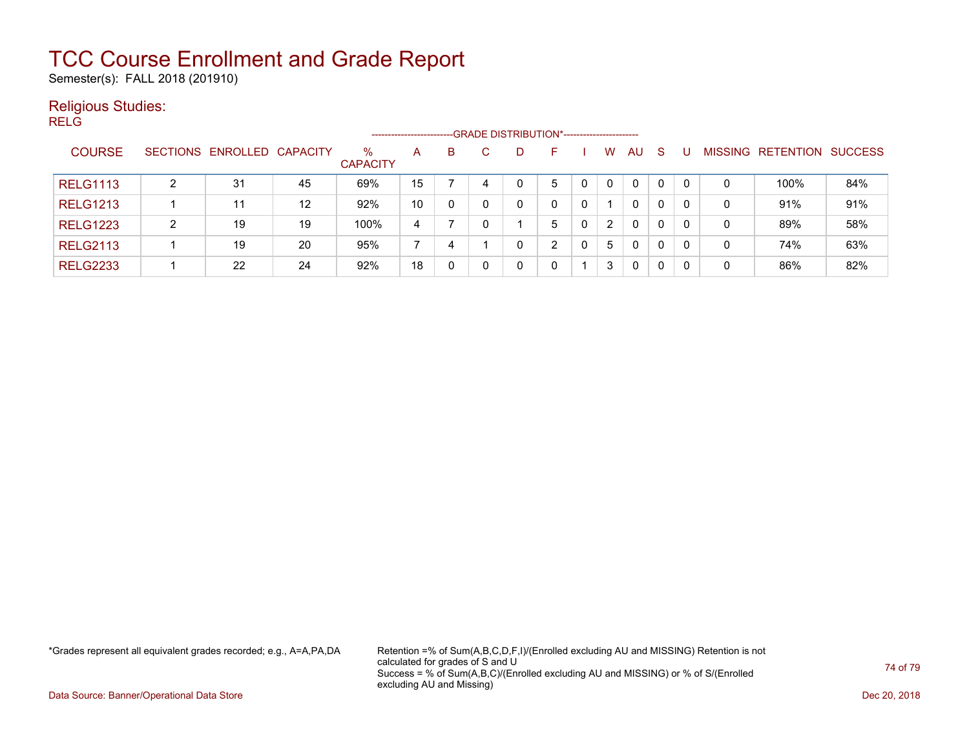Semester(s): FALL 2018 (201910)

### Religious Studies:

RELG

|                 |   |                            |    |                         |    |   |   | -- GRADE DISTRIBUTION*------------------------ |   |                      |              |              |   |                   |                |
|-----------------|---|----------------------------|----|-------------------------|----|---|---|------------------------------------------------|---|----------------------|--------------|--------------|---|-------------------|----------------|
| <b>COURSE</b>   |   | SECTIONS ENROLLED CAPACITY |    | $\%$<br><b>CAPACITY</b> | A  | B | D | н                                              |   | W                    | AU           | <b>S</b>     |   | MISSING RETENTION | <b>SUCCESS</b> |
| <b>RELG1113</b> | 2 | 31                         | 45 | 69%                     | 15 |   |   | 5                                              |   | $\Omega$             | $\mathbf{0}$ | $\mathbf{0}$ | 0 | 100%              | 84%            |
| <b>RELG1213</b> |   | 11                         | 12 | 92%                     | 10 | 0 |   |                                                | 0 |                      | $\Omega$     | 0            | 0 | 91%               | 91%            |
| <b>RELG1223</b> | 2 | 19                         | 19 | 100%                    | 4  |   |   | 5                                              |   | $\mathbf{2}^{\circ}$ | 0            | 0            | 0 | 89%               | 58%            |
| <b>RELG2113</b> |   | 19                         | 20 | 95%                     |    | 4 |   | ົ                                              |   | 5                    | $\mathbf{0}$ | $\mathbf{0}$ | 0 | 74%               | 63%            |
| <b>RELG2233</b> |   | 22                         | 24 | 92%                     | 18 | 0 |   |                                                |   | 3                    | $\Omega$     | 0            | 0 | 86%               | 82%            |

\*Grades represent all equivalent grades recorded; e.g., A=A,PA,DA Retention =% of Sum(A,B,C,D,F,I)/(Enrolled excluding AU and MISSING) Retention is not calculated for grades of S and U Success = % of Sum(A,B,C)/(Enrolled excluding AU and MISSING) or % of S/(Enrolled excluding AU and Missing)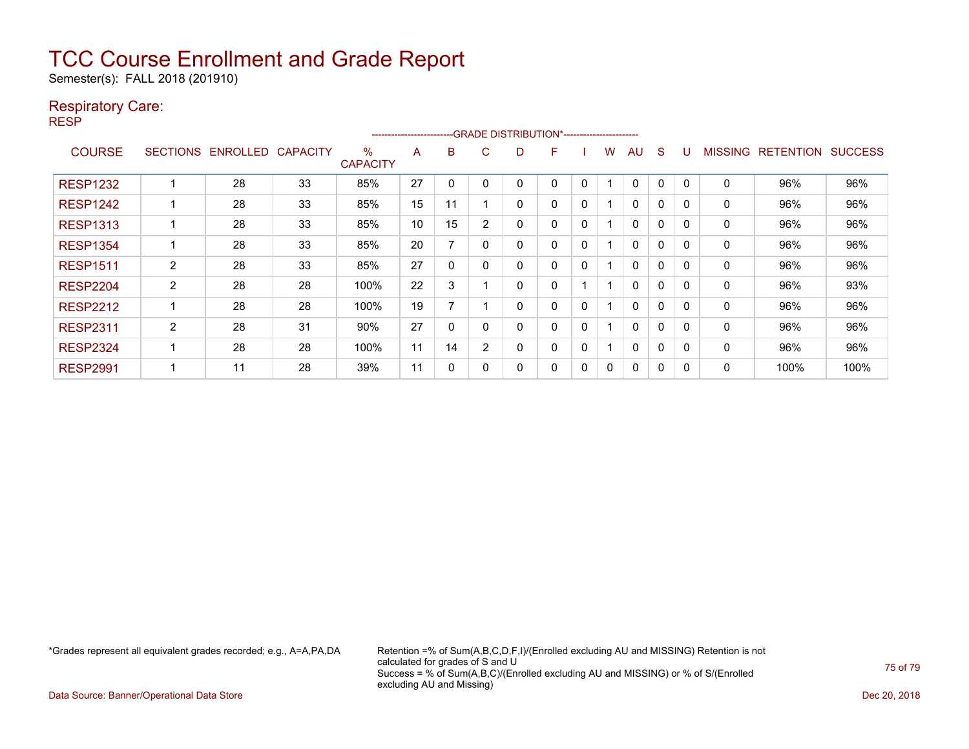Semester(s): FALL 2018 (201910)

### Respiratory Care:

RESP

| -- GRADE DISTRIBUTION*------------------------<br>---------------------- |                 |                 |                 |                         |    |    |                |   |   |              |   |              |              |              |                |                  |                |
|--------------------------------------------------------------------------|-----------------|-----------------|-----------------|-------------------------|----|----|----------------|---|---|--------------|---|--------------|--------------|--------------|----------------|------------------|----------------|
| <b>COURSE</b>                                                            | <b>SECTIONS</b> | <b>ENROLLED</b> | <b>CAPACITY</b> | $\%$<br><b>CAPACITY</b> | A  | B  | C.             | D | F |              | w | AU           | <sub>S</sub> |              | <b>MISSING</b> | <b>RETENTION</b> | <b>SUCCESS</b> |
| <b>RESP1232</b>                                                          |                 | 28              | 33              | 85%                     | 27 |    |                |   | 0 | 0            |   | 0            | 0            | <sup>0</sup> | 0              | 96%              | 96%            |
| <b>RESP1242</b>                                                          |                 | 28              | 33              | 85%                     | 15 | 11 |                | 0 | 0 | $\mathbf{0}$ |   | $\mathbf{0}$ | 0            | $\Omega$     | 0              | 96%              | 96%            |
| <b>RESP1313</b>                                                          |                 | 28              | 33              | 85%                     | 10 | 15 |                | 0 | 0 | 0            |   | $\Omega$     | $\mathbf 0$  | O            | 0              | 96%              | 96%            |
| <b>RESP1354</b>                                                          |                 | 28              | 33              | 85%                     | 20 | 7  |                | 0 | 0 | $\mathbf{0}$ |   | 0            | $\Omega$     | $\Omega$     | 0              | 96%              | 96%            |
| <b>RESP1511</b>                                                          | $\overline{2}$  | 28              | 33              | 85%                     | 27 | 0  |                | 0 | 0 | $\mathbf{0}$ |   | $\mathbf{0}$ | $\Omega$     | $\Omega$     | 0              | 96%              | 96%            |
| <b>RESP2204</b>                                                          | $\overline{2}$  | 28              | 28              | 100%                    | 22 | 3  |                | 0 | 0 |              |   | $\mathbf{0}$ | $\Omega$     | $\Omega$     | 0              | 96%              | 93%            |
| <b>RESP2212</b>                                                          |                 | 28              | 28              | 100%                    | 19 | 7  |                | 0 | 0 | $\mathbf{0}$ |   | $\mathbf{0}$ | $\Omega$     | <sup>n</sup> | 0              | 96%              | 96%            |
| <b>RESP2311</b>                                                          | $\overline{2}$  | 28              | 31              | 90%                     | 27 | 0  |                | 0 | 0 | 0            |   | $\mathbf{0}$ | 0            | <sup>0</sup> | 0              | 96%              | 96%            |
| <b>RESP2324</b>                                                          |                 | 28              | 28              | 100%                    | 11 | 14 | $\overline{2}$ | 0 | 0 | 0            |   | 0            | 0            | O            | 0              | 96%              | 96%            |
| <b>RESP2991</b>                                                          |                 | 11              | 28              | 39%                     | 11 | 0  |                | 0 | 0 | 0            | 0 | 0            | 0            |              | 0              | 100%             | 100%           |

\*Grades represent all equivalent grades recorded; e.g., A=A,PA,DA Retention =% of Sum(A,B,C,D,F,I)/(Enrolled excluding AU and MISSING) Retention is not calculated for grades of S and U Success = % of Sum(A,B,C)/(Enrolled excluding AU and MISSING) or % of S/(Enrolled excluding AU and Missing)

Data Source: Banner/Operational Data Store Dec 20, 2018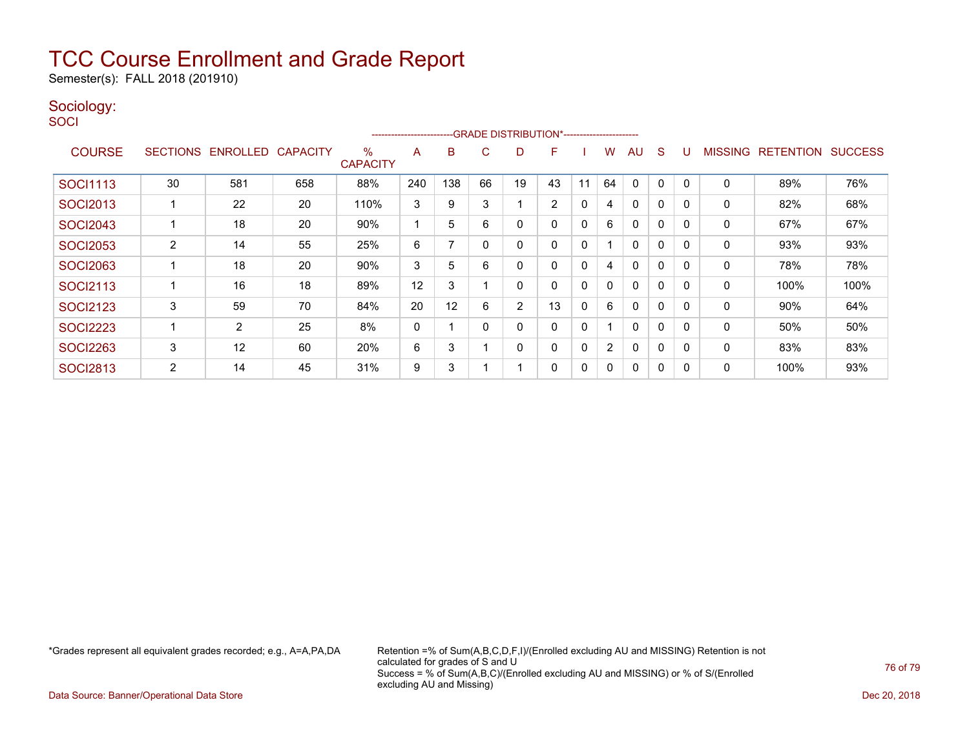Semester(s): FALL 2018 (201910)

### Sociology:

**SOCI** 

|                 | --GRADE DISTRIBUTION*-----------------------<br>----------------------- |                 |                 |                         |     |     |    |                |                |              |                |              |              |          |                |                  |                |
|-----------------|-------------------------------------------------------------------------|-----------------|-----------------|-------------------------|-----|-----|----|----------------|----------------|--------------|----------------|--------------|--------------|----------|----------------|------------------|----------------|
| <b>COURSE</b>   | <b>SECTIONS</b>                                                         | <b>ENROLLED</b> | <b>CAPACITY</b> | $\%$<br><b>CAPACITY</b> | A   | B   | C  | D              | F              |              | W              | AU           | S            |          | <b>MISSING</b> | <b>RETENTION</b> | <b>SUCCESS</b> |
| <b>SOCI1113</b> | 30                                                                      | 581             | 658             | 88%                     | 240 | 138 | 66 | 19             | 43             | 11           | 64             | $\Omega$     | 0            |          | 0              | 89%              | 76%            |
| <b>SOCI2013</b> |                                                                         | 22              | 20              | 110%                    | 3   | 9   | 3  |                | $\overline{2}$ | 0            | 4              | $\mathbf{0}$ | $\Omega$     | $\Omega$ | 0              | 82%              | 68%            |
| <b>SOCI2043</b> |                                                                         | 18              | 20              | 90%                     |     | 5   | 6  | 0              | 0              | 0            | 6              | $\mathbf{0}$ | $\Omega$     | $\Omega$ | 0              | 67%              | 67%            |
| <b>SOCI2053</b> | 2                                                                       | 14              | 55              | 25%                     | 6   |     |    | 0              | 0              | $\mathbf{0}$ |                | $\mathbf{0}$ | $\Omega$     | $\Omega$ | 0              | 93%              | 93%            |
| <b>SOCI2063</b> |                                                                         | 18              | 20              | 90%                     | 3   | 5   | 6  | 0              | 0              | $\mathbf{0}$ | 4              | $\mathbf{0}$ | $\Omega$     | $\Omega$ | 0              | 78%              | 78%            |
| <b>SOCI2113</b> |                                                                         | 16              | 18              | 89%                     | 12  | 3   |    | 0              | 0              | $\mathbf{0}$ | 0              | $\mathbf{0}$ | $\mathbf{0}$ |          | 0              | 100%             | 100%           |
| <b>SOCI2123</b> | 3                                                                       | 59              | 70              | 84%                     | 20  | 12  | 6  | $\overline{2}$ | 13             | 0            | 6              | $\mathbf{0}$ | $\mathbf{0}$ |          | $\mathbf{0}$   | 90%              | 64%            |
| <b>SOCI2223</b> |                                                                         | $\overline{2}$  | 25              | 8%                      | 0   |     |    | 0              | 0              | 0            |                | $\mathbf{0}$ | 0            |          | 0              | 50%              | 50%            |
| <b>SOCI2263</b> | 3                                                                       | 12              | 60              | 20%                     | 6   | 3   |    | 0              | 0              | 0            | $\overline{2}$ | 0            | 0            | $\Omega$ | 0              | 83%              | 83%            |
| <b>SOCI2813</b> | 2                                                                       | 14              | 45              | 31%                     | 9   | 3   |    |                | 0              | 0            | 0              | 0            | 0            |          | 0              | 100%             | 93%            |

\*Grades represent all equivalent grades recorded; e.g., A=A,PA,DA Retention =% of Sum(A,B,C,D,F,I)/(Enrolled excluding AU and MISSING) Retention is not calculated for grades of S and U Success = % of Sum(A,B,C)/(Enrolled excluding AU and MISSING) or % of S/(Enrolled excluding AU and Missing)

Data Source: Banner/Operational Data Store Dec 20, 2018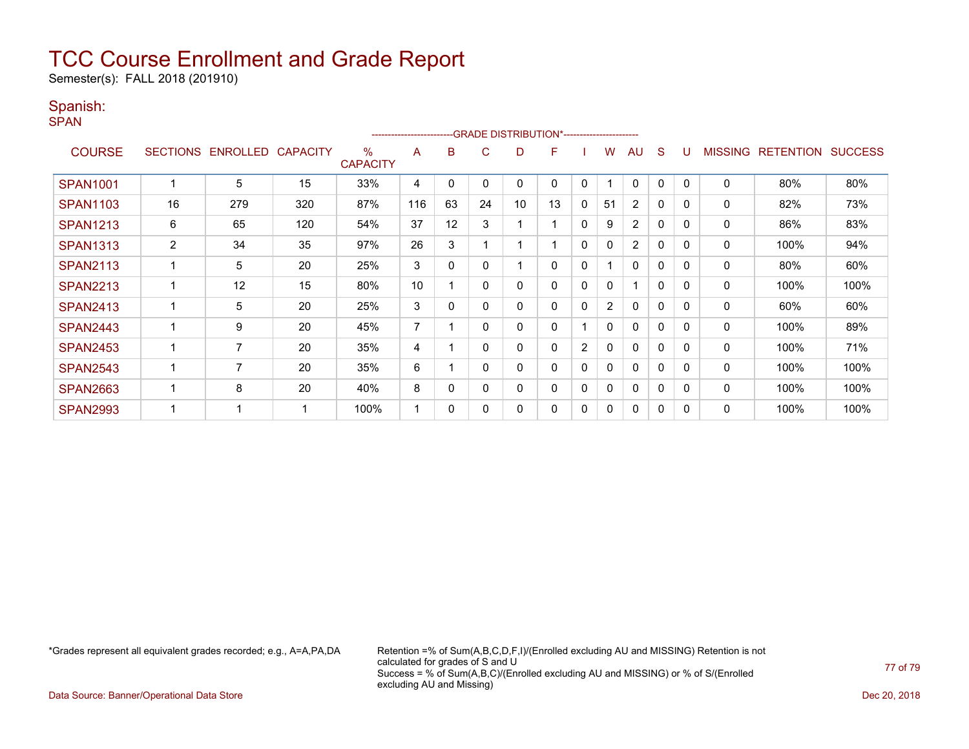Semester(s): FALL 2018 (201910)

### Spanish:

SPAN

| --GRADE DISTRIBUTION*-----------------------<br>----------------------- |                |                   |                 |                      |     |    |          |    |    |              |                |                |              |                |                |                  |                |
|-------------------------------------------------------------------------|----------------|-------------------|-----------------|----------------------|-----|----|----------|----|----|--------------|----------------|----------------|--------------|----------------|----------------|------------------|----------------|
| <b>COURSE</b>                                                           |                | SECTIONS ENROLLED | <b>CAPACITY</b> | %<br><b>CAPACITY</b> | A   | в  | C        | D  | F  |              | W              | AU             | <sub>S</sub> |                | <b>MISSING</b> | <b>RETENTION</b> | <b>SUCCESS</b> |
| <b>SPAN1001</b>                                                         |                | 5                 | 15              | 33%                  | 4   | 0  | 0        | 0  | 0  | 0            |                | $\mathbf{0}$   | 0            | $\Omega$       | 0              | 80%              | 80%            |
| <b>SPAN1103</b>                                                         | 16             | 279               | 320             | 87%                  | 116 | 63 | 24       | 10 | 13 | 0            | 51             | $\overline{2}$ | 0            | $\Omega$       | 0              | 82%              | 73%            |
| <b>SPAN1213</b>                                                         | 6              | 65                | 120             | 54%                  | 37  | 12 | 3        |    |    | 0            | 9              | $\overline{2}$ | $\mathbf{0}$ | $\Omega$       | 0              | 86%              | 83%            |
| <b>SPAN1313</b>                                                         | $\overline{2}$ | 34                | 35              | 97%                  | 26  | 3  |          |    |    | 0            | $\mathbf{0}$   | $\overline{2}$ | $\mathbf{0}$ | $\Omega$       | 0              | 100%             | 94%            |
| <b>SPAN2113</b>                                                         |                | 5                 | 20              | 25%                  | 3   | 0  | $\Omega$ |    | 0  | 0            |                | $\mathbf{0}$   | 0            | $\Omega$       | 0              | 80%              | 60%            |
| <b>SPAN2213</b>                                                         |                | 12                | 15              | 80%                  | 10  |    | $\Omega$ | 0  | 0  | $\mathbf{0}$ | 0              | 4              | $\mathbf{0}$ | $\Omega$       | 0              | 100%             | 100%           |
| <b>SPAN2413</b>                                                         |                | 5                 | 20              | 25%                  | 3   | 0  |          | 0  | 0  | 0            | $\overline{2}$ | $\mathbf{0}$   | $\mathbf{0}$ | 0              | $\mathbf 0$    | 60%              | 60%            |
| <b>SPAN2443</b>                                                         |                | 9                 | 20              | 45%                  | 7   |    | 0        | 0  | 0  |              | 0              | $\mathbf{0}$   | 0            | $\Omega$       | 0              | 100%             | 89%            |
| <b>SPAN2453</b>                                                         |                | 7                 | 20              | 35%                  | 4   |    |          | 0  | 0  | 2            | $\mathbf{0}$   | $\mathbf{0}$   | $\mathbf{0}$ | $\overline{0}$ | $\mathbf 0$    | 100%             | 71%            |
| <b>SPAN2543</b>                                                         |                | $\overline{7}$    | 20              | 35%                  | 6   |    |          | 0  | 0  | 0            | $\Omega$       | $\mathbf{0}$   | 0            | $\Omega$       | 0              | 100%             | 100%           |
| <b>SPAN2663</b>                                                         |                | 8                 | 20              | 40%                  | 8   | 0  | 0        | 0  | 0  | 0            | 0              | $\mathbf{0}$   | 0            | $\Omega$       | 0              | 100%             | 100%           |
| <b>SPAN2993</b>                                                         |                | ٠                 |                 | 100%                 |     | 0  |          | 0  | 0  | 0            | 0              | $\mathbf{0}$   | 0            | $\Omega$       | 0              | 100%             | 100%           |

\*Grades represent all equivalent grades recorded; e.g., A=A,PA,DA Retention =% of Sum(A,B,C,D,F,I)/(Enrolled excluding AU and MISSING) Retention is not calculated for grades of S and U Success = % of Sum(A,B,C)/(Enrolled excluding AU and MISSING) or % of S/(Enrolled excluding AU and Missing)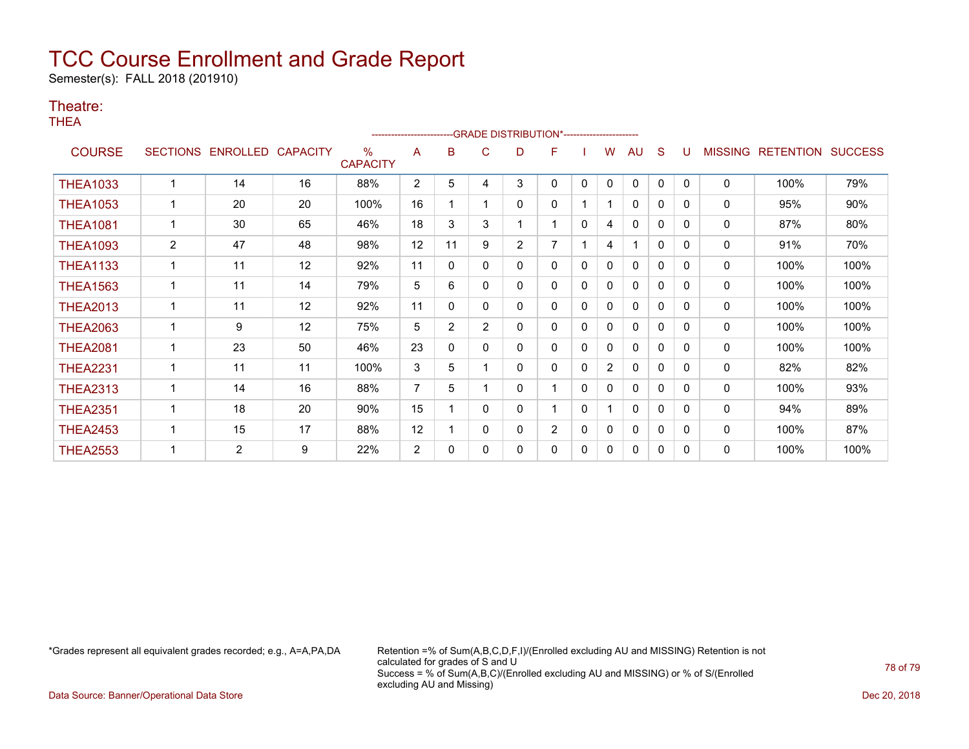Semester(s): FALL 2018 (201910)

### Theatre:

THEA

|                 |                 |                 |                 |                         |                |                |                | -- GRADE DISTRIBUTION*----------------------- |                |              |                |              |              |          |                |                  |                |
|-----------------|-----------------|-----------------|-----------------|-------------------------|----------------|----------------|----------------|-----------------------------------------------|----------------|--------------|----------------|--------------|--------------|----------|----------------|------------------|----------------|
| <b>COURSE</b>   | <b>SECTIONS</b> | <b>ENROLLED</b> | <b>CAPACITY</b> | $\%$<br><b>CAPACITY</b> | A              | в              | С              | D                                             | F              |              | w              | AU           | S            |          | <b>MISSING</b> | <b>RETENTION</b> | <b>SUCCESS</b> |
| <b>THEA1033</b> |                 | 14              | 16              | 88%                     | $\overline{2}$ | 5              | 4              | 3                                             | 0              | $\mathbf{0}$ | $\mathbf{0}$   | $\mathbf{0}$ | $\mathbf{0}$ | $\Omega$ | $\mathbf 0$    | 100%             | 79%            |
| <b>THEA1053</b> |                 | 20              | 20              | 100%                    | 16             |                |                | 0                                             | 0              |              |                | 0            | 0            | 0        | 0              | 95%              | 90%            |
| <b>THEA1081</b> |                 | 30              | 65              | 46%                     | 18             | 3              | 3              |                                               | 1              | $\mathbf{0}$ | 4              | $\mathbf{0}$ | 0            | $\Omega$ | 0              | 87%              | 80%            |
| <b>THEA1093</b> | $\overline{2}$  | 47              | 48              | 98%                     | 12             | 11             | 9              | $\overline{2}$                                | 7              |              | 4              | 1            | $\mathbf{0}$ | $\Omega$ | 0              | 91%              | 70%            |
| <b>THEA1133</b> |                 | 11              | 12              | 92%                     | 11             | 0              | 0              | 0                                             | 0              | 0            | 0              | 0            | $\mathbf{0}$ | $\Omega$ | 0              | 100%             | 100%           |
| <b>THEA1563</b> |                 | 11              | 14              | 79%                     | 5              | 6              | 0              | 0                                             | 0              | 0            | 0              | $\mathbf{0}$ | $\mathbf{0}$ | $\Omega$ | 0              | 100%             | 100%           |
| <b>THEA2013</b> | $\mathbf{1}$    | 11              | 12              | 92%                     | 11             | 0              | 0              | 0                                             | 0              | $\mathbf{0}$ | 0              | 0            | 0            | $\Omega$ | $\mathbf 0$    | 100%             | 100%           |
| <b>THEA2063</b> |                 | 9               | 12              | 75%                     | 5              | $\overline{2}$ | $\overline{2}$ | 0                                             | 0              | 0            | 0              | 0            | 0            | $\Omega$ | 0              | 100%             | 100%           |
| <b>THEA2081</b> |                 | 23              | 50              | 46%                     | 23             | 0              | 0              | 0                                             | 0              | 0            | 0              | $\mathbf{0}$ | 0            | $\Omega$ | $\mathbf 0$    | 100%             | 100%           |
| <b>THEA2231</b> | 1               | 11              | 11              | 100%                    | 3              | 5              |                | 0                                             | 0              | $\mathbf{0}$ | $\overline{2}$ | 0            | $\mathbf{0}$ | 0        | 0              | 82%              | 82%            |
| <b>THEA2313</b> | $\mathbf{1}$    | 14              | 16              | 88%                     | 7              | 5              |                | 0                                             | 1              | $\mathbf{0}$ | 0              | $\mathbf{0}$ | $\mathbf 0$  | $\Omega$ | 0              | 100%             | 93%            |
| <b>THEA2351</b> |                 | 18              | 20              | 90%                     | 15             |                | 0              | 0                                             |                | $\mathbf{0}$ |                | $\mathbf{0}$ | $\Omega$     | $\Omega$ | $\mathbf 0$    | 94%              | 89%            |
| <b>THEA2453</b> |                 | 15              | 17              | 88%                     | 12             |                | 0              | 0                                             | $\overline{2}$ | 0            | 0              | 0            | 0            | $\Omega$ | 0              | 100%             | 87%            |
| <b>THEA2553</b> |                 | $\overline{2}$  | 9               | 22%                     | 2              | 0              | 0              | 0                                             | 0              | $\mathbf{0}$ | 0              | $\mathbf{0}$ | 0            | $\Omega$ | 0              | 100%             | 100%           |

\*Grades represent all equivalent grades recorded; e.g., A=A,PA,DA Retention =% of Sum(A,B,C,D,F,I)/(Enrolled excluding AU and MISSING) Retention is not calculated for grades of S and U Success = % of Sum(A,B,C)/(Enrolled excluding AU and MISSING) or % of S/(Enrolled excluding AU and Missing)